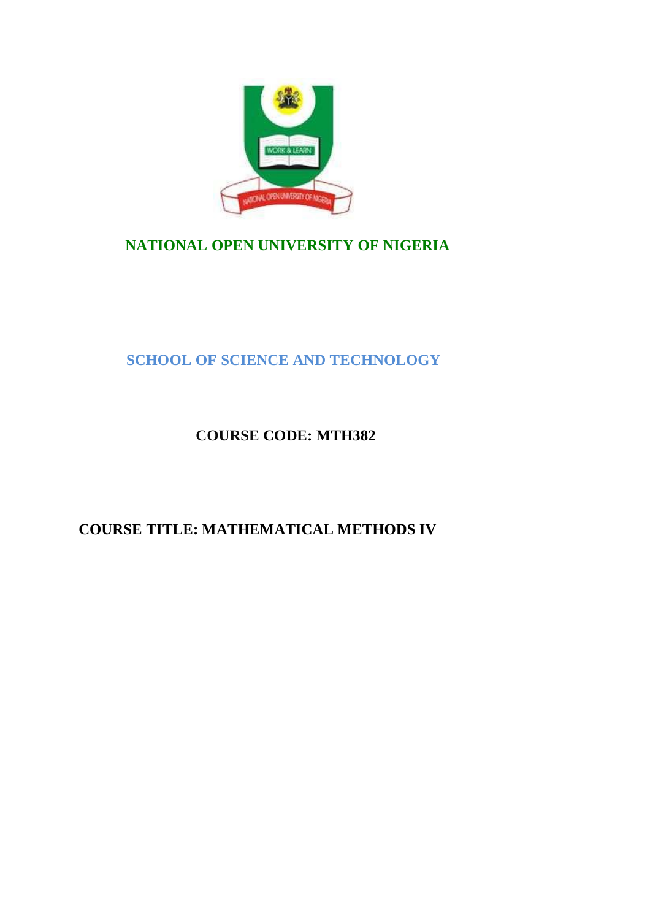

# **NATIONAL OPEN UNIVERSITY OF NIGERIA**

# **SCHOOL OF SCIENCE AND TECHNOLOGY**

# **COURSE CODE: MTH382**

# **COURSE TITLE: MATHEMATICAL METHODS IV**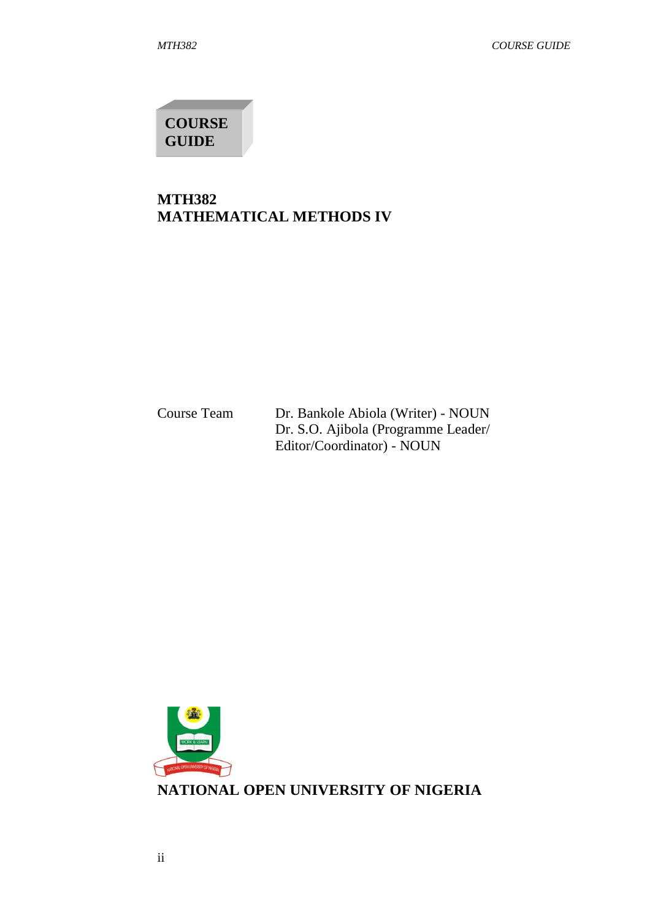**COURSE GUIDE**

## **MTH382 MATHEMATICAL METHODS IV**

Course Team Dr. Bankole Abiola (Writer) - NOUN Dr. S.O. Ajibola (Programme Leader/ Editor/Coordinator) - NOUN

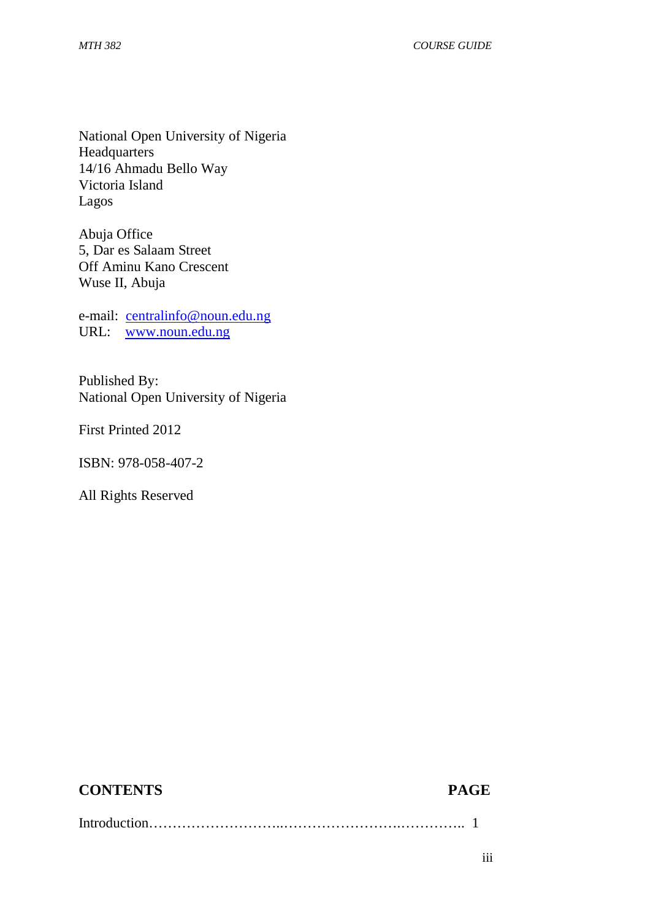National Open University of Nigeria Headquarters 14/16 Ahmadu Bello Way Victoria Island Lagos

Abuja Office 5, Dar es Salaam Street Off Aminu Kano Crescent Wuse II, Abuja

e-mail: centralinfo@noun.edu.ng URL: www.noun.edu.ng

Published By: National Open University of Nigeria

First Printed 2012

ISBN: 978-058-407-2

All Rights Reserved

# **CONTENTS PAGE**

Introduction………………………..…………………….………….. 1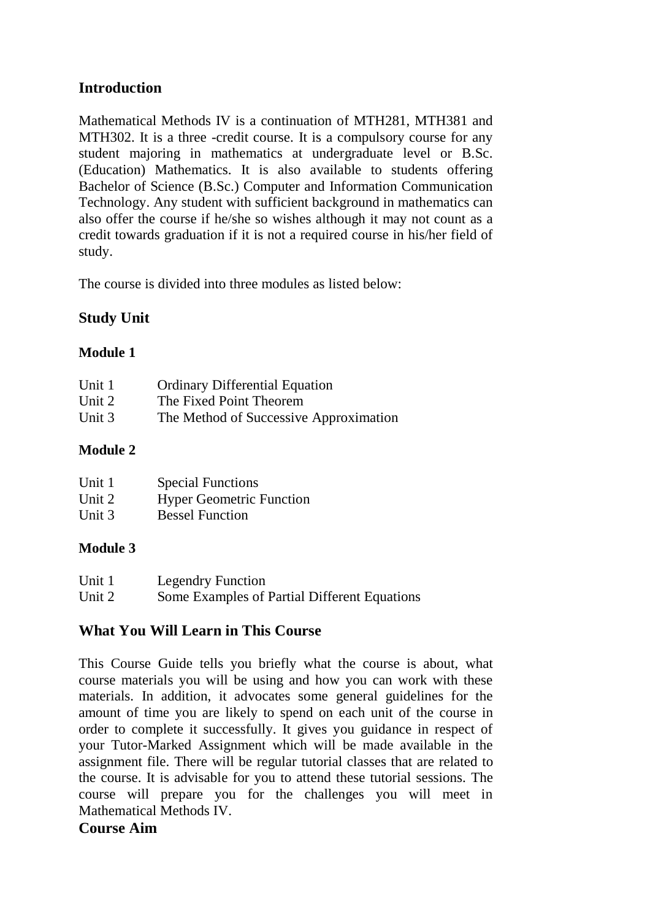## **Introduction**

Mathematical Methods IV is a continuation of MTH281, MTH381 and MTH302. It is a three -credit course. It is a compulsory course for any student majoring in mathematics at undergraduate level or B.Sc. (Education) Mathematics. It is also available to students offering Bachelor of Science (B.Sc.) Computer and Information Communication Technology. Any student with sufficient background in mathematics can also offer the course if he/she so wishes although it may not count as a credit towards graduation if it is not a required course in his/her field of study.

The course is divided into three modules as listed below:

# **Study Unit**

### **Module 1**

| Unit 1 | <b>Ordinary Differential Equation</b>  |
|--------|----------------------------------------|
| Unit 2 | The Fixed Point Theorem                |
| Unit 3 | The Method of Successive Approximation |

### **Module 2**

| Unit 1 | <b>Special Functions</b>        |
|--------|---------------------------------|
| Unit 2 | <b>Hyper Geometric Function</b> |
| Unit 3 | <b>Bessel Function</b>          |

### **Module 3**

| Unit 1 | <b>Legendry Function</b>                     |
|--------|----------------------------------------------|
| Unit 2 | Some Examples of Partial Different Equations |

### **What You Will Learn in This Course**

This Course Guide tells you briefly what the course is about, what course materials you will be using and how you can work with these materials. In addition, it advocates some general guidelines for the amount of time you are likely to spend on each unit of the course in order to complete it successfully. It gives you guidance in respect of your Tutor-Marked Assignment which will be made available in the assignment file. There will be regular tutorial classes that are related to the course. It is advisable for you to attend these tutorial sessions. The course will prepare you for the challenges you will meet in Mathematical Methods IV.

### **Course Aim**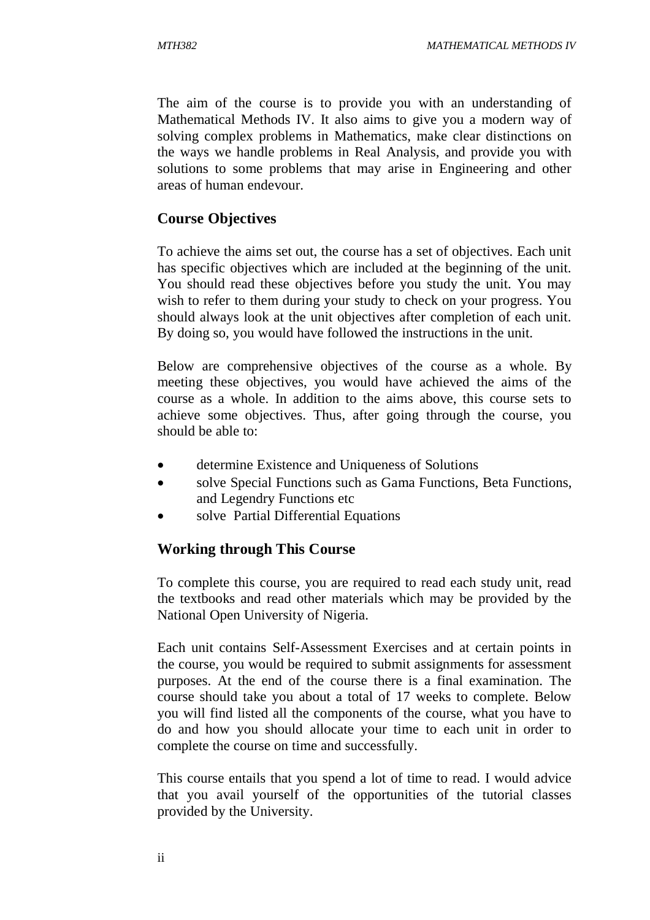The aim of the course is to provide you with an understanding of Mathematical Methods IV. It also aims to give you a modern way of solving complex problems in Mathematics, make clear distinctions on the ways we handle problems in Real Analysis, and provide you with solutions to some problems that may arise in Engineering and other areas of human endevour.

### **Course Objectives**

To achieve the aims set out, the course has a set of objectives. Each unit has specific objectives which are included at the beginning of the unit. You should read these objectives before you study the unit. You may wish to refer to them during your study to check on your progress. You should always look at the unit objectives after completion of each unit. By doing so, you would have followed the instructions in the unit.

Below are comprehensive objectives of the course as a whole. By meeting these objectives, you would have achieved the aims of the course as a whole. In addition to the aims above, this course sets to achieve some objectives. Thus, after going through the course, you should be able to:

- determine Existence and Uniqueness of Solutions
- solve Special Functions such as Gama Functions, Beta Functions, and Legendry Functions etc
- solve Partial Differential Equations

### **Working through This Course**

To complete this course, you are required to read each study unit, read the textbooks and read other materials which may be provided by the National Open University of Nigeria.

Each unit contains Self-Assessment Exercises and at certain points in the course, you would be required to submit assignments for assessment purposes. At the end of the course there is a final examination. The course should take you about a total of 17 weeks to complete. Below you will find listed all the components of the course, what you have to do and how you should allocate your time to each unit in order to complete the course on time and successfully.

This course entails that you spend a lot of time to read. I would advice that you avail yourself of the opportunities of the tutorial classes provided by the University.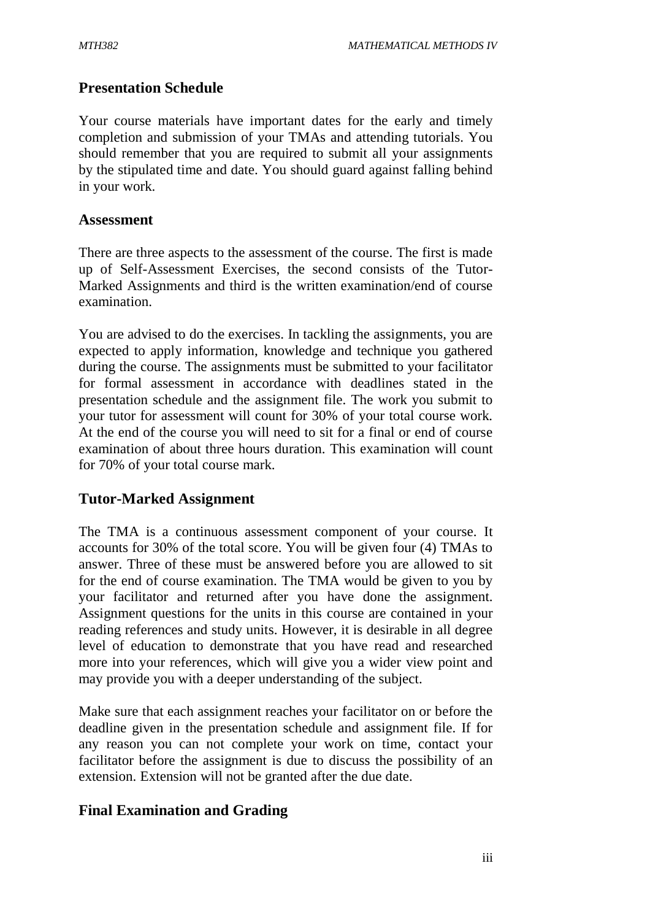### **Presentation Schedule**

Your course materials have important dates for the early and timely completion and submission of your TMAs and attending tutorials. You should remember that you are required to submit all your assignments by the stipulated time and date. You should guard against falling behind in your work.

### **Assessment**

There are three aspects to the assessment of the course. The first is made up of Self-Assessment Exercises, the second consists of the Tutor-Marked Assignments and third is the written examination/end of course examination.

You are advised to do the exercises. In tackling the assignments, you are expected to apply information, knowledge and technique you gathered during the course. The assignments must be submitted to your facilitator for formal assessment in accordance with deadlines stated in the presentation schedule and the assignment file. The work you submit to your tutor for assessment will count for 30% of your total course work. At the end of the course you will need to sit for a final or end of course examination of about three hours duration. This examination will count for 70% of your total course mark.

### **Tutor-Marked Assignment**

The TMA is a continuous assessment component of your course. It accounts for 30% of the total score. You will be given four (4) TMAs to answer. Three of these must be answered before you are allowed to sit for the end of course examination. The TMA would be given to you by your facilitator and returned after you have done the assignment. Assignment questions for the units in this course are contained in your reading references and study units. However, it is desirable in all degree level of education to demonstrate that you have read and researched more into your references, which will give you a wider view point and may provide you with a deeper understanding of the subject.

Make sure that each assignment reaches your facilitator on or before the deadline given in the presentation schedule and assignment file. If for any reason you can not complete your work on time, contact your facilitator before the assignment is due to discuss the possibility of an extension. Extension will not be granted after the due date.

### **Final Examination and Grading**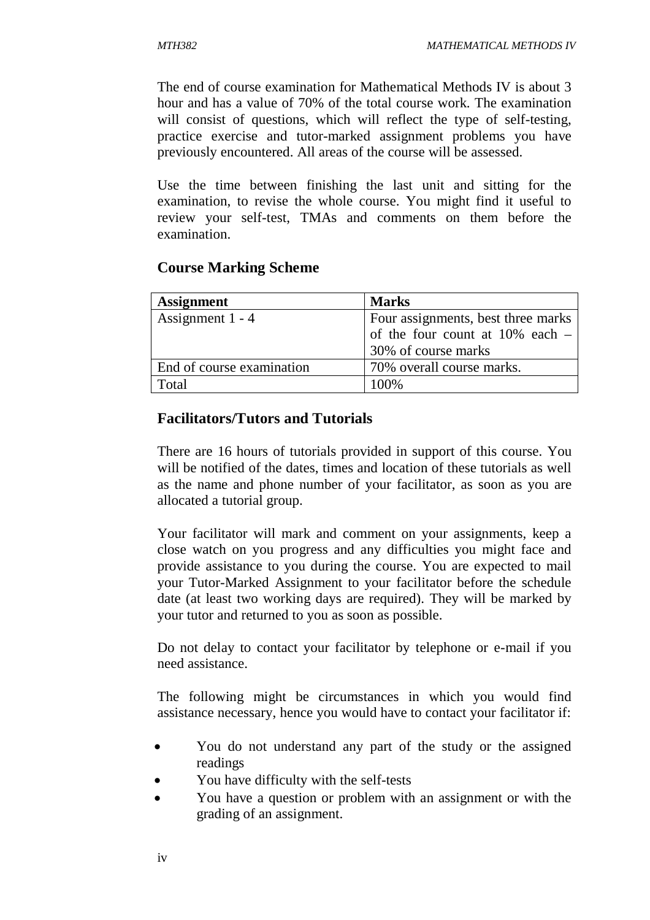The end of course examination for Mathematical Methods IV is about 3 hour and has a value of 70% of the total course work. The examination will consist of questions, which will reflect the type of self-testing, practice exercise and tutor-marked assignment problems you have previously encountered. All areas of the course will be assessed.

Use the time between finishing the last unit and sitting for the examination, to revise the whole course. You might find it useful to review your self-test, TMAs and comments on them before the examination.

### **Course Marking Scheme**

| <b>Assignment</b>         | <b>Marks</b>                         |
|---------------------------|--------------------------------------|
| Assignment $1 - 4$        | Four assignments, best three marks   |
|                           | of the four count at $10\%$ each $-$ |
|                           | 30% of course marks                  |
| End of course examination | 70% overall course marks.            |
| Total                     | 100\%                                |

### **Facilitators/Tutors and Tutorials**

There are 16 hours of tutorials provided in support of this course. You will be notified of the dates, times and location of these tutorials as well as the name and phone number of your facilitator, as soon as you are allocated a tutorial group.

Your facilitator will mark and comment on your assignments, keep a close watch on you progress and any difficulties you might face and provide assistance to you during the course. You are expected to mail your Tutor-Marked Assignment to your facilitator before the schedule date (at least two working days are required). They will be marked by your tutor and returned to you as soon as possible.

Do not delay to contact your facilitator by telephone or e-mail if you need assistance.

The following might be circumstances in which you would find assistance necessary, hence you would have to contact your facilitator if:

- You do not understand any part of the study or the assigned readings
- You have difficulty with the self-tests
- You have a question or problem with an assignment or with the grading of an assignment.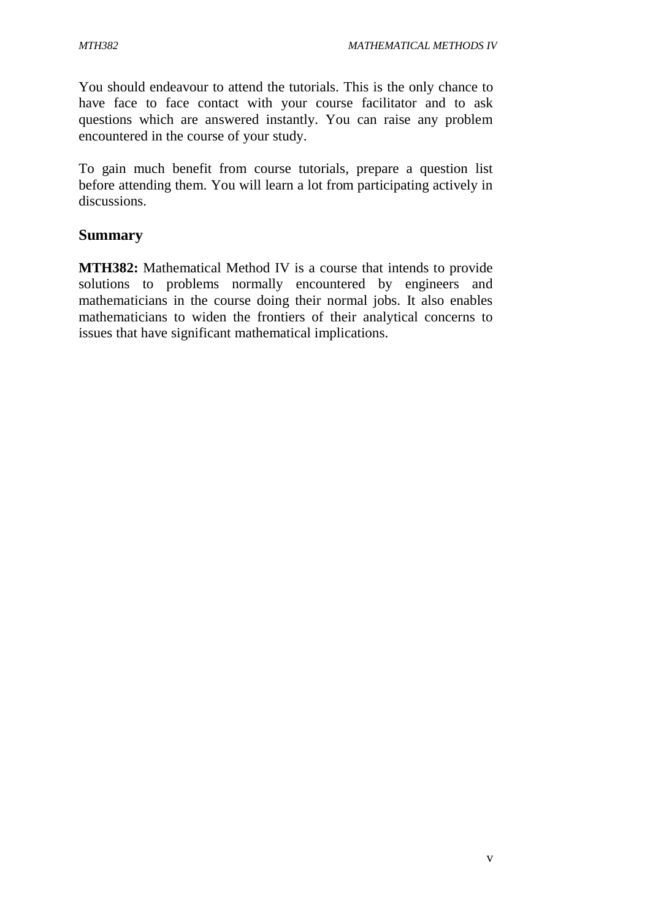You should endeavour to attend the tutorials. This is the only chance to have face to face contact with your course facilitator and to ask questions which are answered instantly. You can raise any problem encountered in the course of your study.

To gain much benefit from course tutorials, prepare a question list before attending them. You will learn a lot from participating actively in discussions.

### **Summary**

**MTH382:** Mathematical Method IV is a course that intends to provide solutions to problems normally encountered by engineers and mathematicians in the course doing their normal jobs. It also enables mathematicians to widen the frontiers of their analytical concerns to issues that have significant mathematical implications.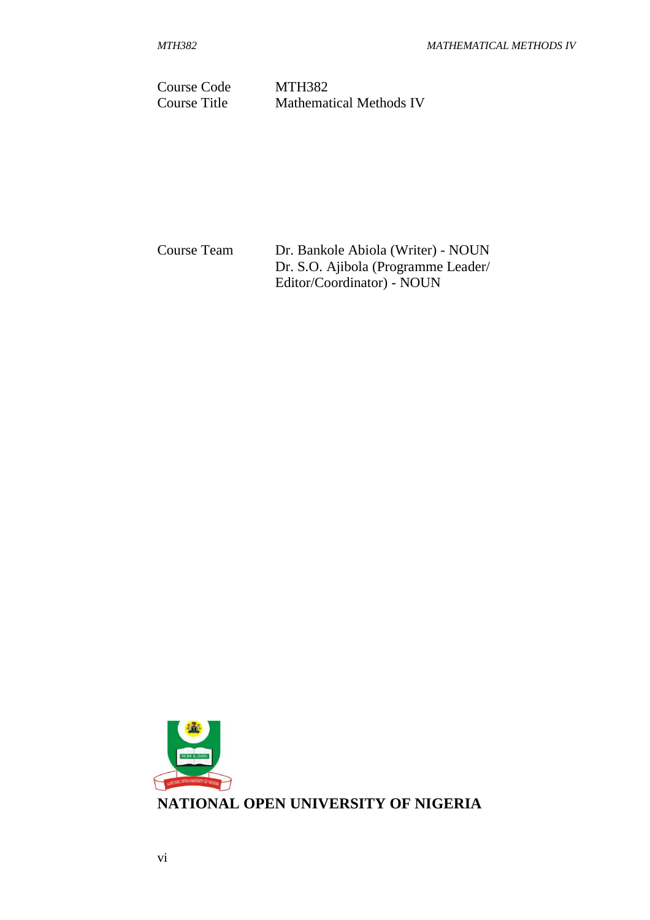Course Code MTH382 Course Title Mathematical Methods IV

Course Team Dr. Bankole Abiola (Writer) - NOUN Dr. S.O. Ajibola (Programme Leader/ Editor/Coordinator) - NOUN

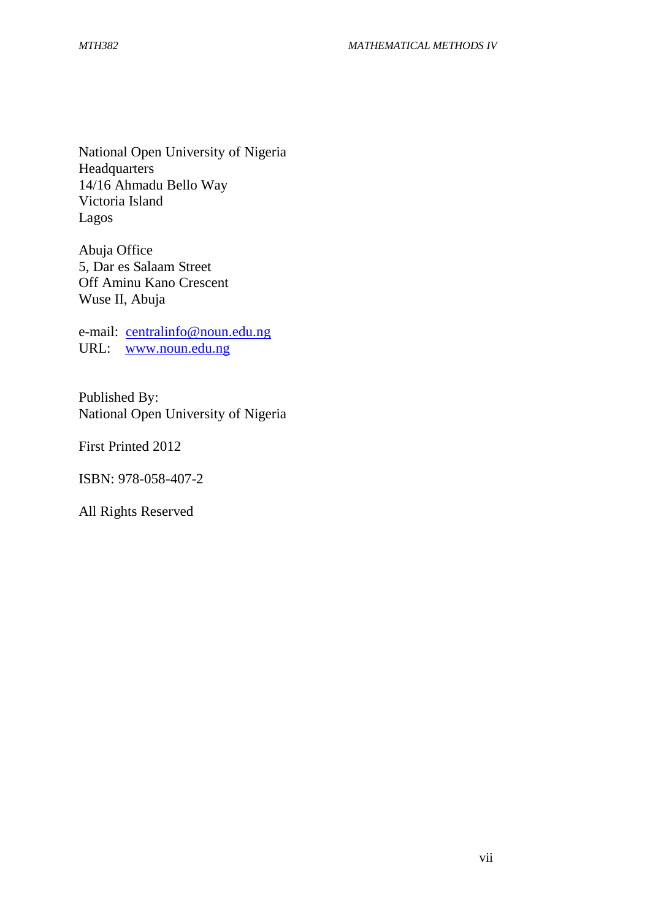National Open University of Nigeria **Headquarters** 14/16 Ahmadu Bello Way Victoria Island Lagos

Abuja Office 5, Dar es Salaam Street Off Aminu Kano Crescent Wuse II, Abuja

e-mail: centralinfo@noun.edu.ng URL: www.noun.edu.ng

Published By: National Open University of Nigeria

First Printed 2012

ISBN: 978-058-407-2

All Rights Reserved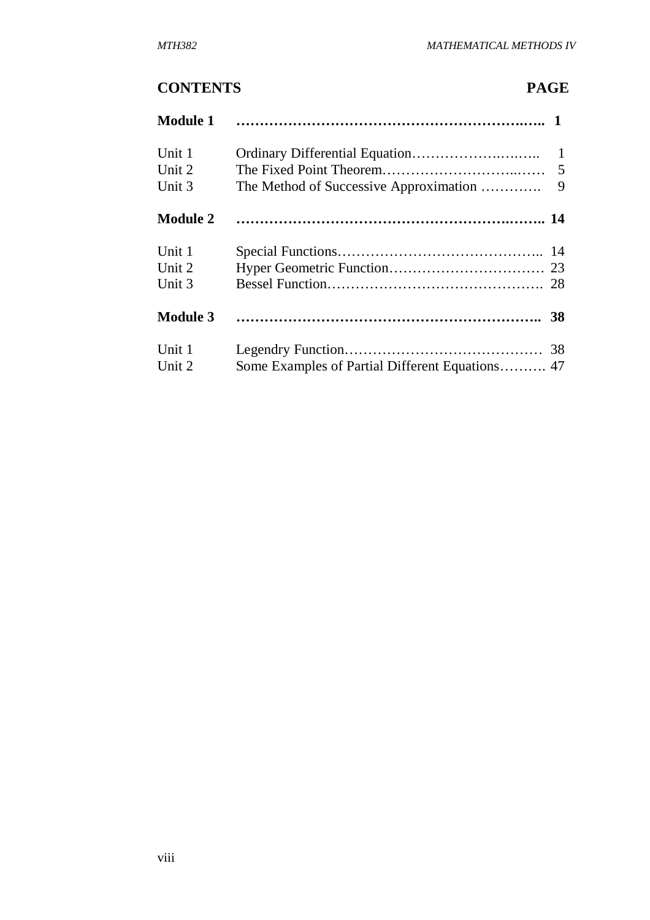# **CONTENTS PAGE**

| <b>Module 1</b> |                                        |                |
|-----------------|----------------------------------------|----------------|
| Unit 1          |                                        |                |
| Unit 2          |                                        | $\overline{5}$ |
| Unit 3          | The Method of Successive Approximation | 9              |
| <b>Module 2</b> |                                        |                |
| Unit 1          |                                        |                |
| Unit 2          |                                        |                |
| Unit 3          |                                        |                |
| <b>Module 3</b> |                                        |                |
| Unit 1          |                                        |                |
| Unit 2          |                                        |                |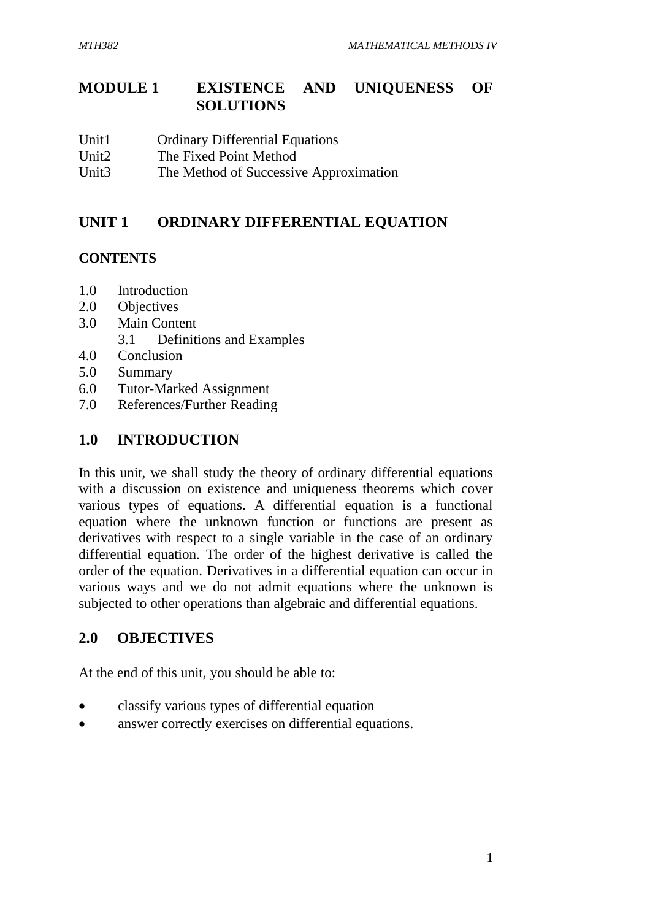# **MODULE 1 EXISTENCE AND UNIQUENESS OF SOLUTIONS**

- Unit1 Ordinary Differential Equations
- Unit2 The Fixed Point Method
- Unit3 The Method of Successive Approximation

## **UNIT 1 ORDINARY DIFFERENTIAL EQUATION**

### **CONTENTS**

- 1.0 Introduction
- 2.0 Objectives
- 3.0 Main Content
	- 3.1 Definitions and Examples
- 4.0 Conclusion
- 5.0 Summary
- 6.0 Tutor-Marked Assignment
- 7.0 References/Further Reading

### **1.0 INTRODUCTION**

In this unit, we shall study the theory of ordinary differential equations with a discussion on existence and uniqueness theorems which cover various types of equations. A differential equation is a functional equation where the unknown function or functions are present as derivatives with respect to a single variable in the case of an ordinary differential equation. The order of the highest derivative is called the order of the equation. Derivatives in a differential equation can occur in various ways and we do not admit equations where the unknown is subjected to other operations than algebraic and differential equations.

# **2.0 OBJECTIVES**

At the end of this unit, you should be able to:

- classify various types of differential equation
- answer correctly exercises on differential equations.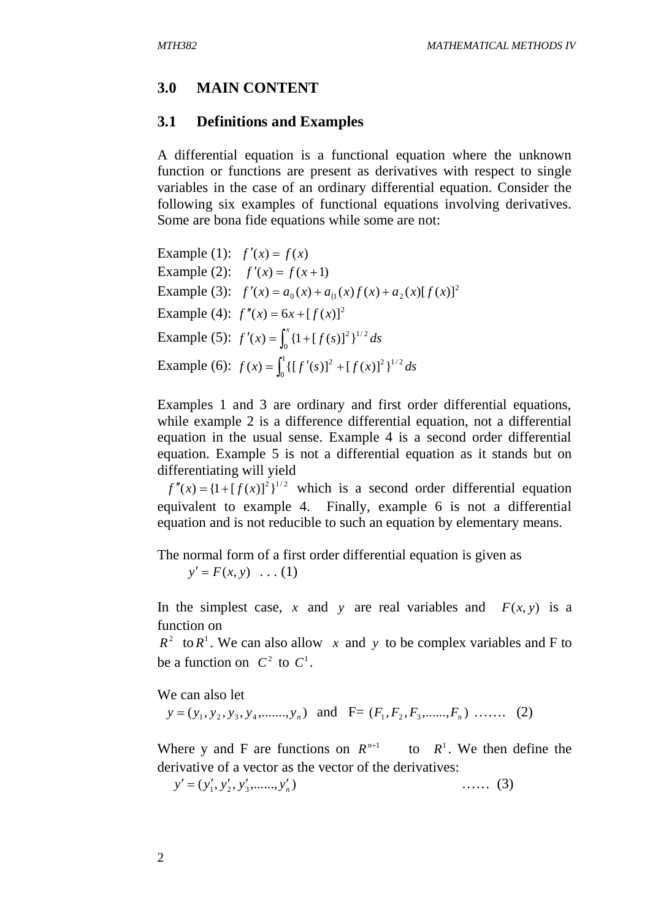### **3.0 MAIN CONTENT**

### **3.1 Definitions and Examples**

A differential equation is a functional equation where the unknown function or functions are present as derivatives with respect to single variables in the case of an ordinary differential equation. Consider the following six examples of functional equations involving derivatives. Some are bona fide equations while some are not:

Example (1):  $f'(x) = f(x)$ Example (2):  $f'(x) = f(x+1)$ Example (3):  $f'(x) = a_0(x) + a_1(x)f(x) + a_2(x)[f(x)]^2$  $f'(x) = a_0(x) + a_1(x)f(x) + a_2(x)[f(x)]$ Example (4):  $f''(x) = 6x + [f(x)]^2$ Example (5):  $f'(x) = \int_{0}^{x} \{1 + [f(s)]^2\}^{1/2} ds$ 0  $\prime(x) = \int_0^x \{1 + [f(s)]^2\}$ Example (6):  $f(x) = \int_{0}^{1} \{ [f'(s)]^{2} + [f(x)]^{2} \}^{1/2} ds$ 0  $f(x) = \int_0^1 \{ [f'(s)]^2 + [f(x)]^2 \}$ 

Examples 1 and 3 are ordinary and first order differential equations, while example 2 is a difference differential equation, not a differential equation in the usual sense. Example 4 is a second order differential equation. Example 5 is not a differential equation as it stands but on differentiating will yield

 $f''(x) = {1 + [f(x)]^2}^{1/2}$  which is a second order differential equation equivalent to example 4. Finally, example 6 is not a differential equation and is not reducible to such an equation by elementary means.

The normal form of a first order differential equation is given as  $y' = F(x, y) \dots (1)$ 

In the simplest case, *x* and *y* are real variables and  $F(x, y)$  is a function on

 $R^2$  to  $R^1$ . We can also allow x and y to be complex variables and F to be a function on  $C^2$  to  $C^1$ .

We can also let

 $y = (y_1, y_2, y_3, y_4, \dots, y_n)$  and  $F = (F_1, F_2, F_3, \dots, F_n) \dots$  (2)

Where y and F are functions on  $R^{n+1}$  to  $R^1$ . We then define the derivative of a vector as the vector of the derivatives:

$$
y' = (y'_1, y'_2, y'_3, \dots, y'_n) \quad \dots \quad (3)
$$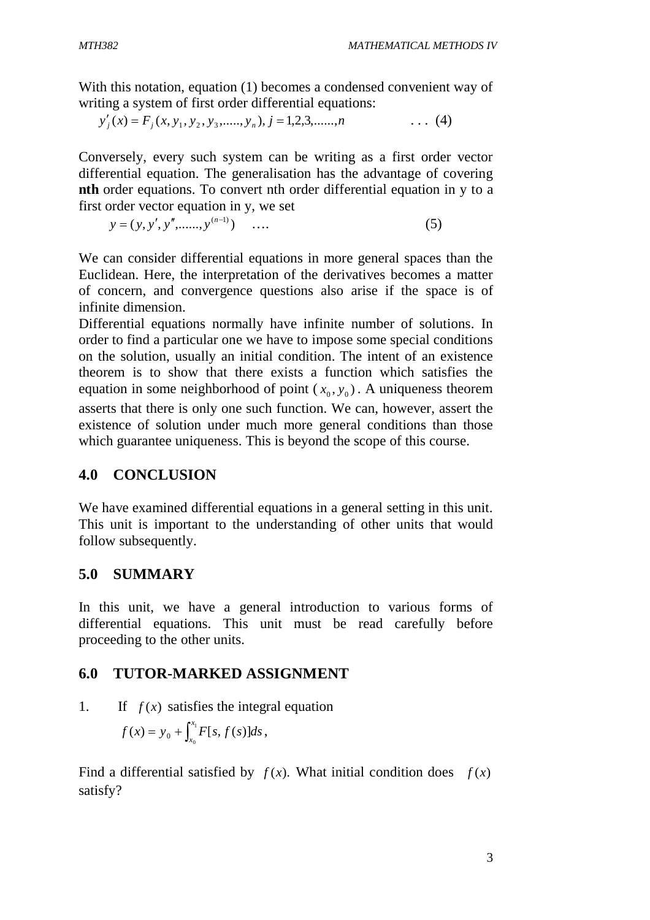With this notation, equation (1) becomes a condensed convenient way of writing a system of first order differential equations:

$$
y'_{j}(x) = F_{j}(x, y_{1}, y_{2}, y_{3}, \dots, y_{n}), j = 1, 2, 3, \dots, n
$$
 (4)

Conversely, every such system can be writing as a first order vector differential equation. The generalisation has the advantage of covering **nth** order equations. To convert nth order differential equation in y to a first order vector equation in y, we set

 $y = (y, y', y'', \dots, y^{(n-1)}) \dots$  (5)

We can consider differential equations in more general spaces than the Euclidean. Here, the interpretation of the derivatives becomes a matter of concern, and convergence questions also arise if the space is of infinite dimension.

Differential equations normally have infinite number of solutions. In order to find a particular one we have to impose some special conditions on the solution, usually an initial condition. The intent of an existence theorem is to show that there exists a function which satisfies the equation in some neighborhood of point  $(x_0, y_0)$ . A uniqueness theorem asserts that there is only one such function. We can, however, assert the existence of solution under much more general conditions than those which guarantee uniqueness. This is beyond the scope of this course.

#### **4.0 CONCLUSION**

We have examined differential equations in a general setting in this unit. This unit is important to the understanding of other units that would follow subsequently.

### **5.0 SUMMARY**

In this unit, we have a general introduction to various forms of differential equations. This unit must be read carefully before proceeding to the other units.

### **6.0 TUTOR-MARKED ASSIGNMENT**

1. If  $f(x)$  satisfies the integral equation

$$
f(x) = y_0 + \int_{x_0}^{x_1} F[s, f(s)]ds,
$$

Find a differential satisfied by  $f(x)$ . What initial condition does  $f(x)$ satisfy?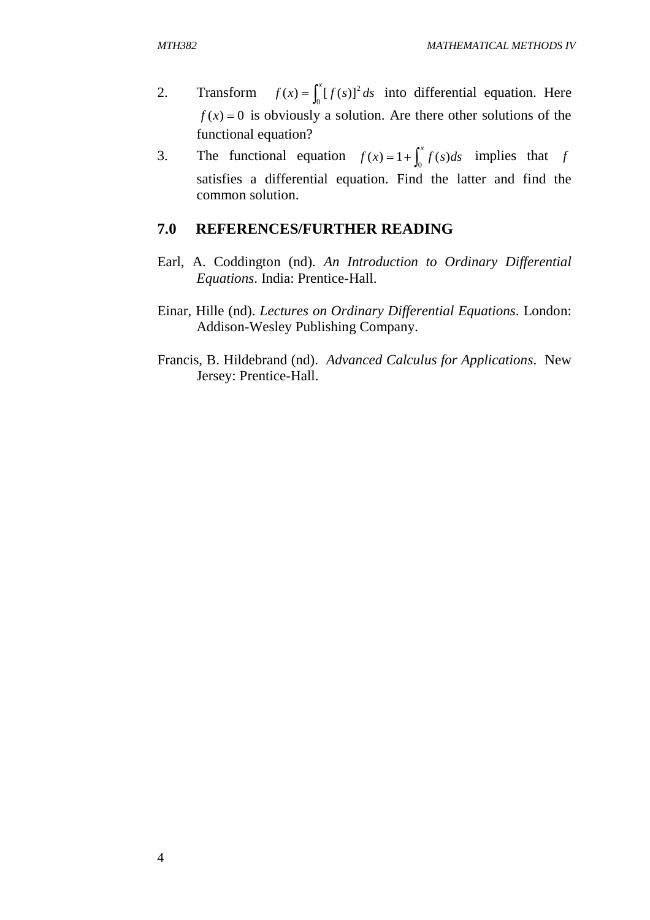- 2. Transform  $f(x) = \int_0^x [f(s)]^2 ds$  $f(x) = \int_{0}^{x} [f(s)]^2 ds$  into differential equation. Here  $f(x) = 0$  is obviously a solution. Are there other solutions of the functional equation?
- 3. The functional equation  $f(x) = 1 + \int_0^x f(s)ds$  implies that *f* satisfies a differential equation. Find the latter and find the common solution.

#### **7.0 REFERENCES/FURTHER READING**

- Earl, A. Coddington (nd). *An Introduction to Ordinary Differential Equations*. India: Prentice-Hall.
- Einar, Hille (nd). *Lectures on Ordinary Differential Equations*. London: Addison-Wesley Publishing Company.
- Francis, B. Hildebrand (nd). *Advanced Calculus for Applications*. New Jersey: Prentice-Hall.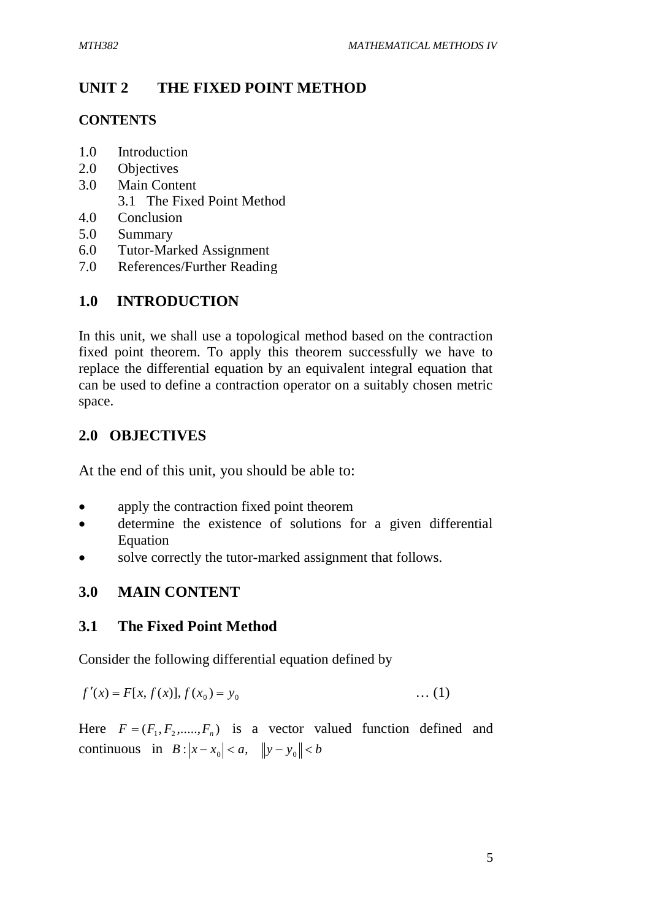### **UNIT 2 THE FIXED POINT METHOD**

#### **CONTENTS**

- 1.0 Introduction
- 2.0 Objectives
- 3.0 Main Content
	- 3.1 The Fixed Point Method
- 4.0 Conclusion
- 5.0 Summary
- 6.0 Tutor-Marked Assignment
- 7.0 References/Further Reading

### **1.0 INTRODUCTION**

In this unit, we shall use a topological method based on the contraction fixed point theorem. To apply this theorem successfully we have to replace the differential equation by an equivalent integral equation that can be used to define a contraction operator on a suitably chosen metric space.

### **2.0 OBJECTIVES**

At the end of this unit, you should be able to:

- apply the contraction fixed point theorem
- determine the existence of solutions for a given differential Equation
- solve correctly the tutor-marked assignment that follows.

### **3.0 MAIN CONTENT**

### **3.1 The Fixed Point Method**

Consider the following differential equation defined by

$$
f'(x) = F[x, f(x)], f(x_0) = y_0 \tag{1}
$$

Here  $F = (F_1, F_2, \dots, F_n)$  is a vector valued function defined and continuous in  $B: |x - x_0| < a, \|y - y_0\| < b$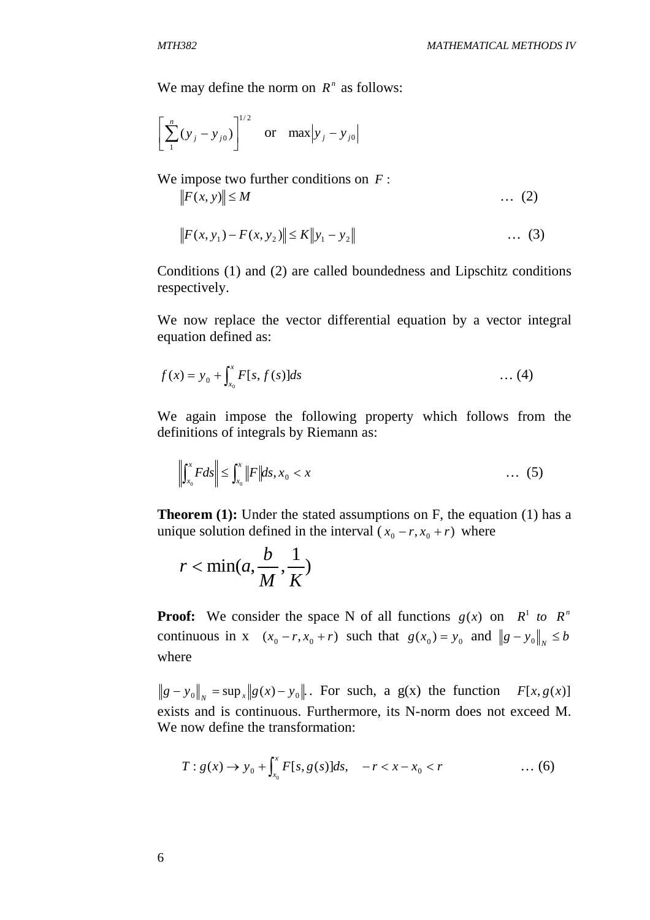We may define the norm on  $R^n$  as follows:

$$
\left[ \sum_{1}^{n} (y_j - y_{j0}) \right]^{1/2} \quad \text{or} \quad \max |y_j - y_{j0}|
$$

We impose two further conditions on *F* :  $||F(x, y)|| \le M$  … (2)

$$
||F(x, y_1) - F(x, y_2)|| \le K||y_1 - y_2|| \qquad \qquad \dots \tag{3}
$$

Conditions (1) and (2) are called boundedness and Lipschitz conditions respectively.

We now replace the vector differential equation by a vector integral equation defined as:

$$
f(x) = y_0 + \int_{x_0}^x F[s, f(s)]ds \qquad \qquad \dots (4)
$$

We again impose the following property which follows from the definitions of integrals by Riemann as:

$$
\left\| \int_{x_0}^x F ds \right\| \le \int_{x_0}^x \left\| F \right\| ds, x_0 < x \tag{5}
$$

**Theorem (1):** Under the stated assumptions on F, the equation (1) has a unique solution defined in the interval  $(x_0 - r, x_0 + r)$  where

$$
r < \min(a, \frac{b}{M}, \frac{1}{K})
$$

**Proof:** We consider the space N of all functions  $g(x)$  on  $R^1$  to  $R^n$ continuous in x  $(x_0 - r, x_0 + r)$  such that  $g(x_0) = y_0$  and  $||g - y_0||_N \le b$ where

 $g - y_0 \Vert_x = \sup_x \Vert g(x) - y_0 \Vert_x$ . For such, a g(x) the function  $F[x, g(x)]$ exists and is continuous. Furthermore, its N-norm does not exceed M. We now define the transformation:

$$
T: g(x) \to y_0 + \int_{x_0}^x F[s, g(s)]ds, \quad -r < x - x_0 < r \quad \dots (6)
$$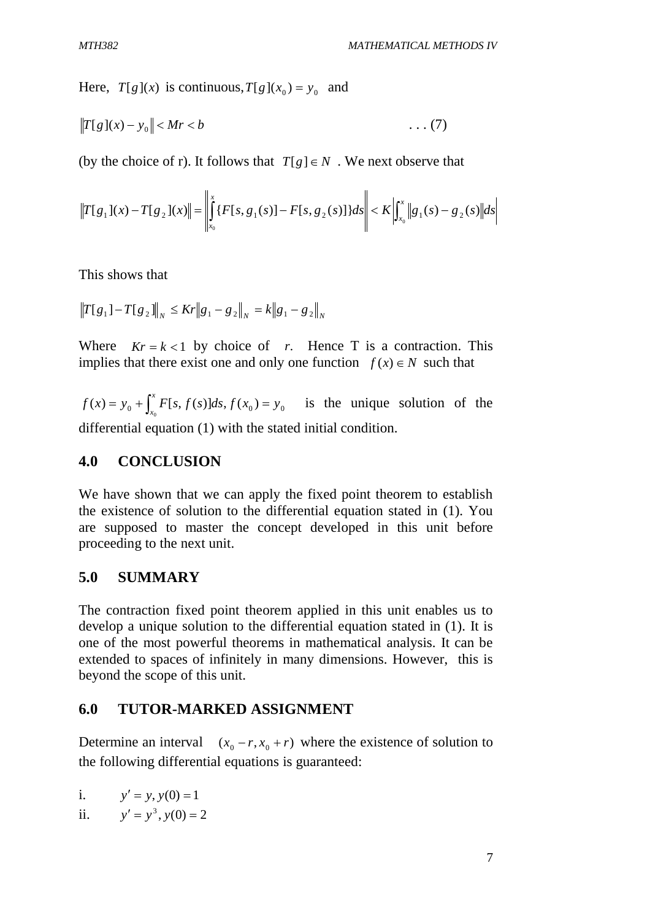Here,  $T[g](x)$  is continuous,  $T[g](x_0) = y_0$  and

$$
||T[g](x) - y_0|| < Mr < b \tag{7}
$$

(by the choice of r). It follows that  $T[g] \in N$ . We next observe that

$$
\left\|T[g_1](x) - T[g_2](x)\right\| = \left\|\int_{x_0}^x \{F[s, g_1(s)] - F[s, g_2(s)]\} ds\right\| < K \left|\int_{x_0}^x \|g_1(s) - g_2(s)\| ds\right|
$$

This shows that

$$
||T[g_1] - T[g_2]||_N \leq K r ||g_1 - g_2||_N = k ||g_1 - g_2||_N
$$

Where  $Kr = k < 1$  by choice of *r*. Hence T is a contraction. This implies that there exist one and only one function  $f(x) \in N$  such that

 $f(x) = y_0 + \int_{x_0}^x F[s, f(s)]ds, f(x_0) = y_0$  $= y_0 + \int_{x_0}^{x} F[s, f(s)]ds, f(x_0) = y_0$  is the unique solution of the differential equation (1) with the stated initial condition.

#### **4.0 CONCLUSION**

We have shown that we can apply the fixed point theorem to establish the existence of solution to the differential equation stated in (1). You are supposed to master the concept developed in this unit before proceeding to the next unit.

#### **5.0 SUMMARY**

The contraction fixed point theorem applied in this unit enables us to develop a unique solution to the differential equation stated in (1). It is one of the most powerful theorems in mathematical analysis. It can be extended to spaces of infinitely in many dimensions. However, this is beyond the scope of this unit.

#### **6.0 TUTOR-MARKED ASSIGNMENT**

Determine an interval  $(x_0 - r, x_0 + r)$  where the existence of solution to the following differential equations is guaranteed:

i. 
$$
y' = y, y(0) = 1
$$

ii.  $y' = y^3, y(0) = 2$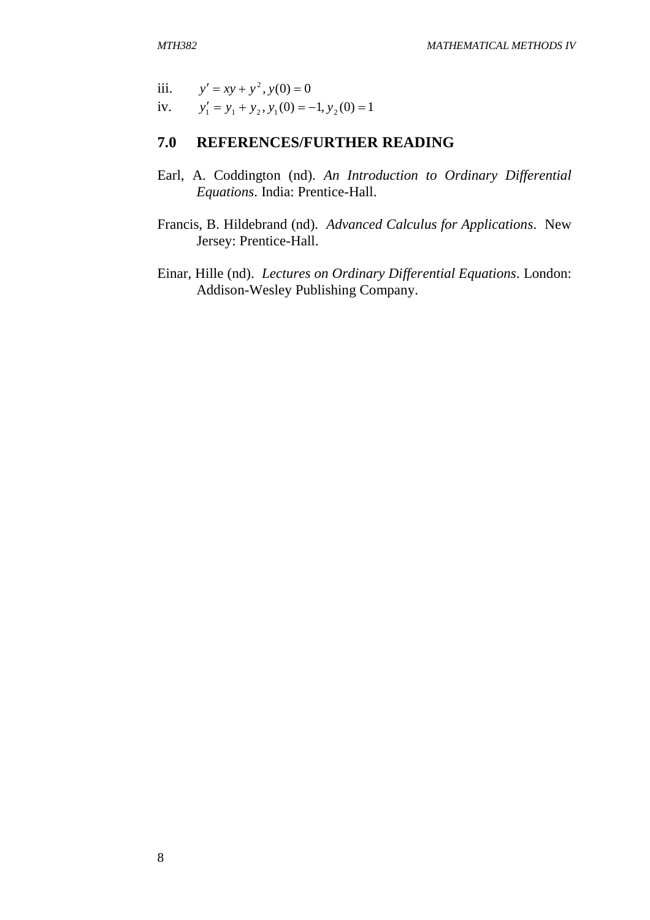- iii.  $y' = xy + y^2$ ,  $y(0) = 0$
- iv.  $y'_1 = y_1 + y_2, y_1(0) = -1, y_2(0) = 1$

# **7.0 REFERENCES/FURTHER READING**

- Earl, A. Coddington (nd). *An Introduction to Ordinary Differential Equations*. India: Prentice-Hall.
- Francis, B. Hildebrand (nd). *Advanced Calculus for Applications*. New Jersey: Prentice-Hall.
- Einar, Hille (nd). *Lectures on Ordinary Differential Equations*. London: Addison-Wesley Publishing Company.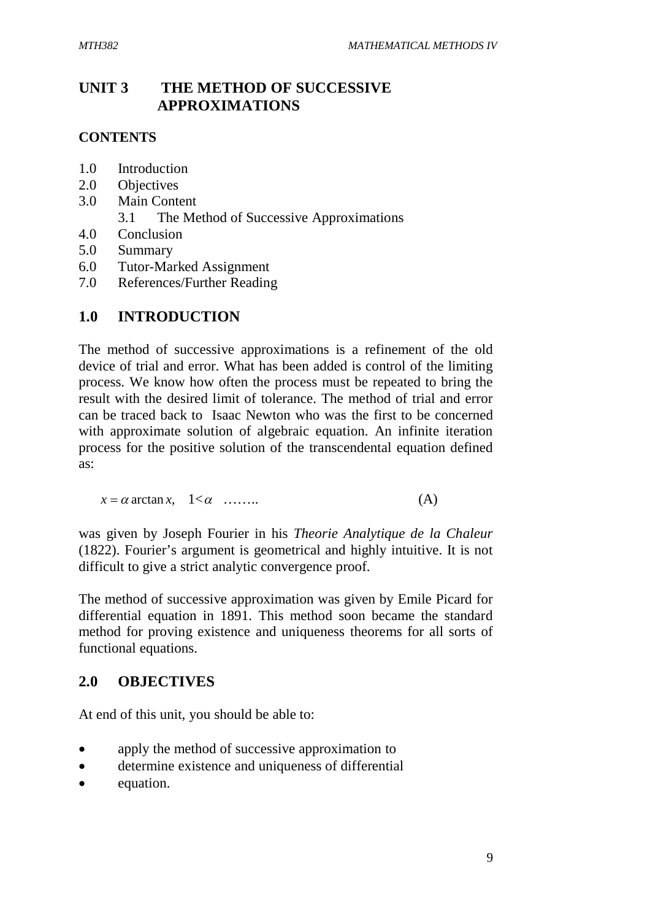# **UNIT 3 THE METHOD OF SUCCESSIVE APPROXIMATIONS**

### **CONTENTS**

- 1.0 Introduction
- 2.0 Objectives
- 3.0 Main Content
	- 3.1 The Method of Successive Approximations
- 4.0 Conclusion
- 5.0 Summary
- 6.0 Tutor-Marked Assignment
- 7.0 References/Further Reading

### **1.0 INTRODUCTION**

The method of successive approximations is a refinement of the old device of trial and error. What has been added is control of the limiting process. We know how often the process must be repeated to bring the result with the desired limit of tolerance. The method of trial and error can be traced back to Isaac Newton who was the first to be concerned with approximate solution of algebraic equation. An infinite iteration process for the positive solution of the transcendental equation defined as:

 $x = \alpha \arctan x$ , 1< $\alpha$  ……... (A)

was given by Joseph Fourier in his *Theorie Analytique de la Chaleur* (1822). Fourier's argument is geometrical and highly intuitive. It is not difficult to give a strict analytic convergence proof.

The method of successive approximation was given by Emile Picard for differential equation in 1891. This method soon became the standard method for proving existence and uniqueness theorems for all sorts of functional equations.

### **2.0 OBJECTIVES**

At end of this unit, you should be able to:

- apply the method of successive approximation to
- determine existence and uniqueness of differential
- equation.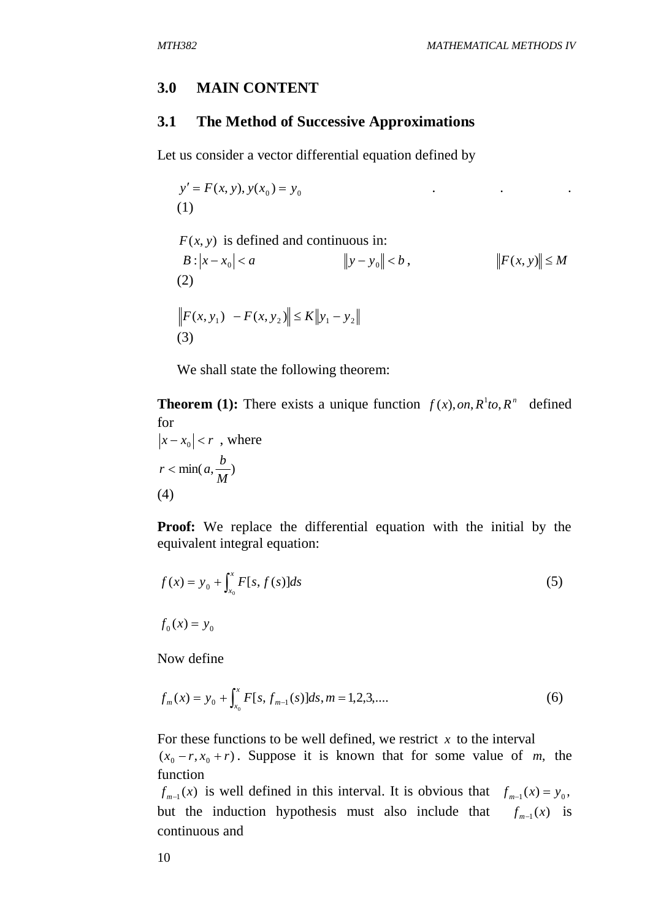### **3.0 MAIN CONTENT**

#### **3.1 The Method of Successive Approximations**

Let us consider a vector differential equation defined by

 $y' = F(x, y), y(x_0) = y_0$  . (1)  $F(x, y)$  is defined and continuous in:  $B: |x - x_0| < a$   $||y - y_0|| < b$ ,  $||F(x, y)|| \le M$ (2)  $\| F(x, y_1) - F(x, y_2) \| \le K \| y_1 - y_2 \|$ (3)

We shall state the following theorem:

**Theorem (1):** There exists a unique function  $f(x)$ , *on*,  $R^1$ *to*,  $R^n$  defined for

$$
|x - x_0| < r \quad \text{where}
$$
\n
$$
r < \min(a, \frac{b}{M})
$$
\n
$$
(4)
$$

**Proof:** We replace the differential equation with the initial by the equivalent integral equation:

$$
f(x) = y_0 + \int_{x_0}^{x} F[s, f(s)]ds
$$
\n
$$
f_0(x) = y_0
$$
\n(5)

Now define

$$
f_m(x) = y_0 + \int_{x_0}^x F[s, f_{m-1}(s)]ds, m = 1, 2, 3, ....
$$
 (6)

For these functions to be well defined, we restrict  $x$  to the interval  $(x_0 - r, x_0 + r)$ . Suppose it is known that for some value of *m*, the function

 $f_{m-1}(x)$  is well defined in this interval. It is obvious that  $f_{m-1}(x) = y_0$ , but the induction hypothesis must also include that  $f_{m-1}(x)$  is continuous and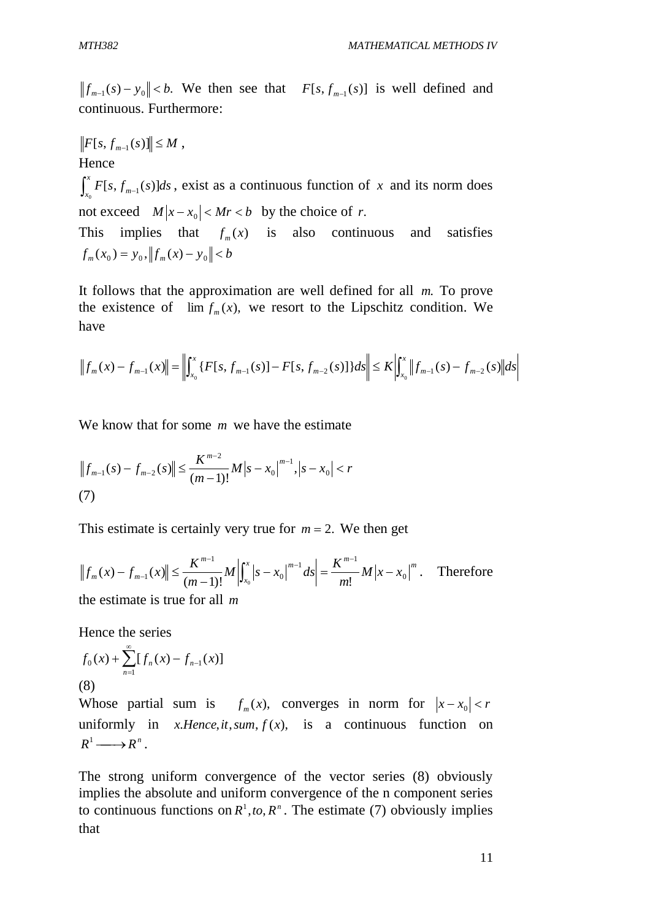$|f_{m-1}(s) - y_0| < b$ . We then see that  $F[s, f_{m-1}(s)]$  is well defined and continuous. Furthermore:

 $F[s, f_{m-1}(s)]$   $\leq M$ , Hence  $\int_{x_0}^x F[s, f_{m-}]$  $\int_{x_0}^{\infty} F[s, f_{m-1}(s)]ds$ , exist as a continuous function of *x* and its norm does 0 not exceed  $M|x-x_0| < Mr < b$  by the choice of *r*. This implies that  $f_m(x)$  is also continuous and satisfies  $f_m(x_0) = y_0$ ,  $||f_m(x) - y_0|| < b$ 

It follows that the approximation are well defined for all *m*. To prove the existence of  $\lim f_m(x)$ , we resort to the Lipschitz condition. We have

$$
\left\|f_m(x) - f_{m-1}(x)\right\| = \left\|\int_{x_0}^x \{F[s, f_{m-1}(s)] - F[s, f_{m-2}(s)]\} ds\right\| \le K \left|\int_{x_0}^x \left\|f_{m-1}(s) - f_{m-2}(s)\right\| ds\right|
$$

We know that for some *m* we have the estimate

$$
||f_{m-1}(s) - f_{m-2}(s)|| \le \frac{K^{m-2}}{(m-1)!} M|s - x_0|^{m-1}, |s - x_0| < r
$$
  
(7)

This estimate is certainly very true for  $m = 2$ . We then get

$$
||f_m(x) - f_{m-1}(x)|| \le \frac{K^{m-1}}{(m-1)!} M \left| \int_{x_0}^x |s - x_0|^{m-1} ds \right| = \frac{K^{m-1}}{m!} M |x - x_0|^m. \quad \text{Therefore}
$$

the estimate is true for all *m*

Hence the series

$$
f_0(x) + \sum_{n=1}^{\infty} [f_n(x) - f_{n-1}(x)]
$$
  
(8)

Whose partial sum is  $f_m(x)$ , converges in norm for  $|x-x_0| < r$ uniformly in *x*.*Hence*,*it*,*sum*,  $f(x)$ , is a continuous function on  $R^1 \longrightarrow R^n$ .

The strong uniform convergence of the vector series (8) obviously implies the absolute and uniform convergence of the n component series to continuous functions on  $R^1$ , *to*,  $R^n$ . The estimate (7) obviously implies that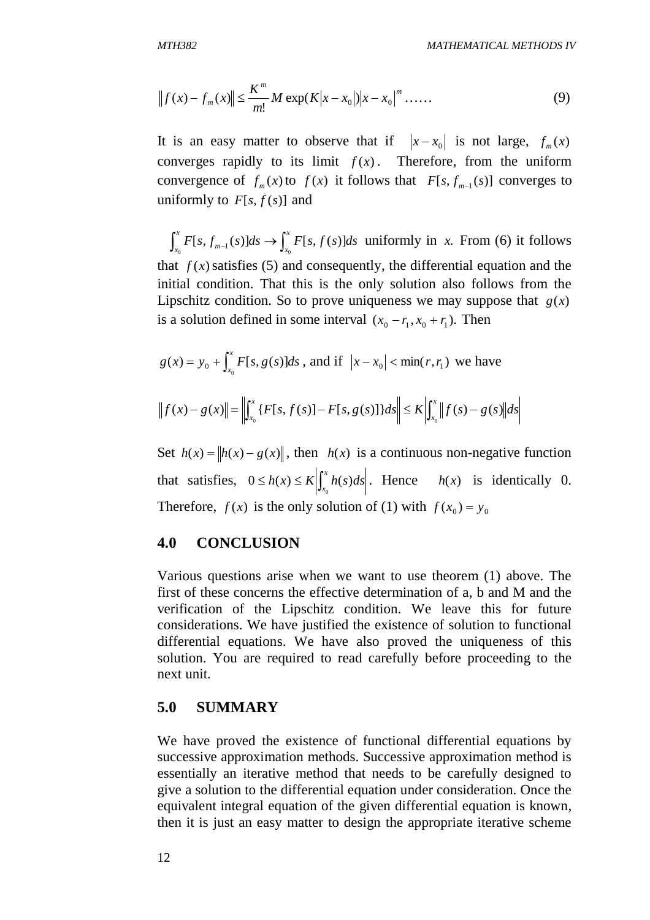$$
||f(x) - f_m(x)|| \le \frac{K^m}{m!} M \exp(K|x - x_0|)|x - x_0|^m \dots
$$
 (9)

It is an easy matter to observe that if  $|x-x_0|$  is not large,  $f_m(x)$ converges rapidly to its limit  $f(x)$ . Therefore, from the uniform convergence of  $f_m(x)$  to  $f(x)$  it follows that  $F[s, f_{m-1}(s)]$  converges to uniformly to  $F[s, f(s)]$  and

 $\int_{x_0}^x F[s, f_{m-1}(s)] ds \rightarrow \int$ *x x*  $\int_{a}^{b} F[s, f_{m-1}(s)] ds \rightarrow \int_{x_0}^{b} F[s, f(s)] ds$  uniformly in *x*. From (6) it follows that  $f(x)$  satisfies (5) and consequently, the differential equation and the initial condition. That this is the only solution also follows from the Lipschitz condition. So to prove uniqueness we may suppose that  $g(x)$ is a solution defined in some interval  $(x_0 - r_1, x_0 + r_1)$ . Then

$$
g(x) = y_0 + \int_{x_0}^{x} F[s, g(s)]ds
$$
, and if  $|x - x_0| < \min(r, r_1)$  we have

$$
\|f(x)-g(x)\|=\left\|\int_{x_0}^x\{F[s,f(s)]-F[s,g(s)]\}ds\right\|\leq K\left|\int_{x_0}^x\|f(s)-g(s)\right\|ds
$$

Set  $h(x) = ||h(x) - g(x)||$ , then  $h(x)$  is a continuous non-negative function that satisfies,  $0 \le h(x) \le K \left| \int_{x_0}^x$  $0 \le h(x) \le K \left| \int_{x_0}^{x} h(s) ds \right|$ . Hence  $h(x)$  is identically 0. Therefore,  $f(x)$  is the only solution of (1) with  $f(x_0) = y_0$ 

#### **4.0 CONCLUSION**

Various questions arise when we want to use theorem (1) above. The first of these concerns the effective determination of a, b and M and the verification of the Lipschitz condition. We leave this for future considerations. We have justified the existence of solution to functional differential equations. We have also proved the uniqueness of this solution. You are required to read carefully before proceeding to the next unit.

#### **5.0 SUMMARY**

We have proved the existence of functional differential equations by successive approximation methods. Successive approximation method is essentially an iterative method that needs to be carefully designed to give a solution to the differential equation under consideration. Once the equivalent integral equation of the given differential equation is known, then it is just an easy matter to design the appropriate iterative scheme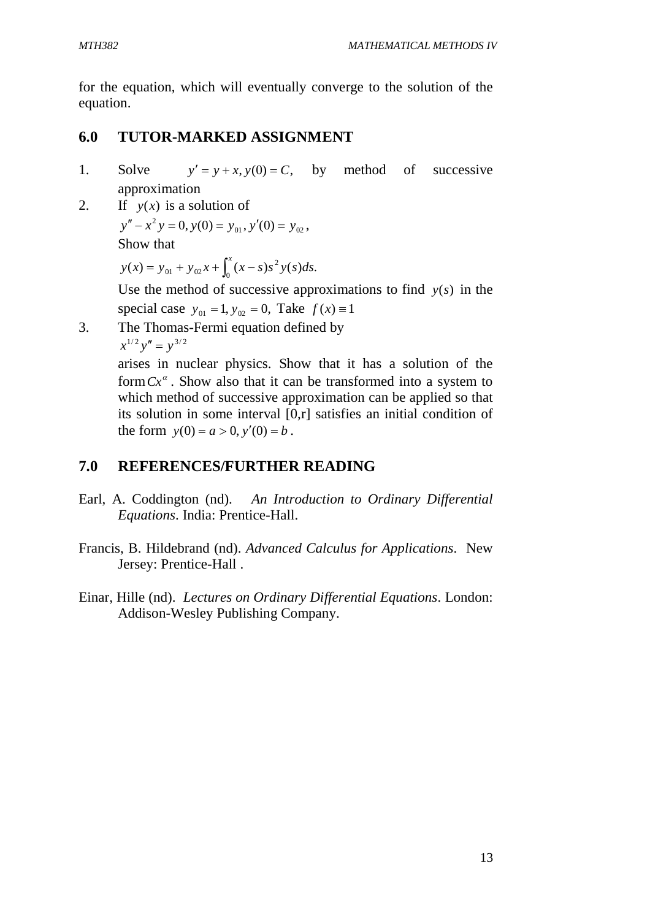for the equation, which will eventually converge to the solution of the equation.

# **6.0 TUTOR-MARKED ASSIGNMENT**

- 1. Solve  $y' = y + x$ ,  $y(0) = C$ , by method of successive approximation
- 2. If  $y(x)$  is a solution of  $y'' - x^2 y = 0$ ,  $y(0) = y_{01}$ ,  $y'(0) = y_{02}$ , Show that

 $y(x) = y_{01} + y_{02}x + \int_0^x (x - s)s^2 y(s)ds.$  $y(x) = y_{01} + y_{02}x + \int_0^x (x - s)s^2 y(s) ds$ 

> Use the method of successive approximations to find  $y(s)$  in the special case  $y_{01} = 1$ ,  $y_{02} = 0$ , Take  $f(x) \equiv 1$

3. The Thomas-Fermi equation defined by  $x^{1/2}y'' = y^{3/2}$ 

arises in nuclear physics. Show that it has a solution of the form  $Cx^{\alpha}$ . Show also that it can be transformed into a system to which method of successive approximation can be applied so that its solution in some interval [0,r] satisfies an initial condition of the form  $y(0) = a > 0$ ,  $y'(0) = b$ .

# **7.0 REFERENCES/FURTHER READING**

- Earl, A. Coddington (nd). *An Introduction to Ordinary Differential Equations*. India: Prentice-Hall.
- Francis, B. Hildebrand (nd). *Advanced Calculus for Applications*. New Jersey: Prentice-Hall .
- Einar, Hille (nd). *Lectures on Ordinary Differential Equations*. London: Addison-Wesley Publishing Company.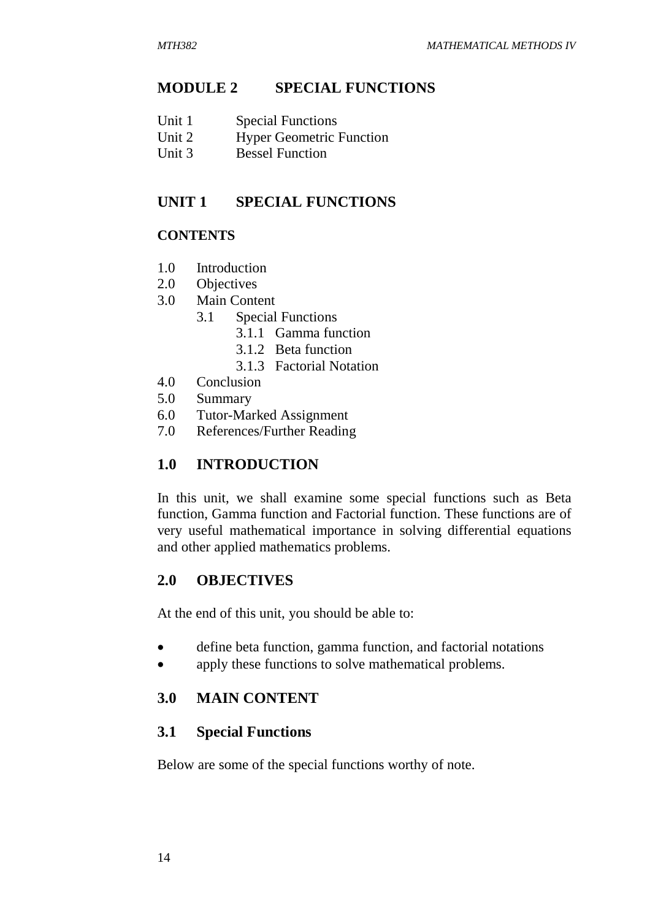### **MODULE 2 SPECIAL FUNCTIONS**

- Unit 2 Hyper Geometric Function<br>Unit 3 Bessel Function
- Bessel Function

### **UNIT 1 SPECIAL FUNCTIONS**

### **CONTENTS**

- 1.0 Introduction
- 2.0 Objectives
- 3.0 Main Content
	- 3.1 Special Functions
		- 3.1.1 Gamma function
		- 3.1.2 Beta function
		- 3.1.3 Factorial Notation
- 4.0 Conclusion
- 5.0 Summary
- 6.0 Tutor-Marked Assignment
- 7.0 References/Further Reading

### **1.0 INTRODUCTION**

In this unit, we shall examine some special functions such as Beta function, Gamma function and Factorial function. These functions are of very useful mathematical importance in solving differential equations and other applied mathematics problems.

### **2.0 OBJECTIVES**

At the end of this unit, you should be able to:

- define beta function, gamma function, and factorial notations
- apply these functions to solve mathematical problems.

### **3.0 MAIN CONTENT**

### **3.1 Special Functions**

Below are some of the special functions worthy of note.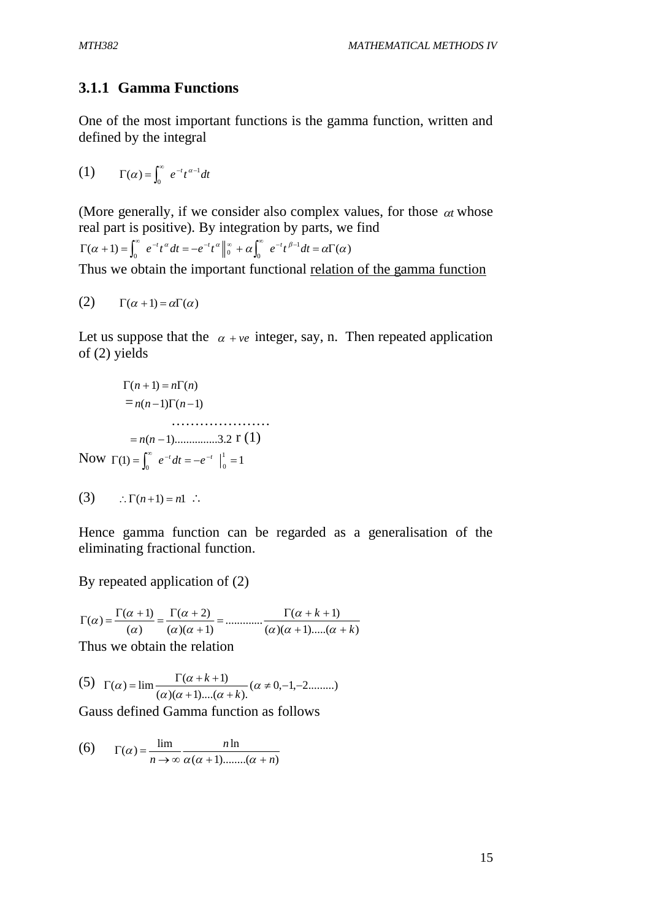### **3.1.1 Gamma Functions**

One of the most important functions is the gamma function, written and defined by the integral

(1)  $\Gamma(\alpha) = \int_0^\infty e^{-t} t^{\alpha-1} dt$ 

(More generally, if we consider also complex values, for those  $\alpha t$  whose real part is positive). By integration by parts, we find  $(\alpha + 1) = \int_{0}^{\infty} e^{-t} t^{\alpha} dt = -e^{-t} t^{\alpha} \Big|_{0}^{\infty} + \alpha \Big|_{0}^{\infty} e^{-t} t^{\beta-1} dt = \alpha \Gamma(\alpha)$  $\Gamma(\alpha+1) = \int_0^\infty e^{-t} t^\alpha dt = -e^{-t} t^\alpha \Big|_0^\infty + \alpha \int_0^\infty e^{-t} t^{\beta-1} dt = \alpha \Gamma(\alpha)$ Thus we obtain the important functional relation of the gamma function

$$
(2) \qquad \Gamma(\alpha+1) = \alpha \Gamma(\alpha)
$$

Let us suppose that the  $\alpha +ve$  integer, say, n. Then repeated application of (2) yields

$$
\Gamma(n+1) = n\Gamma(n)
$$
  
=  $n(n-1)\Gamma(n-1)$   
.................3.2 r (1)  
Now  $\Gamma(1) = \int_0^\infty e^{-t} dt = -e^{-t} \Big|_0^1 = 1$ 

$$
(3) \qquad \therefore \Gamma(n+1) = n! \quad \therefore
$$

Hence gamma function can be regarded as a generalisation of the eliminating fractional function.

By repeated application of (2)

 $(\alpha )(\alpha +1)....(\alpha +k)$  $\frac{\Gamma(\alpha+k+1)}{2\alpha^2+\cdots+\alpha^2}$  $(\alpha)(\alpha+1)$  $(\alpha + 2)$  $(\alpha)$  $(\alpha) = \frac{\Gamma(\alpha+1)}{n}$ *k k*  $+1)$ ..... $(\alpha +$  $=\ldots=\ldots=\frac{\Gamma(\alpha+k+1)}{2\pi\alpha^2}$  $\ddot{}$  α  $\alpha$  )(  $\alpha$ α α  $\alpha$ ) =  $\frac{1}{\alpha}$ 

Thus we obtain the relation

(5) 
$$
\Gamma(\alpha) = \lim_{\alpha \to 0} \frac{\Gamma(\alpha + k + 1)}{(\alpha)(\alpha + 1) \dots (\alpha + k)} (\alpha \neq 0, -1, -2 \dots)
$$

Gauss defined Gamma function as follows

(6) 
$$
\Gamma(\alpha) = \frac{\lim_{n \to \infty} \frac{n \ln}{\alpha(\alpha + 1) \dots (\alpha + n)}}{\alpha(\alpha + 1) \dots (\alpha + n)}
$$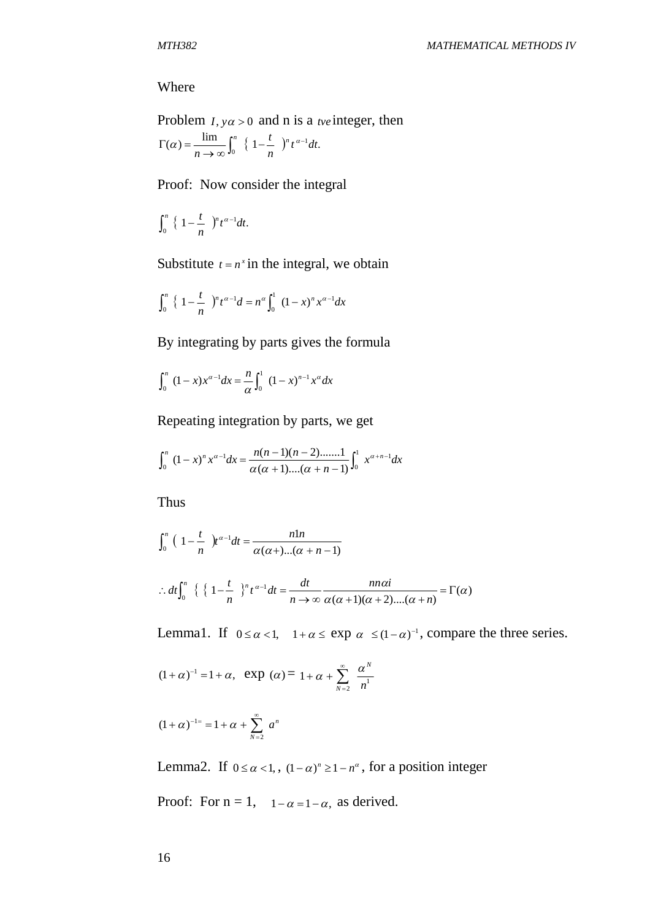#### Where

Problem  $I, y\alpha > 0$  and n is a *tve* integer, then  $\alpha = \frac{\lim}{\lim} \int_{a}^{n} \{1 - \frac{t}{a}\}^{n} t^{\alpha-1} dt.$  $\int_0^{\pi} \left\{1 - \frac{t}{n}\right\}^n t^{\alpha-1} dt$ *n t n*  $\frac{n}{2} \left\{ 1 - \frac{t}{r} \right\}^n t^{\alpha - 1}$  $\Gamma(\alpha) = \frac{mn}{n \to \infty} \int_0^{\alpha} \left\{ 1 - \frac{1}{n} \right\}^n t^{\alpha}$ 

Proof: Now consider the integral

$$
\int_0^n\big\{\,1-\frac{t}{n}\,\big\}^nt^{\alpha-1}dt.
$$

Substitute  $t = n^x$  in the integral, we obtain

$$
\int_0^n \left\{ 1 - \frac{t}{n} \right\}^n t^{\alpha - 1} dt = n^{\alpha} \int_0^1 (1 - x)^n x^{\alpha - 1} dx
$$

By integrating by parts gives the formula

$$
\int_0^n (1-x)x^{\alpha-1} dx = \frac{n}{\alpha} \int_0^1 (1-x)^{n-1} x^{\alpha} dx
$$

Repeating integration by parts, we get

$$
\int_0^n (1-x)^n x^{\alpha-1} dx = \frac{n(n-1)(n-2) \dots n!}{\alpha(\alpha+1) \dots (\alpha+n-1)} \int_0^1 x^{\alpha+n-1} dx
$$

Thus

$$
\int_0^n \left(1 - \frac{t}{n}\right) t^{\alpha - 1} dt = \frac{n \ln}{\alpha(\alpha +)...(\alpha + n - 1)}
$$
  
:.  $dt \int_0^n \left\{ \left\{1 - \frac{t}{n}\right\}^n t^{\alpha - 1} dt = \frac{dt}{n \to \infty} \frac{n n \alpha i}{\alpha(\alpha + 1)(\alpha + 2)...(\alpha + n)} = \Gamma(\alpha)$ 

Lemma1. If  $0 \le \alpha < 1$ ,  $1 + \alpha \le \exp \alpha \le (1 - \alpha)^{-1}$ , compare the three series.

$$
(1+\alpha)^{-1} = 1+\alpha
$$
,  $\exp(\alpha) = 1+\alpha + \sum_{N=2}^{\infty} \frac{\alpha^N}{n^1}$ 

$$
(1+\alpha)^{-1} = 1 + \alpha + \sum_{N=2}^{\infty} a^{N}
$$

Lemma2. If  $0 \le \alpha < 1$ ,  $(1 - \alpha)^n \ge 1 - n^{\alpha}$ , for a position integer

Proof: For  $n = 1$ ,  $1 - \alpha = 1 - \alpha$ , as derived.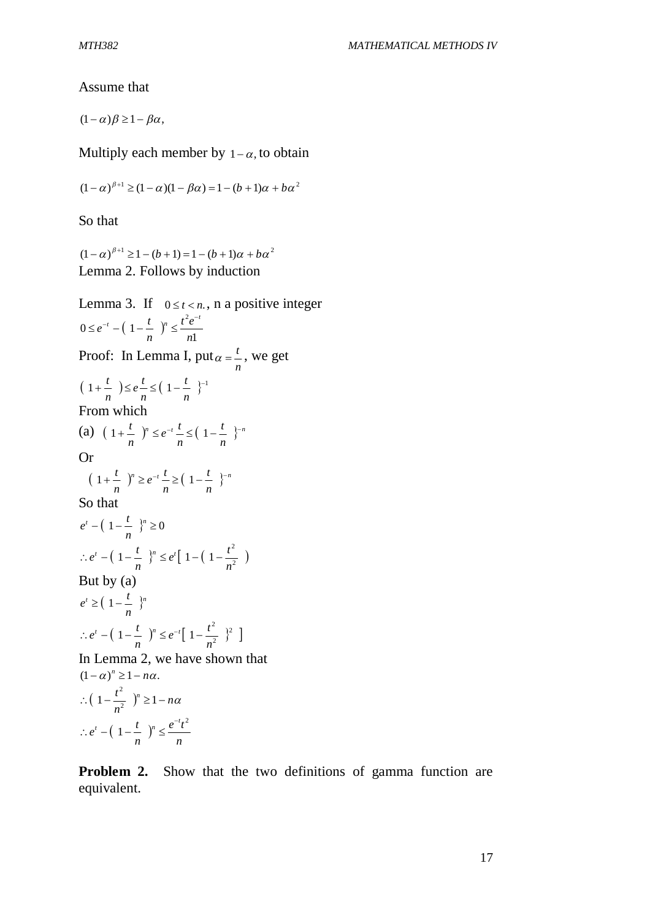Assume that

 $(1 - \alpha)\beta \ge 1 - \beta\alpha$ ,

Multiply each member by  $1-\alpha$ , to obtain

$$
(1 - \alpha)^{\beta+1} \ge (1 - \alpha)(1 - \beta \alpha) = 1 - (b + 1)\alpha + b\alpha^{2}
$$

So that

 $(1 - \alpha)^{\beta+1} \ge 1 - (b+1) = 1 - (b+1)\alpha + b\alpha^2$ Lemma 2. Follows by induction

Lemma 3. If  $0 \le t < n$ , n a positive integer  $(1 - \frac{1}{\cdot})^r$ 1  $0 \leq e^{-t} - (1$ 2 *n*  $t^2e$ *n*  $e^{-t} - (1 - \frac{t}{t})$  $\leq e^{-t} - (1 - \frac{t}{t})^n \leq \frac{t^2 e^{-t}}{t}$ Proof: In Lemma I, put *n*  $\alpha = \frac{t}{n}$ , we get  $(1+\frac{l}{\cdot}) \leq e^{\frac{l}{\cdot}} \leq (1-\frac{l}{\cdot})^{-1}$ *n t n t e n t* From which (a)  $(1+\frac{l}{r})^n \leq e^{-t} \leq (1-\frac{l}{r})^{n}$ *n t n*  $e^{-t}$ <sup> $\frac{t}{t}$ </sup> *n*  $1 + \frac{t}{t}$   $)^n \leq e^{-t} \frac{t}{t} \leq (1 - \frac{t}{t})$ Or  $(1+\frac{l}{r})^n \geq e^{-t} - \geq (1-\frac{l}{r})^{n}$ *n t n*  $e^{-t}$ <sup>*t*</sup> *n*  $1 + \frac{t}{t}$   $)^n \ge e^{-t} \frac{t}{t} \ge \left(1 - \frac{t}{t}\right)^n$ So that  $\lambda^t - (1 - \frac{l}{r})^n \geq 0$ *n*  $e^{t} - (1 - \frac{t}{\cdot})$  $\left(1-\frac{v}{n}\right)^n \leq e^t \left[1-\left(1-\frac{v}{n^2}\right)\right]$ 2  $1 - \frac{1}{2}$   $\binom{n}{2} \leq e^t | 1 - (1$ *n*  $e^{t}$ [ 1 – (1 –  $\frac{t}{t}$ *n*  $\therefore e^{t} - (1 - \frac{t}{t})^{n} \leq e^{t} [1 - (1 - \frac{t}{t})^{n}]$ But by (a)  $\mu$   $\geq$   $\left(1-\frac{l}{r}\right)^n$ *n*  $e^{t} \geq \left(1 - \frac{t}{t}\right)$  $\left(1-\frac{l}{r}\right)^n \leq e^{-t}\left[1-\frac{l}{r}\right]^2$ 2 2  $1 - \frac{1}{\cdot}$   $)^n \leq e^{-t}$  1 *n*  $e^{-t}$ [ 1 –  $\frac{t}{t}$ *n*  $\therefore e^{t} - (1 - \frac{t}{t})^{n} \leq e^{-t} [1 - \frac{t}{t}]$ In Lemma 2, we have shown that  $(1 - \alpha)^n \geq 1 - n\alpha$ .  $\left(1-\frac{r}{2}\right)^n \geq 1-n\alpha$  $\therefore$   $\left(1 - \frac{t^2}{n^2}\right)^n \ge 1$  $(1 - \frac{1}{\cdot})^r$ *n*  $e^{-t}t$ *n*  $e^{t} - (1 - \frac{t}{\cdot})$  $t \left(1 - \frac{t}{n}\right)$   $e^{-t}t^2$ 1 i,  $\therefore e^t - (1 - \frac{1}{r})^n \le$ 

**Problem 2.** Show that the two definitions of gamma function are equivalent.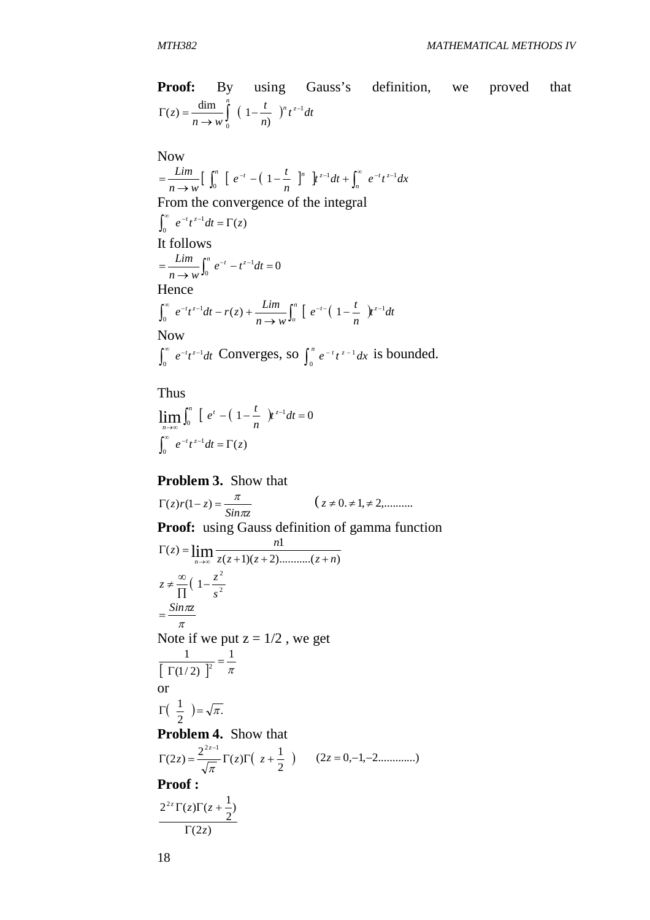**Proof:** By using Gauss's definition, we proved that 
$$
\Gamma(z) = \frac{\dim}{n \to w} \int_{0}^{\pi} \left(1 - \frac{t}{n}\right)^n t^{z-1} dt
$$

Now  
\n
$$
\lim_{n \to \infty} \left[ \int_0^n \left[ e^{-t} - \left( 1 - \frac{t}{n} \right)^n \right] t^{z-1} dt + \int_n^{\infty} e^{-t} t^{z-1} dx \right]
$$
\nFrom the convergence of the integral  
\n
$$
\int_0^{\infty} e^{-t} t^{z-1} dt = \Gamma(z)
$$
\nIt follows  
\n
$$
= \frac{\lim}{n \to \infty} \int_0^n e^{-t} - t^{z-1} dt = 0
$$
\nHence  
\n
$$
\int_0^{\infty} e^{-t} t^{z-1} dt - r(z) + \frac{\lim}{n \to \infty} \int_0^n \left[ e^{-t} \left( 1 - \frac{t}{n} \right) t^{z-1} dt \right]
$$
\nNow  
\n
$$
\int_0^{\infty} e^{-t} t^{z-1} dt = \text{Converges, so } \int_0^n \left[ -t^{z-1} \right] t^{z-1} dt
$$

 $\int_{0}^{\infty} e^{-t} t^{z-1} dt$  $\int_0^{\infty} e^{-t} t^{z-1} dt$  Converges, so  $\int_0^{\infty} e^{-t} t^{z-1} dx$ 0  $\int_0^n e^{-t} t^{z-1} dx$  is bounded.

Thus

$$
\lim_{n \to \infty} \int_0^n \left[ e^t - \left( 1 - \frac{t}{n} \right) t^{z-1} dt \right] = 0
$$
  

$$
\int_0^\infty e^{-t} t^{z-1} dt = \Gamma(z)
$$

**Problem 3.** Show that

*Sin z*  $z)r(1-z) = \frac{\pi}{\sin \pi}$ π  $(z \neq 0, \neq 1, \neq 2, \dots,$ **Proof:** using Gauss definition of gamma function ( 1)( 2)...........( )  $(z) = \lim_{n \to \infty} \frac{n!}{z(z+1)(z+2) \dots (z+n)}$  $z = \lim \frac{n}{2}$ *<sup>n</sup>*  $\Gamma(z) =$ →∞  $\left(1-\frac{2}{a^2}\right)$ 2 1 *s*  $z \neq \frac{\infty}{\sqrt{2}} \left(1 - \frac{z}{z}\right)$ П  $\neq \frac{\infty}{1}$ π  $=\frac{Sin\pi z}{2}$ Note if we put  $z = 1/2$ , we get  $\left| \Gamma(1/2) \right|^{2} \pi$ 1  $(1/2)$ 1  $\frac{1}{2}$  =  $\Gamma$ or  $\left(\begin{array}{cc} 1 \\ -2 \end{array}\right) = \sqrt{\pi}$ . 2  $\Gamma(\frac{1}{2}) = \sqrt{\pi}$ **Problem 4.** Show that  $\left(\begin{array}{c} z + \frac{1}{2} \end{array}\right)$ 2  $(2z) = \frac{2^{2z-1}}{\sqrt{z}} \Gamma(z) \Gamma\left( z + \frac{1}{2} \right)$  $2z-1$  $\Gamma(2z) = \frac{z}{\sqrt{2\pi}} \Gamma(z) \Gamma( z +$  $z = \frac{z}{\sqrt{z}} \Gamma(z) \Gamma(z)$ *z* (2*z* 0,1,2.............) **Proof :**  $(2z)$ ) 2  $2^{2z}\Gamma(z)\Gamma(z+\frac{1}{z})$ *z*  $\int z \Gamma(z) \Gamma(z)$  $\Gamma$  $\Gamma(z)\Gamma(z +$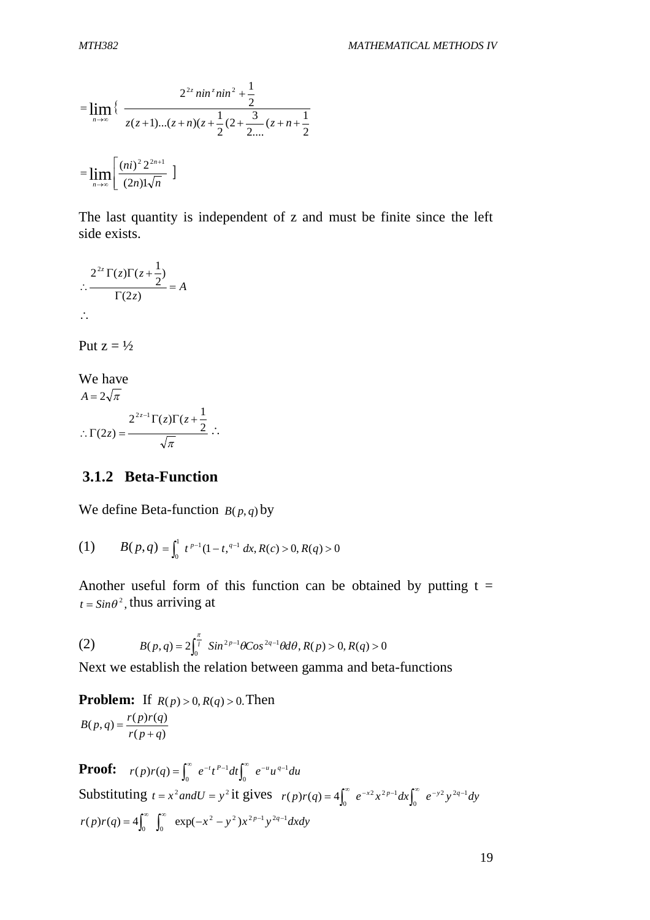$$
= \lim_{n \to \infty} \left\{ \frac{2^{2z} \sin^{z} n i n^{2} + \frac{1}{2}}{z(z+1)...(z+n)(z+\frac{1}{2}(2+\frac{3}{2...}(z+n+\frac{1}{2})z)} \right\}
$$

$$
= \lim_{n \to \infty} \left[ \frac{(ni)^{2} 2^{2n+1}}{(2n)! \sqrt{n}} \right]
$$

The last quantity is independent of z and must be finite since the left side exists.

$$
\therefore \frac{2^{2z}\Gamma(z)\Gamma(z+\frac{1}{2})}{\Gamma(2z)} = A
$$
  

$$
\therefore \frac{2^{2z}\Gamma(z)\Gamma(z+\frac{1}{2})}{\Gamma(2z)}
$$

Put  $z = \frac{1}{2}$ 

We have  
\n
$$
A = 2\sqrt{\pi}
$$
\n
$$
\therefore \Gamma(2z) = \frac{2^{2z-1}\Gamma(z)\Gamma(z+\frac{1}{2})}{\sqrt{\pi}} \therefore
$$

### **3.1.2 Beta-Function**

We define Beta-function  $B(p,q)$  by

(1) 
$$
B(p,q) = \int_0^1 t^{p-1} (1-t)^{q-1} dx, R(c) > 0, R(q) > 0
$$

Another useful form of this function can be obtained by putting  $t =$  $t = \sin \theta^2$ , thus arriving at

(2) 
$$
B(p,q) = 2\int_0^{\frac{\pi}{l}} \sin^{2p-1}\theta \cos^{2q-1}\theta d\theta, R(p) > 0, R(q) > 0
$$

Next we establish the relation between gamma and beta-functions

**Problem:** If  $R(p) > 0, R(q) > 0$ . Then  $(p+q)$  $(p,q) = \frac{r(p)r(q)}{q}$  $r(p+q)$  $B(p,q) = \frac{r(p)r(q)}{q}$  $^{+}$  $=$ 

**Proof:**  $r(p)r(q) = \int_0^\infty e^{-t}t^{p-1}dt \int_0^\infty e^{-u}u^{q-1}du$ 1  $(p)r(q) = \int_0^{\infty} e^{-t} t^{p-1} dt \int_0^{\infty} e^{-u} u^{q-1}$ Substituting  $t = x^2$  *and*  $U = y^2$  it gives  $r(p)r(q) = 4\int_0^\infty e^{-x^2} x^{2p-1} dx \int_0^\infty e^{-y^2} y^{2q-1} dy$  $2 - 2p-1$  $(p)r(q) = 4\int_0^\infty e^{-x^2} x^{2p-1} dx \int_0^\infty e^{-y^2} y^{2q-1}$  $r(p)r(q) = 4\int_0^\infty \int_0^\infty \exp(-x^2 - y^2)x^{2p-1}y^{2q-1}dxdy$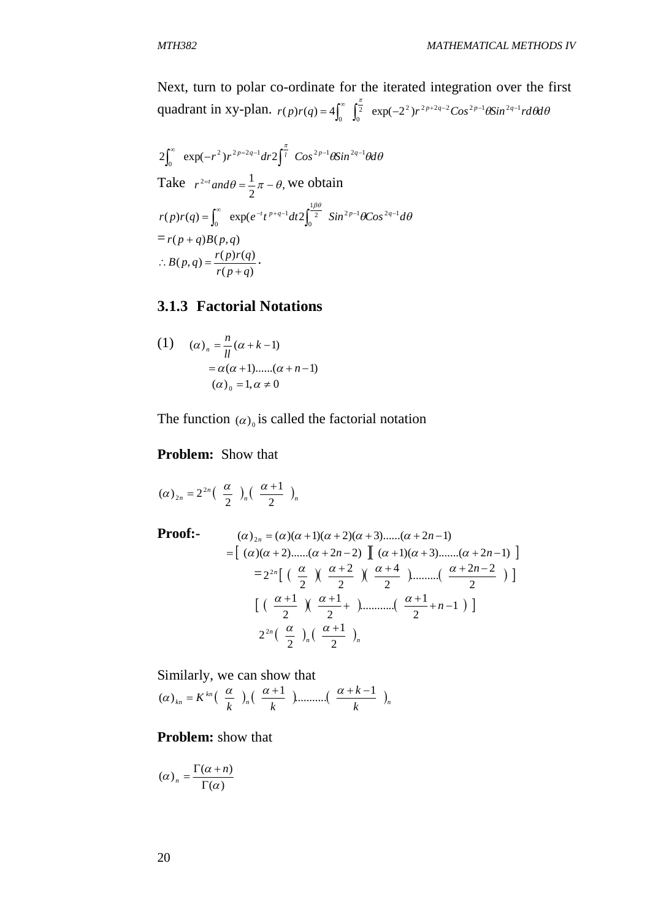Next, turn to polar co-ordinate for the iterated integration over the first quadrant in xy-plan.  $r(p)r(q) = 4\int_{0}^{\infty} \int_{0}^{\frac{\pi}{2}} \exp(-2^{2})r^{2p+2q-2} \cos^{2p-1} \theta \sin^{2q-1} r d\theta d\theta$  $(p)r(q) = 4\int_0^{\infty} \int_0^{\frac{\pi}{2}} \exp(-2^2) r^{2p+2q-2} \cos^{2p-1} \theta \sin^{2q-1}$ 

$$
2\int_0^{\infty} \exp(-r^2) r^{2p-2q-1} dr 2\int_0^{\frac{\pi}{l}} \cos^{2p-1} \theta \sin^{2q-1} \theta d\theta
$$
  
Take  $r^{2-t}$  and  $\theta = \frac{1}{2} \pi - \theta$ , we obtain  

$$
r(p)r(q) = \int_0^{\infty} \exp(e^{-t} t^{p+q-1} dt 2\int_0^{\frac{1\beta\theta}{2}} \sin^{2p-1} \theta \cos^{2q-1} d\theta
$$

$$
= r(p+q)B(p,q)
$$

$$
\therefore B(p,q) = \frac{r(p)r(q)}{r(p+q)}.
$$

### **3.1.3 Factorial Notations**

(1) 
$$
(\alpha)_n = \frac{n}{ll} (\alpha + k - 1)
$$

$$
= \alpha(\alpha + 1) \dots ((\alpha + n - 1))
$$

$$
(\alpha)_0 = 1, \alpha \neq 0
$$

The function  $(\alpha)_0$  is called the factorial notation

#### **Problem:** Show that

$$
(\alpha)_{2n}=2^{2n}\left(\begin{array}{c}\alpha\\2\end{array}\right)_n\left(\begin{array}{c}\alpha+1\\2\end{array}\right)_n
$$

**Proof:-**

$$
= (\alpha)_{2n} = (\alpha)(\alpha+1)(\alpha+2)(\alpha+3)\dots...\alpha+2n-1)
$$
  
= 
$$
[(\alpha)(\alpha+2)\dots...\alpha+2n-2) \quad [(\alpha+1)(\alpha+3)\dots...\alpha+2n-1) \quad ]
$$
  
= 
$$
2^{2n} \left[ \left( \frac{\alpha}{2} \right) \left( \frac{\alpha+2}{2} \right) \left( \frac{\alpha+4}{2} \right) \dots \dots \left( \frac{\alpha+2n-2}{2} \right) \right]
$$
  

$$
[(\frac{\alpha+1}{2}) \left( \frac{\alpha+1}{2} + \dots \dots \left( \frac{\alpha+1}{2} + n-1 \right) \right]
$$
  

$$
2^{2n} \left( \frac{\alpha}{2} \right)_n \left( \frac{\alpha+1}{2} \right)_n
$$

Similarly, we can show that *<sup>n</sup> <sup>n</sup> kn kn k k k k K* 1 ........... 1 ( )

### **Problem:** show that

$$
(\alpha)_n = \frac{\Gamma(\alpha + n)}{\Gamma(\alpha)}
$$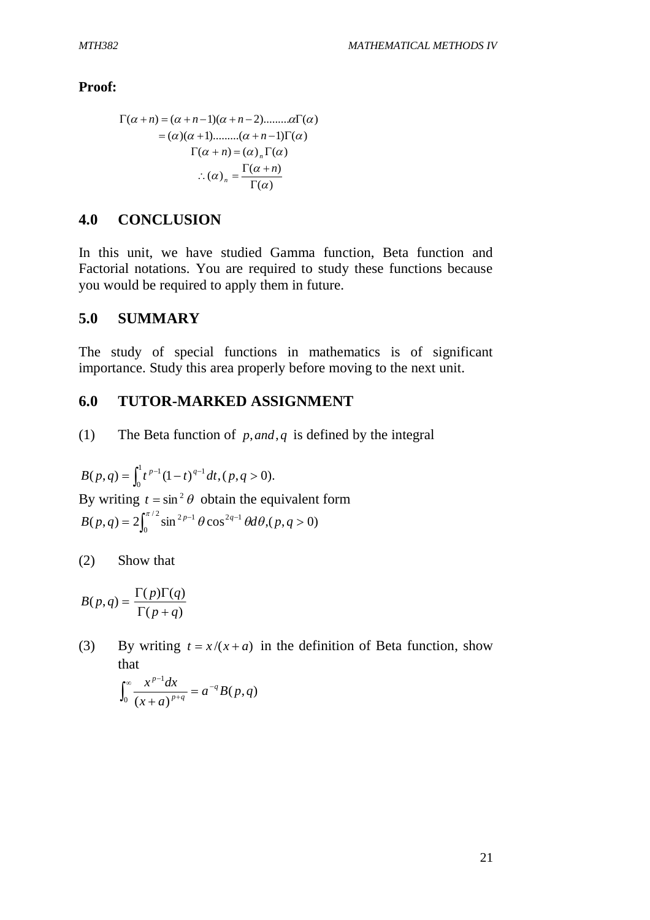**Proof:**

( *n*) ( *n* 1)( *n* 2).........() ()( 1).........( *n* 1)() ( ) () () *<sup>n</sup> n* ( ) ( ) ( ) *n n*

### **4.0 CONCLUSION**

In this unit, we have studied Gamma function, Beta function and Factorial notations. You are required to study these functions because you would be required to apply them in future.

### **5.0 SUMMARY**

The study of special functions in mathematics is of significant importance. Study this area properly before moving to the next unit.

### **6.0 TUTOR-MARKED ASSIGNMENT**

(1) The Beta function of *p*,*and*, *q* is defined by the integral

 $(p, q) = \int_{0}^{1} t^{p-1} (1-t)^{q-1} dt, (p, q > 0).$ 0  $B(p,q) = \int_0^1 t^{p-1} (1-t)^{q-1} dt$ ,  $(p,q>$ By writing  $t = \sin^2 \theta$  obtain the equivalent form  $(p,q) = 2 \int_{0}^{\pi/2} \sin^{2p-1} \theta \cos^{2q-1} \theta d\theta, (p,q>0)$ 0  $B(p,q) = 2 \int_0^{\pi/2} \sin^{2p-1} \theta \cos^{2q-1} \theta d\theta$ ,  $(p,q > 0)$ 

(2) Show that

$$
B(p,q) = \frac{\Gamma(p)\Gamma(q)}{\Gamma(p+q)}
$$

(3) By writing  $t = x/(x + a)$  in the definition of Beta function, show that

$$
\int_0^{\infty} \frac{x^{p-1} dx}{(x+a)^{p+q}} = a^{-q} B(p,q)
$$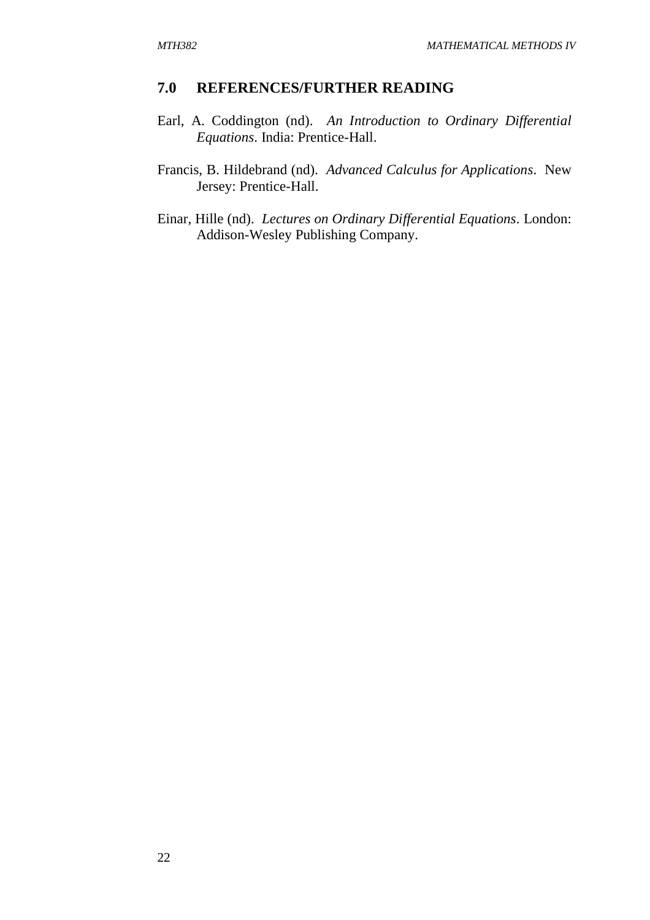#### **7.0 REFERENCES/FURTHER READING**

- Earl, A. Coddington (nd). *An Introduction to Ordinary Differential Equations*. India: Prentice-Hall.
- Francis, B. Hildebrand (nd). *Advanced Calculus for Applications*. New Jersey: Prentice-Hall.
- Einar, Hille (nd). *Lectures on Ordinary Differential Equations*. London: Addison-Wesley Publishing Company.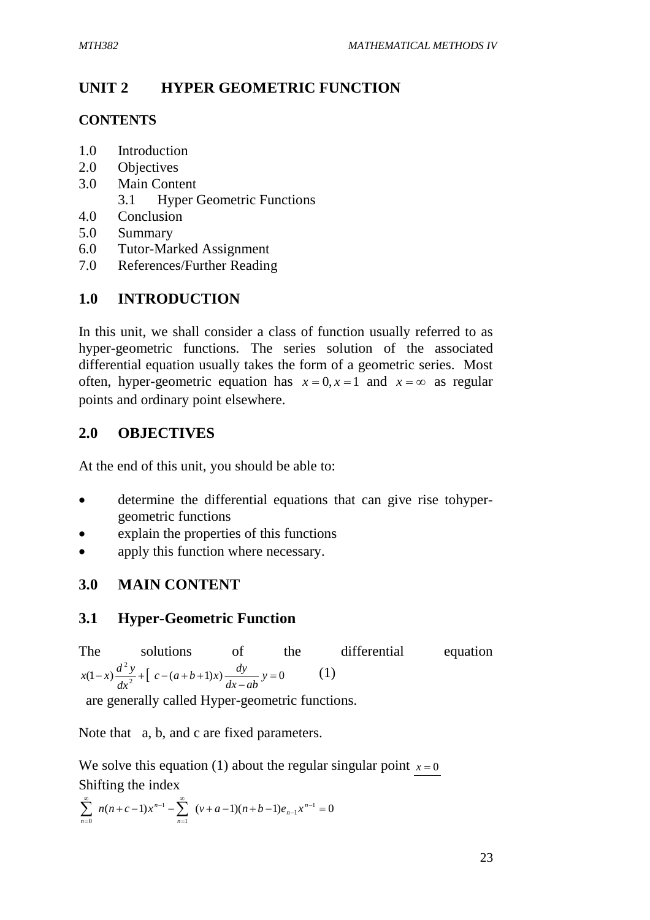# **UNIT 2 HYPER GEOMETRIC FUNCTION**

### **CONTENTS**

- 1.0 Introduction
- 2.0 Objectives
- 3.0 Main Content 3.1 Hyper Geometric Functions
- 4.0 Conclusion
- 5.0 Summary
- 6.0 Tutor-Marked Assignment
- 7.0 References/Further Reading

# **1.0 INTRODUCTION**

In this unit, we shall consider a class of function usually referred to as hyper-geometric functions. The series solution of the associated differential equation usually takes the form of a geometric series. Most often, hyper-geometric equation has  $x = 0, x = 1$  and  $x = \infty$  as regular points and ordinary point elsewhere.

# **2.0 OBJECTIVES**

At the end of this unit, you should be able to:

- determine the differential equations that can give rise tohypergeometric functions
- explain the properties of this functions
- apply this function where necessary.

# **3.0 MAIN CONTENT**

# **3.1 Hyper-Geometric Function**

The solutions of the differential equation  $(1-x)\frac{d^2y}{dx^2} + \left[ c - (a+b+1)x \right] \frac{dy}{dx^2} + C$ 2  $=$ - $(-x)$  $\frac{a}{2}$  $\frac{y}{2}$  $+$   $c - (a+b+1)x$  $\frac{ay}{2}$ *dx ab*  $c - (a+b+1)x$   $\frac{dy}{dx}$ *dx*  $f(x(1-x)) \frac{d^2 y}{dx^2} + \left[ c - (a+b+1)x \right] \frac{dy}{dx}$   $y = 0$  (1)

are generally called Hyper-geometric functions.

Note that a, b, and c are fixed parameters.

We solve this equation (1) about the regular singular point  $x = 0$ Shifting the index

$$
\sum_{n=0}^{\infty} n(n+c-1)x^{n-1} - \sum_{n=1}^{\infty} (v+a-1)(n+b-1)e_{n-1}x^{n-1} = 0
$$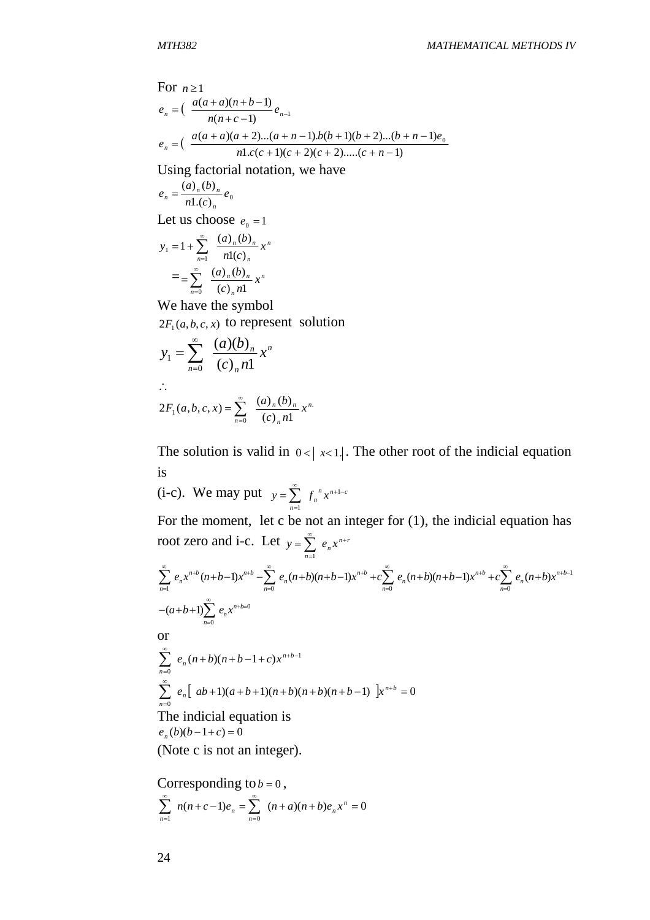For 
$$
n \ge 1
$$
  
\n
$$
e_n = \left(\frac{a(a+a)(n+b-1)}{n(n+c-1)}e_{n-1}\right)
$$
\n
$$
e_n = \left(\frac{a(a+a)(a+2)...(a+n-1.b(b+1)(b+2)...(b+n-1)e_0}{n1.c(c+1)(c+2)(c+2)...(c+n-1)}\right)
$$

Using factorial notation, we have

$$
e_n = \frac{(a)_n (b)_n}{n! (c)_n} e_0
$$

Let us choose  $e_0 = 1$ 

$$
y_1 = 1 + \sum_{n=1}^{\infty} \frac{(a)_n (b)_n}{n! (c)_n} x^n
$$
  
= 
$$
= \sum_{n=0}^{\infty} \frac{(a)_n (b)_n}{(c)_n n!} x^n
$$

We have the symbol  $2F_1(a, b, c, x)$  to represent solution

$$
y_1 = \sum_{n=0}^{\infty} \frac{(a)(b)_n}{(c)_n n!} x^n
$$
  
 
$$
\therefore
$$
  
 
$$
2F_1(a, b, c, x) = \sum_{n=0}^{\infty} \frac{(a)_n (b)_n}{(c)_n n!} x^n
$$

The solution is valid in  $0 < |x < 1|$ . The other root of the indicial equation is

(i-c). We may put  $y = \sum_{n=1}^{\infty} f_n^x x^{n+1-c}$  $y = \sum_{n=0}^{\infty} f_n^{n} x^{n+1}$  $=\sum_{n=1}$   $f_n^nx^{n+1}$ 1 For the moment, let c be not an integer for (1), the indicial equation has root zero and i-c. Let  $y = \sum_{n=1}^{\infty} e_n x^{n+r}$  $y = \sum_{n=0}^{\infty} e_n x^{n+1}$  $=\sum_{n=1}$ 

$$
\sum_{n=1}^{\infty} e_n x^{n+b} (n+b-1) x^{n+b} - \sum_{n=0}^{\infty} e_n (n+b) (n+b-1) x^{n+b} + c \sum_{n=0}^{\infty} e_n (n+b) (n+b-1) x^{n+b} + c \sum_{n=0}^{\infty} e_n (n+b) x^{n+b-1}
$$
  
or  

$$
\sum_{n=0}^{\infty} e_n (n+b) (n+b-1+c) x^{n+b-1}
$$

$$
\sum_{n=0}^{\infty} e_n (n+b)(n+b-1+c) x^{n+b-1}
$$
  

$$
\sum_{n=0}^{\infty} e_n [ab+1)(a+b+1)(n+b)(n+b)(n+b-1)] x^{n+b} = 0
$$
  
The indicial equation is  

$$
e_n(b)(b-1+c) = 0
$$

(Note c is not an integer).

Corresponding to 
$$
b = 0
$$
,  
\n
$$
\sum_{n=1}^{\infty} n(n+c-1)e_n = \sum_{n=0}^{\infty} (n+a)(n+b)e_n x^n = 0
$$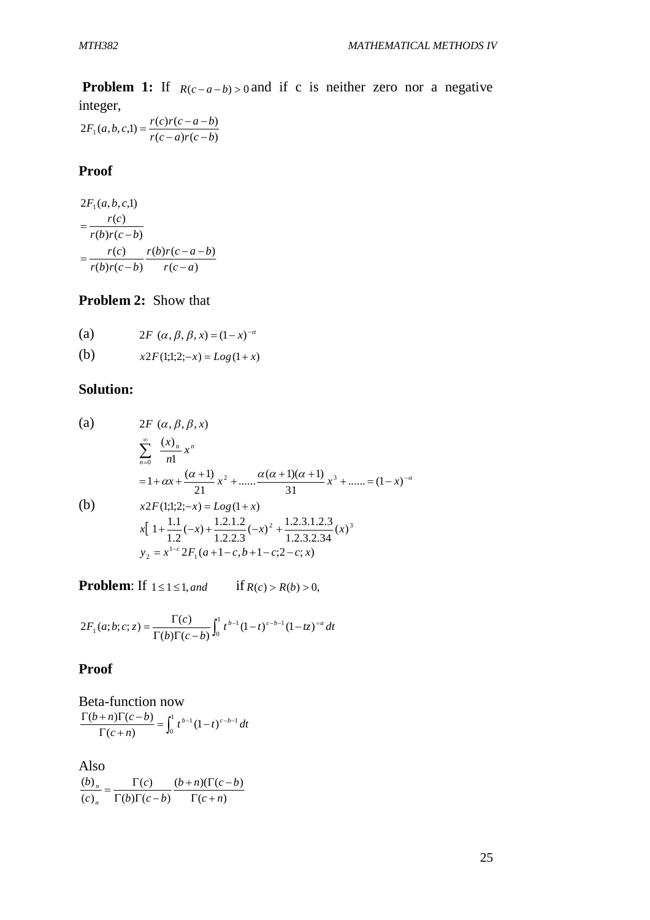**Problem 1:** If  $R(c-a-b) > 0$  and if c is neither zero nor a negative integer,

 $(c-a)r(c-b)$  $2F_1(a,b,c,1) = \frac{r(c)r(c-a-b)}{r(c-a)r(c-b)}$  $F_1(a, b, c, 1) = \frac{r(c)r(c-a-b)}{c}$  $(a-a)r(c-a)$  $=\frac{r(c)r(c-a-)}{c}$ 

#### **Proof**

$$
2F_1(a, b, c, l)
$$
  
= 
$$
\frac{r(c)}{r(b)r(c-b)}
$$
  
= 
$$
\frac{r(c)}{r(b)r(c-b)} \frac{r(b)r(c-a-b)}{r(c-a)}
$$

## **Problem 2:** Show that

(a) 
$$
2F(\alpha, \beta, \beta, x) = (1 - x)^{-\alpha}
$$

(b)  $x2F(1;1;2;-x) = Log(1+x)$ 

## **Solution:**

(a)  
\n
$$
2F (\alpha, \beta, \beta, x)
$$
\n
$$
\sum_{n=0}^{\infty} \frac{(x)_n}{n!} x^n
$$
\n
$$
= 1 + \alpha x + \frac{(\alpha + 1)}{21} x^2 + \dots + \frac{\alpha(\alpha + 1)(\alpha + 1)}{31} x^3 + \dots = (1 - x)^{-\alpha}
$$
\n(b)  
\n
$$
x 2F(1;1;2;-x) = Log(1+x)
$$
\n
$$
x \left[ 1 + \frac{1.1}{1.2}(-x) + \frac{1.2.1.2}{1.2.2.3}(-x)^2 + \frac{1.2.3.1.2.3}{1.2.3.2.34}(x)^3 \right]
$$
\n
$$
y_2 = x^{1-\alpha} 2F_1(a+1-c, b+1-c; 2-c; x)
$$

**Problem:** If  $1 \le 1 \le 1$ , *and* if  $R(c) > R(b) > 0$ ,

$$
2F_1(a;b;c;z) = \frac{\Gamma(c)}{\Gamma(b)\Gamma(c-b)} \int_0^1 t^{b-1} (1-t)^{c-b-1} (1-tz)^{-a} dt
$$

## **Proof**

Beta-function now  
\n
$$
\frac{\Gamma(b+n)\Gamma(c-b)}{\Gamma(c+n)} = \int_0^1 t^{b-1} (1-t)^{c-b-1} dt
$$

Also  $(c + n)$  $(b+n)(\Gamma(c - b))$  $(b)\Gamma(c-b)$  $\left( c\right)$  $\left( c\right)$  $(b)$ *c n*  $b + n)(\Gamma(c - b))$  $b)$  $\Gamma(c-b)$ *c c b n n*  $\Gamma(c +$  $+n)(\Gamma(c \Gamma(b)\Gamma(c =\frac{\Gamma}{\Gamma}$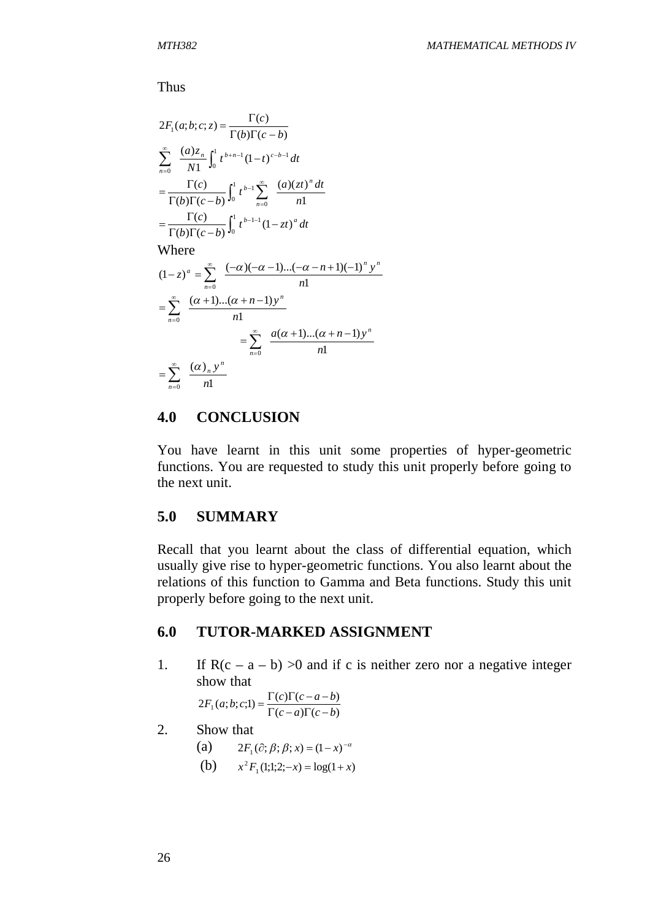Thus

$$
2F_1(a;b;c;z) = \frac{\Gamma(c)}{\Gamma(b)\Gamma(c-b)}
$$
  
\n
$$
\sum_{n=0}^{\infty} \frac{(a)z_n}{N!} \int_0^1 t^{b+n-1} (1-t)^{c-b-1} dt
$$
  
\n
$$
= \frac{\Gamma(c)}{\Gamma(b)\Gamma(c-b)} \int_0^1 t^{b-1} \sum_{n=0}^{\infty} \frac{(a)(zt)^n dt}{n!}
$$
  
\n
$$
= \frac{\Gamma(c)}{\Gamma(b)\Gamma(c-b)} \int_0^1 t^{b-1-1} (1-zt)^a dt
$$
  
\nWhere  
\n
$$
(1-z)^a = \sum_{n=0}^{\infty} \frac{(-\alpha)(-\alpha-1)...(-\alpha-n+1)(-1)^n y^n}{n!}
$$
  
\n
$$
= \sum_{n=0}^{\infty} \frac{(\alpha+1)...(\alpha+n-1) y^n}{n!}
$$
  
\n
$$
= \sum_{n=0}^{\infty} \frac{a(\alpha+1)...(\alpha+n-1) y^n}{n!}
$$
  
\n
$$
= \sum_{n=0}^{\infty} \frac{(\alpha)_n y^n}{n!}
$$

## **4.0 CONCLUSION**

You have learnt in this unit some properties of hyper-geometric functions. You are requested to study this unit properly before going to the next unit.

## **5.0 SUMMARY**

Recall that you learnt about the class of differential equation, which usually give rise to hyper-geometric functions. You also learnt about the relations of this function to Gamma and Beta functions. Study this unit properly before going to the next unit.

## **6.0 TUTOR-MARKED ASSIGNMENT**

1. If  $R(c - a - b) > 0$  and if c is neither zero nor a negative integer show that

> $(c-a)\Gamma(c-b)$  $2F_1(a;b;c;1) = \frac{\Gamma(c)\Gamma(c-a-b)}{\Gamma(c-a)\Gamma(c-b)}$  $F_1(a;b;c;1) = \frac{\Gamma(c)\Gamma(c-a-b)}{\Gamma(c-a-b)}$  $\Gamma(c-a)\Gamma(c-a)$  $=\frac{\Gamma(c)\Gamma(c-a-1)}{\Gamma(c-a-1)}$

2. Show that

(a)  $2F_1(\partial; \beta; \beta; x) = (1-x)^{-\alpha}$ 

(b)  $x^2 F_1(1;1;2;-x) = \log(1+x)$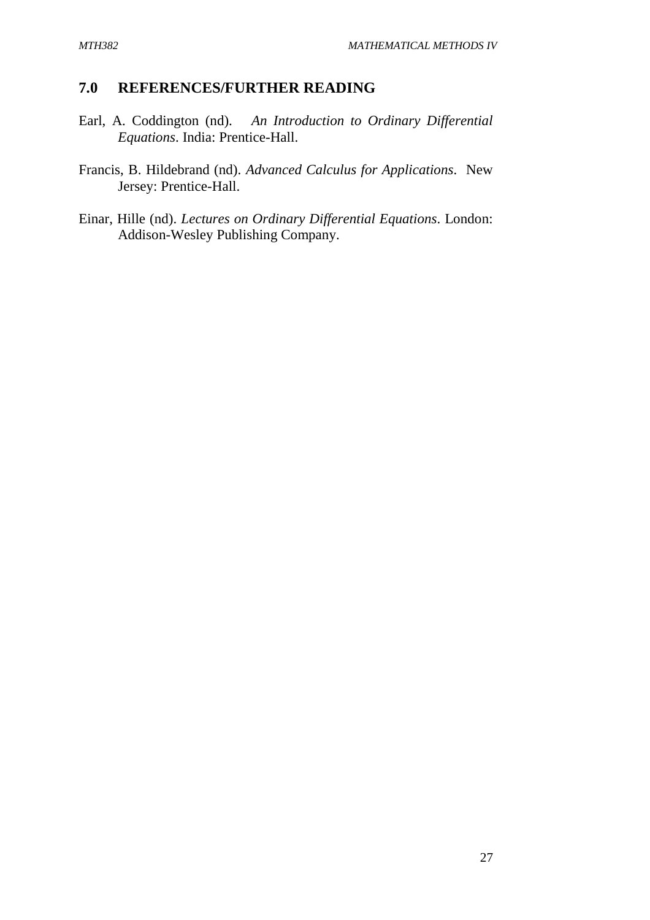## **7.0 REFERENCES/FURTHER READING**

- Earl, A. Coddington (nd). *An Introduction to Ordinary Differential Equations*. India: Prentice-Hall.
- Francis, B. Hildebrand (nd). *Advanced Calculus for Applications*. New Jersey: Prentice-Hall.
- Einar, Hille (nd). *Lectures on Ordinary Differential Equations*. London: Addison-Wesley Publishing Company.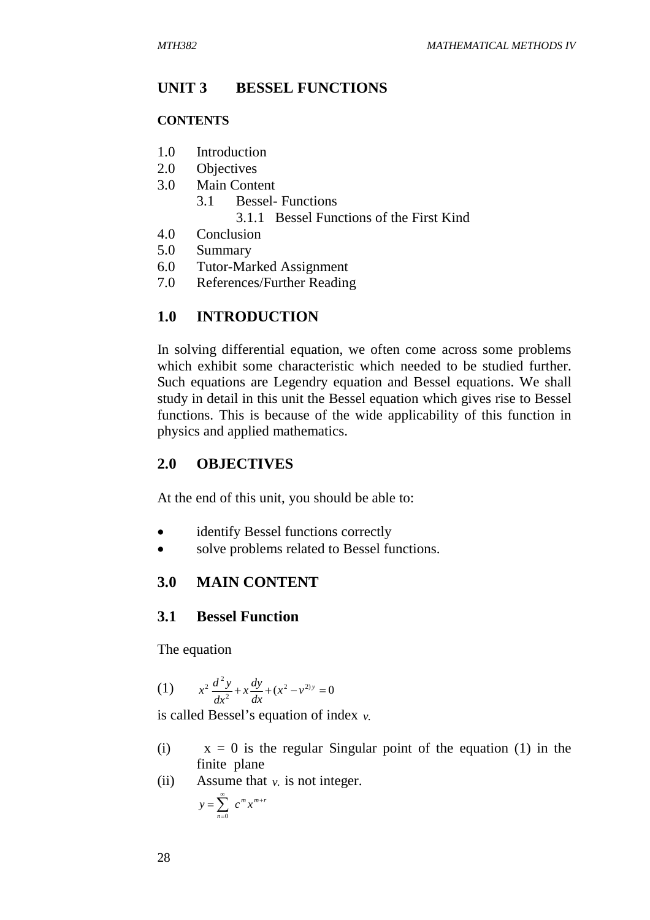## **UNIT 3 BESSEL FUNCTIONS**

#### **CONTENTS**

- 1.0 Introduction
- 2.0 Objectives
- 3.0 Main Content
	- 3.1 Bessel- Functions 3.1.1 Bessel Functions of the First Kind
- 4.0 Conclusion
- 5.0 Summary
- 6.0 Tutor-Marked Assignment
- 7.0 References/Further Reading

## **1.0 INTRODUCTION**

In solving differential equation, we often come across some problems which exhibit some characteristic which needed to be studied further. Such equations are Legendry equation and Bessel equations. We shall study in detail in this unit the Bessel equation which gives rise to Bessel functions. This is because of the wide applicability of this function in physics and applied mathematics.

## **2.0 OBJECTIVES**

At the end of this unit, you should be able to:

- identify Bessel functions correctly
- solve problems related to Bessel functions.

## **3.0 MAIN CONTENT**

## **3.1 Bessel Function**

The equation

(1) 
$$
x^2 \frac{d^2 y}{dx^2} + x \frac{dy}{dx} + (x^2 - v^{2})y = 0
$$

is called Bessel's equation of index *v*.

- (i)  $x = 0$  is the regular Singular point of the equation (1) in the finite plane
- (ii) Assume that  $v$ . is not integer.

$$
y = \sum_{n=0}^{\infty} c^m x^{m+r}
$$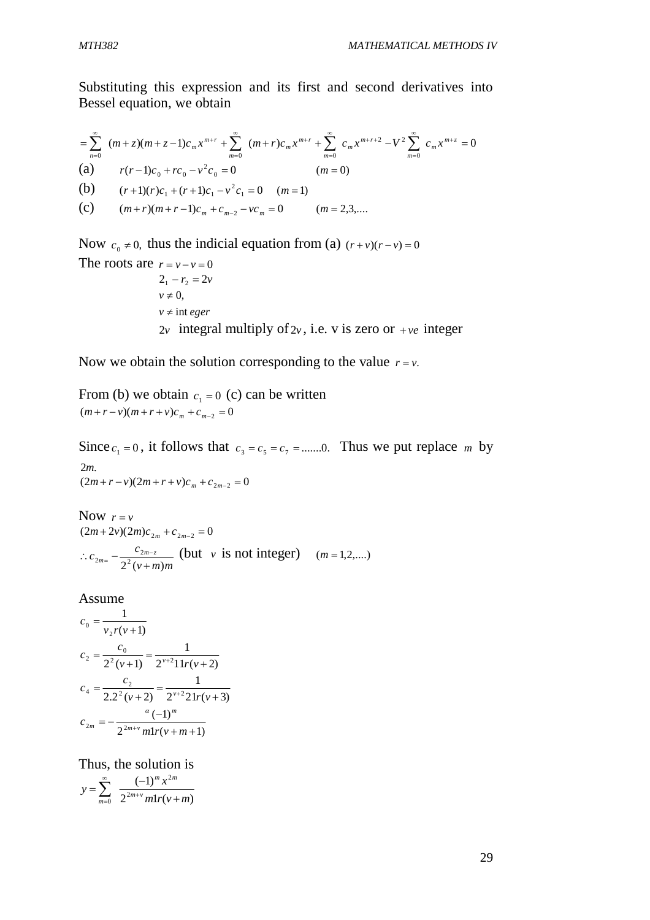Substituting this expression and its first and second derivatives into Bessel equation, we obtain

$$
= \sum_{n=0}^{\infty} (m+z)(m+z-1)c_m x^{m+r} + \sum_{m=0}^{\infty} (m+r)c_m x^{m+r} + \sum_{m=0}^{\infty} c_m x^{m+r+2} - V^2 \sum_{m=0}^{\infty} c_m x^{m+z} = 0
$$
  
\n(a)  $r(r-1)c_0 + rc_0 - v^2 c_0 = 0$  (*m* = 0)  
\n(b)  $(r+1)(r)c_1 + (r+1)c_1 - v^2 c_1 = 0$  (*m* = 1)  
\n(c)  $(m+r)(m+r-1)c_m + c_{m-2} - vc_m = 0$  (*m* = 2,3,...

Now  $c_0 \neq 0$ , thus the indicial equation from (a)  $(r+v)(r-v) = 0$ The roots are  $r = v - v = 0$  $2_1 - r_2 = 2v$  $v \neq 0$ ,  $v \neq \text{int } e$ *ger*  $2v$  integral multiply of  $2v$ , i.e. v is zero or  $+ve$  integer

Now we obtain the solution corresponding to the value  $r = v$ .

From (b) we obtain  $c_1 = 0$  (c) can be written  $(m + r - v)(m + r + v)c_m + c_{m-2} = 0$ 

Since  $c_1 = 0$ , it follows that  $c_3 = c_5 = c_7 = \dots 0$ . Thus we put replace *m* by 2*m*.  $(2m + r - v)(2m + r + v)c_m + c_{2m-2} = 0$ 

Now  $r = v$  $(2m+2v)(2m)c_{2m} + c_{2m-2} = 0$ *v m m*  $c_{2m} = -\frac{c_{2m-z}}{2^2(\nu+m)}$  $_{2m} = -\frac{c_{2m}}{2^2(\nu +$  $c_{2m} = \frac{c_{2m-z}}{2^{2}(1+i)}$  (but *v* is not integer)  $(m=1,2,...)$ 

Assume

$$
c_0 = \frac{1}{v_2 r(v+1)}
$$
  
\n
$$
c_2 = \frac{c_0}{2^2 (v+1)} = \frac{1}{2^{v+2} 11 r(v+2)}
$$
  
\n
$$
c_4 = \frac{c_2}{2 \cdot 2^2 (v+2)} = \frac{1}{2^{v+2} 21 r(v+3)}
$$
  
\n
$$
c_{2m} = -\frac{a (-1)^m}{2^{2m+v} m! r(v+m+1)}
$$

Thus, the solution is  $2^{2m+v} m! r(v+m)$  $(-1)$ 2 2  $2^{2m+v} m! r(v+m)$  $y = \sum_{n=0}^{\infty} \frac{(-1)^{m} x}{2^{2m+v} m! n!}$ *m m*  $\sum_{m=0}^{\infty} 2^{2m+v} m! r(v +$  $=\sum_{n=-\infty}^{\infty}\frac{(-1)^n}{2^{2m+v}}$  $\sum_{m=0}$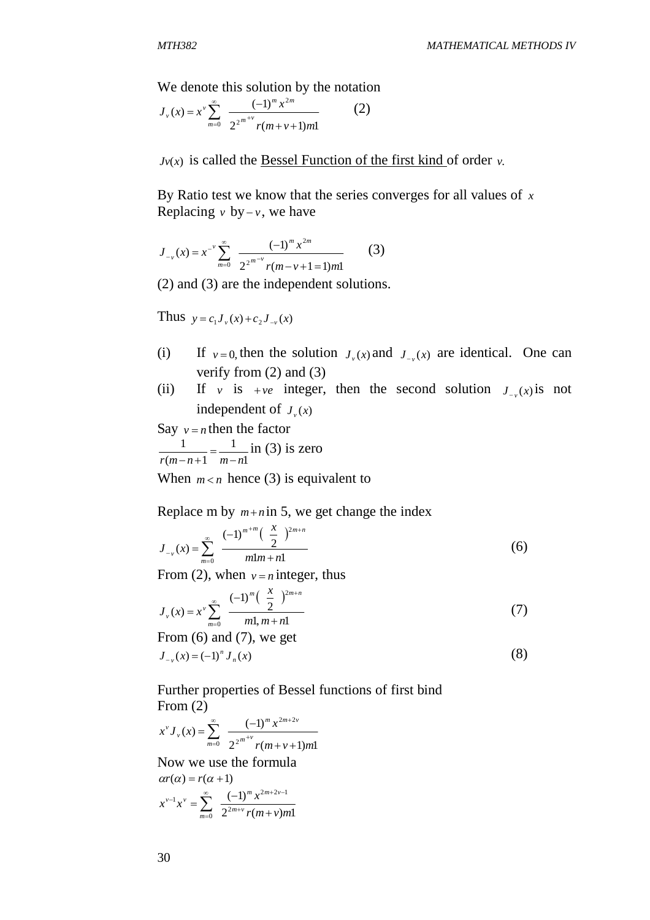We denote this solution by the notation

$$
J_{\nu}(x) = x^{\nu} \sum_{m=0}^{\infty} \frac{(-1)^{m} x^{2m}}{2^{2^{m+\nu}} r(m+\nu+1)m!}
$$
 (2)

 $J_v(x)$  is called the <u>Bessel Function of the first kind</u> of order  $v$ .

By Ratio test we know that the series converges for all values of *x* Replacing  $v$  by  $-v$ , we have

$$
J_{-v}(x) = x^{-v} \sum_{m=0}^{\infty} \frac{(-1)^m x^{2m}}{2^{2m-v} r(m-v+1=1) m!}
$$
 (3)

(2) and (3) are the independent solutions.

Thus  $y = c_1 J_v(x) + c_2 J_{-v}(x)$ 

- (i) If  $v = 0$ , then the solution  $J_v(x)$  and  $J_{-v}(x)$  are identical. One can verify from (2) and (3)
- (ii) If *v* is  $+ve$  integer, then the second solution  $J_{-v}(x)$  is not independent of  $J_\nu(x)$

Say  $v = n$  then the factor 1 1  $(m - n + 1)$ 1  $r(m-n+1$  *m-n*  $=$  $-n+$ in (3) is zero When  $m < n$  hence (3) is equivalent to

Replace m by  $m+n$  in 5, we get change the index

$$
J_{-v}(x) = \sum_{m=0}^{\infty} \frac{(-1)^{m+m} \left(\frac{x}{2}\right)^{2m+n}}{m!m+n!}
$$
 (6)

From (2), when  $v = n$  integer, thus

$$
J_{\nu}(x) = x^{\nu} \sum_{m=0}^{\infty} \frac{(-1)^m \left(\frac{x}{2}\right)^{2m+n}}{m! m + n!}
$$
 (7)

From  $(6)$  and  $(7)$ , we get  $J_{-v}(x) = (-1)^n J_n(x)$  (8)

Further properties of Bessel functions of first bind From (2)

$$
x^{\nu} J_{\nu}(x) = \sum_{m=0}^{\infty} \frac{(-1)^{m} x^{2m+2\nu}}{2^{2^{m+\nu}} r(m+\nu+1)m!}
$$

Now we use the formula  $ar(\alpha) = r(\alpha + 1)$ 

$$
x^{\nu-1}x^{\nu} = \sum_{m=0}^{\infty} \frac{(-1)^m x^{2m+2\nu-1}}{2^{2m+\nu} r(m+\nu)m!}
$$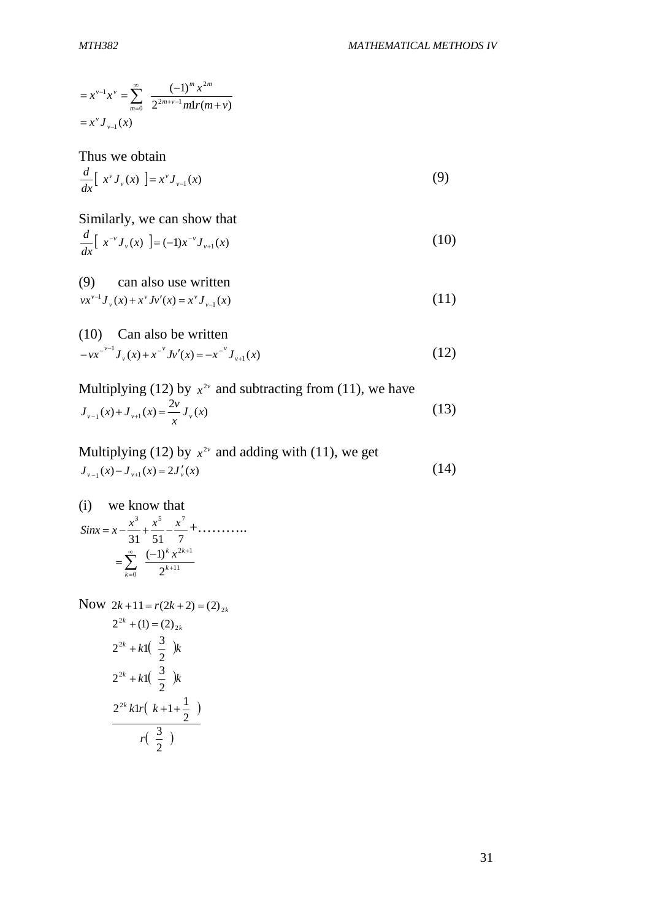$$
= x^{\nu-1} x^{\nu} = \sum_{m=0}^{\infty} \frac{(-1)^m x^{2m}}{2^{2m+\nu-1} m! r(m+\nu)}
$$
  
=  $x^{\nu} J_{\nu-1}(x)$ 

Thus we obtain

$$
\frac{d}{dx}\left[x^{\nu}J_{\nu}(x)\right]=x^{\nu}J_{\nu-1}(x)\tag{9}
$$

Similarly, we can show that  
\n
$$
\frac{d}{dx} [x^{-\nu} J_{\nu}(x)] = (-1)x^{-\nu} J_{\nu+1}(x)
$$
\n(10)

(9) can also use written  $vx^{v-1}J_v(x) + x^vJv'(x) = x^vJ_{v-1}(x)$  (11)

(10) Can also be written  
\n
$$
-vx^{-\nu-1}J_{\nu}(x) + x^{-\nu}J_{\nu}'(x) = -x^{-\nu}J_{\nu+1}(x)
$$
\n(12)

Multiplying (12) by 
$$
x^{2\nu}
$$
 and subtracting from (11), we have  
\n
$$
J_{\nu-1}(x) + J_{\nu+1}(x) = \frac{2\nu}{x} J_{\nu}(x)
$$
\n(13)

Multiplying (12) by  $x^{2\nu}$  and adding with (11), we get  $J_{v-1}(x) - J_{v+1}(x) = 2J'_{v}(x)$ (14)

(i) we know that 31 51 7  $Sinx = x - \frac{x^3}{3!} + \frac{x^5}{5!} - \frac{x^7}{7!} + \dots$  $=\sum_{k=1}^{\infty} \frac{(-1)^k x}{2^{k+1}}$  $2k+1$  $(-1)$  $\infty$   $(-1)^k$   $x^{2k+1}$  $=\sum_{k=0}^{\infty} \frac{(-1)^k x^{2k}}{2^{k+1}}$ *x*

 $\frac{1}{0}$  2

 $=$ 

*k*

 $^{+}$ 

Now 
$$
2k+11 = r(2k+2) = (2)_{2k}
$$
  
\n $2^{2k} + (1) = (2)_{2k}$   
\n $2^{2k} + k1(\frac{3}{2})k$   
\n $2^{2k} + k1(\frac{3}{2})k$   
\n $\frac{2^{2k}k1r(k+1+\frac{1}{2})}{r(\frac{3}{2})}$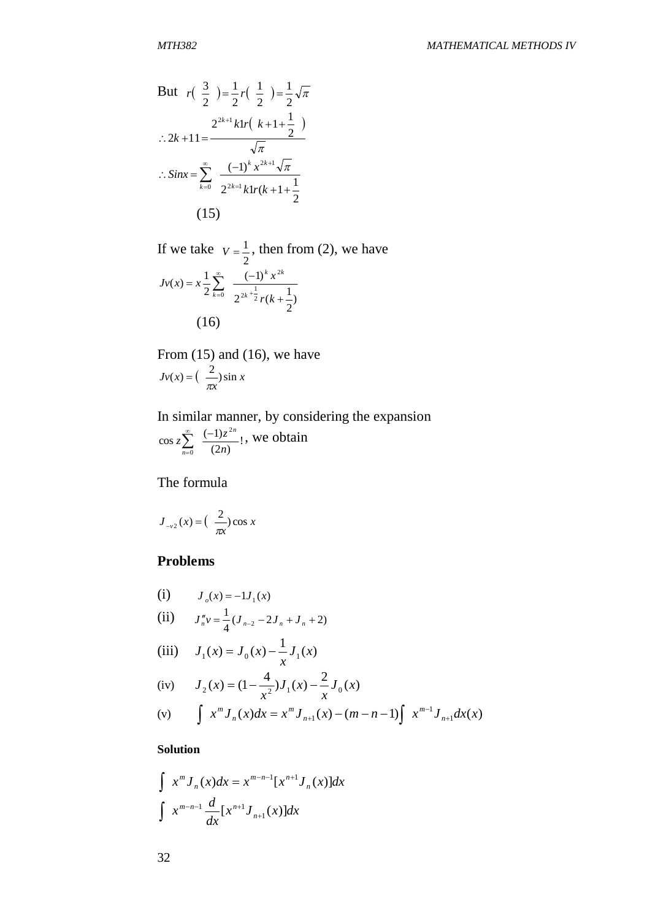But 
$$
r\left(\frac{3}{2}\right) = \frac{1}{2}r\left(\frac{1}{2}\right) = \frac{1}{2}\sqrt{\pi}
$$
  
\n
$$
\therefore 2k + 11 = \frac{2^{2k+1}k\left(\frac{k+1+\frac{1}{2}}{2}\right)}{\sqrt{\pi}}
$$
\n
$$
\therefore \text{Sinx} = \sum_{k=0}^{\infty} \frac{(-1)^k x^{2k+1} \sqrt{\pi}}{2^{2k+1}k\left(\frac{k+1+\frac{1}{2}}{2}\right)}
$$
\n(15)

If we take 2  $V = \frac{1}{2}$ , then from (2), we have ) 2  $2^{2k+\frac{1}{2}}r(k+\frac{1}{2})$  $(-1)$ 2  $f(x) = x\frac{1}{2}$ 2  $2k + \frac{1}{2}$ 2 <sup>0</sup>  $2^{2k+2}r(k+$  $=x\frac{1}{2}\sum_{k=0}^{\infty} \frac{(-1)^k}{2k^2}$  $\infty$  $\sum_{k=0}$ *r k*  $Jv(x) = x\frac{1}{2}\sum_{n=1}^{\infty} \frac{(-1)^{k}x}{n}$ *k k k k* (16)

From (15) and (16), we have  $\left( \begin{array}{c} \infty \\ \infty \end{array} \right)$  sin x *x*  $Jv(x) = \left(\frac{2}{\pi x}\right) \sin x$ 

In similar manner, by considering the expansion !  $(2n)$  $\cos z \sum_{1}^{\infty} \frac{(-1)}{2}$ 2  $\frac{1}{0}$  (2*n*)  $z \sum_{n=1}^{\infty} \frac{(-1)z}{2}$ *n n*  $\sum_{0}^{\infty}$   $\frac{(-1)^{n}}{2}$  $\overline{a}$ , we obtain

The formula

$$
J_{-v2}(x) = \left(\frac{2}{\pi x}\right) \cos x
$$

### **Problems**

(i) 
$$
J_o(x) = -1J_1(x)
$$
  
\n(ii)  $J_n''v = \frac{1}{4}(J_{n-2} - 2J_n + J_n + 2)$ 

(iii) 
$$
J_1(x) = J_0(x) - \frac{1}{x} J_1(x)
$$

(iv) 
$$
J_2(x) = (1 - \frac{4}{x^2})J_1(x) - \frac{2}{x}J_0(x)
$$

(v) 
$$
\int x^m J_n(x) dx = x^m J_{n+1}(x) - (m - n - 1) \int x^{m-1} J_{n+1} dx(x)
$$

### **Solution**

$$
\int x^m J_n(x) dx = x^{m-n-1} [x^{n+1} J_n(x)] dx
$$
  

$$
\int x^{m-n-1} \frac{d}{dx} [x^{n+1} J_{n+1}(x)] dx
$$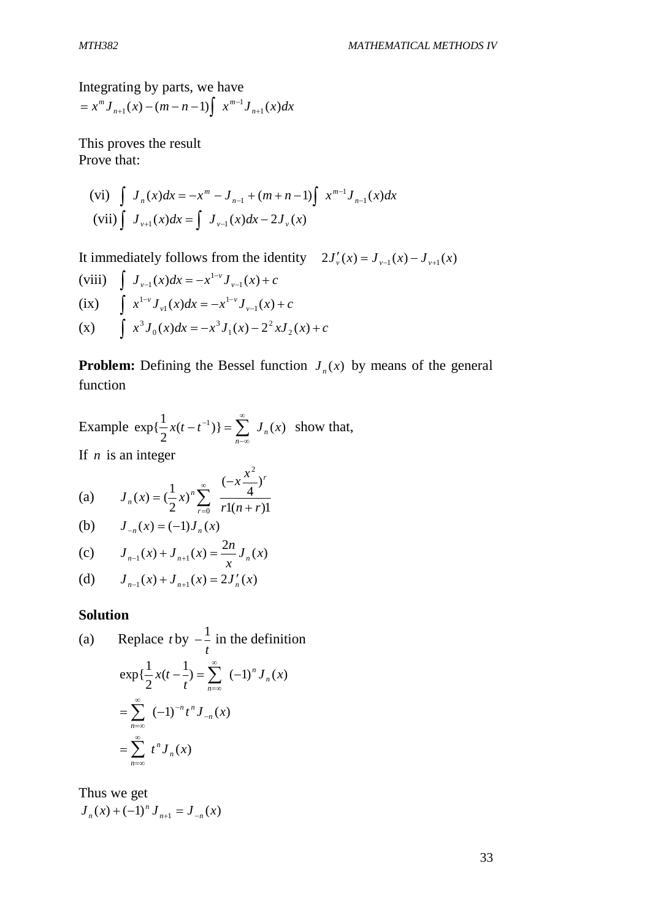Integrating by parts, we have  $x^m J_{n+1}(x) - (m-n-1) \int x^{m-1} J_{n+1}(x) dx$ *n*  $^{m}J_{n+1}(x) - (m-n-1)\int x^{m-1}J_{n+1}(x)$  $1^{(\lambda)}$  (*i i* 1)  $\lambda$   $J_{n+1}$  $= x<sup>m</sup> J_{n+1}(x) - (m-n-1) \int x^{m-1} dx$ 

This proves the result Prove that:

(vi) 
$$
\int J_n(x)dx = -x^m - J_{n-1} + (m+n-1)\int x^{m-1}J_{n-1}(x)dx
$$
  
\n(vii)  $\int J_{\nu+1}(x)dx = \int J_{\nu-1}(x)dx - 2J_{\nu}(x)$ 

It immediately follows from the identity  $2J_v'(x) = J_{v-1}(x) - J_{v+1}(x)$ 

(viii) 
$$
\int J_{\nu-1}(x)dx = -x^{1-\nu}J_{\nu-1}(x) + c
$$
  
(ix) 
$$
\int x^{1-\nu}J_{\nu1}(x)dx = -x^{1-\nu}J_{\nu-1}(x) + c
$$
  
(x) 
$$
\int x^3J_0(x)dx = -x^3J_1(x) - 2^2xJ_2(x) + c
$$

**Problem:** Defining the Bessel function  $J_n(x)$  by means of the general function

Example  $\exp{\frac{1}{2}x(t-t^{-1})} = \sum J_n(x)$ 2  $\exp{\{\frac{1}{2}x(t-t^{-1})\}} = \sum_{n=1}^{\infty} J_n(x)$  $\sum_{n=\infty}^{\infty}$  $-\infty$  $-t^{-1}$ )} =  $\sum J_n(x)$  show that, If *n* is an integer

(a) 
$$
J_n(x) = \left(\frac{1}{2}x\right)^n \sum_{r=0}^{\infty} \frac{(-x\frac{x^2}{4})^r}{r!(n+r)!}
$$

(b) 
$$
J_{-n}(x) = (-1)J_n(x)
$$

(c) 
$$
J_{n-1}(x) + J_{n+1}(x) = \frac{2n}{x} J_n(x)
$$

(d) 
$$
J_{n-1}(x) + J_{n+1}(x) = 2J'_n(x)
$$

#### **Solution**

(a) Replace 
$$
t
$$
 by  $-\frac{1}{t}$  in the definition  
\n
$$
\exp{\frac{1}{2}x(t-\frac{1}{t})} = \sum_{n=-\infty}^{\infty} (-1)^n J_n(x)
$$
\n
$$
= \sum_{n=-\infty}^{\infty} (-1)^{-n} t^n J_{-n}(x)
$$
\n
$$
= \sum_{n=-\infty}^{\infty} t^n J_n(x)
$$

Thus we get  $J_n(x) + (-1)^n J_{n+1} = J_{-n}(x)$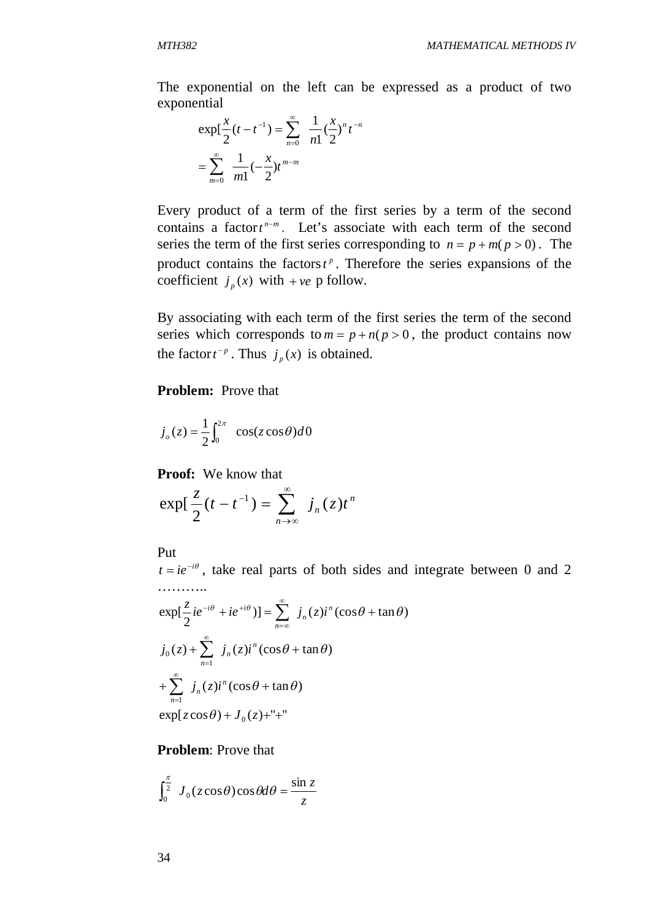The exponential on the left can be expressed as a product of two exponential

$$
\exp\left[\frac{x}{2}(t-t^{-1})\right] = \sum_{n=0}^{\infty} \frac{1}{n!} \left(\frac{x}{2}\right)^n t^{-n}
$$

$$
= \sum_{m=0}^{\infty} \frac{1}{m!} \left(-\frac{x}{2}\right) t^{m-m}
$$

Every product of a term of the first series by a term of the second contains a factor  $t^{n-m}$ . Let's associate with each term of the second series the term of the first series corresponding to  $n = p + m(p > 0)$ . The product contains the factors  $t^p$ . Therefore the series expansions of the coefficient  $j_p(x)$  with  $+ve$  p follow.

By associating with each term of the first series the term of the second series which corresponds to  $m = p + n(p > 0)$ , the product contains now the factor  $t^{-p}$ . Thus  $j_p(x)$  is obtained.

#### **Problem:** Prove that

$$
j_o(z) = \frac{1}{2} \int_0^{2\pi} \cos(z \cos \theta) d\theta
$$

**Proof:** We know that

$$
\exp\left(\frac{z}{2}(t-t^{-1})\right)=\sum_{n\to\infty}^{\infty}j_n(z)t^n
$$

Put

 $t = ie^{-i\theta}$ , take real parts of both sides and integrate between 0 and 2 ………..

$$
\exp[\frac{z}{2}ie^{-i\theta}+ie^{+i\theta})]=\sum_{n=\infty}^{\infty}j_n(z)i^n(\cos\theta+\tan\theta)
$$
  

$$
j_0(z)+\sum_{n=1}^{\infty}j_n(z)i^n(\cos\theta+\tan\theta)
$$
  

$$
+\sum_{n=1}^{\infty}j_n(z)i^n(\cos\theta+\tan\theta)
$$
  

$$
\exp[z\cos\theta)+J_0(z)+''+
$$

**Problem**: Prove that

$$
\int_0^{\frac{\pi}{2}} J_0(z \cos \theta) \cos \theta d\theta = \frac{\sin z}{z}
$$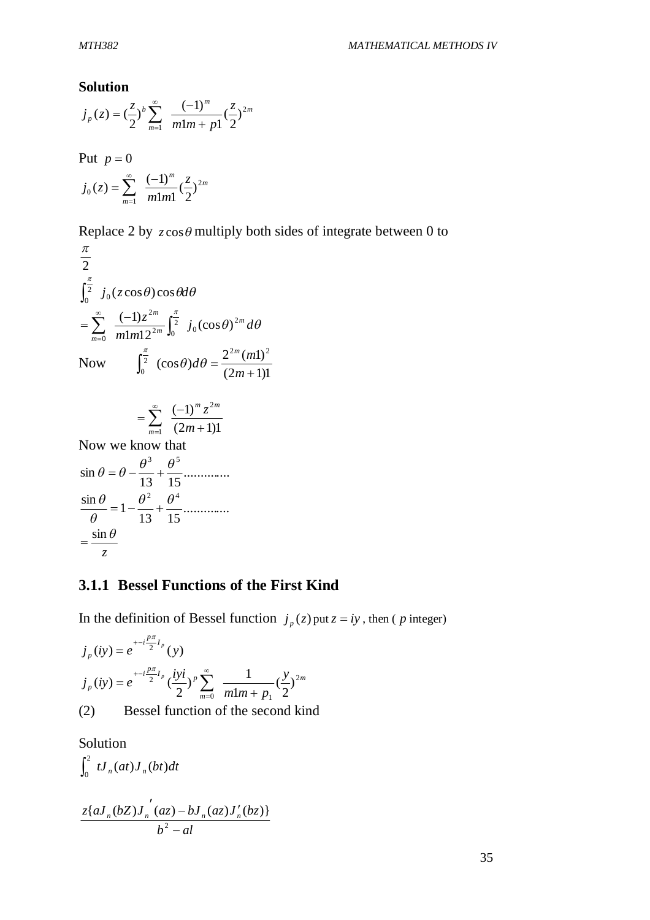#### **Solution**

*m*

1

$$
j_p(z) = \left(\frac{z}{2}\right)^b \sum_{m=1}^{\infty} \frac{(-1)^m}{m!m + p!} \left(\frac{z}{2}\right)^{2m}
$$
  
Put  $p = 0$   

$$
j_0(z) = \sum_{m=1}^{\infty} \frac{(-1)^m}{m!m!} \left(\frac{z}{2}\right)^{2m}
$$

*m m*

 $1 m1$ 

2

Replace 2 by  $z \cos \theta$  multiply both sides of integrate between 0 to

$$
\frac{\pi}{2}
$$
\n
$$
\int_0^{\frac{\pi}{2}} j_0(z \cos \theta) \cos \theta d\theta
$$
\n
$$
= \sum_{m=0}^{\infty} \frac{(-1)z^{2m}}{m! m! 2^{2m}} \int_0^{\frac{\pi}{2}} j_0(\cos \theta)^{2m} d\theta
$$
\nNow\n
$$
\int_0^{\frac{\pi}{2}} (\cos \theta) d\theta = \frac{2^{2m} (m!)^2}{(2m+1)!}
$$

$$
= \sum_{m=1}^{\infty} \frac{(-1)^m z^{2m}}{(2m+1)1}
$$

Now we know that .............. 13 15 sin  $\theta = \theta - \frac{\theta^3}{12} + \frac{\theta^5}{15}$ .............. 13 15  $\frac{\sin \theta}{\theta} = 1 - \frac{\theta^2}{12} + \frac{\theta^4}{15}$  $\theta$  $\frac{\theta}{\theta} = 1 - \frac{\theta^2}{12} +$ *z*  $=\frac{\sin \theta}{\cos \theta}$ 

## **3.1.1 Bessel Functions of the First Kind**

In the definition of Bessel function  $j_p(z)$  put  $z = iy$ , then (*p* integer)

$$
j_p(iy) = e^{+i\frac{p\pi}{2}I_p}(y)
$$
  
\n
$$
j_p(iy) = e^{+i\frac{p\pi}{2}I_p}(\frac{iyi}{2})^p \sum_{m=0}^{\infty} \frac{1}{m!m+p_1}(\frac{y}{2})^{2m}
$$
  
\n(2) Bessel function of the second kind

Solution  $\int_0^2 t J_n(at) J_n(bt) dt$  $b^2 - al$  $z\{aJ_n(bZ)J_n(az) - bJ_n(az)J'_n(bz)$ <sup>-</sup>  $(az) - bJ_n(az)J'_n$ 2  ${aJ_n(bZ)J_n(az) - bJ_n(az)J'_n(bz)}$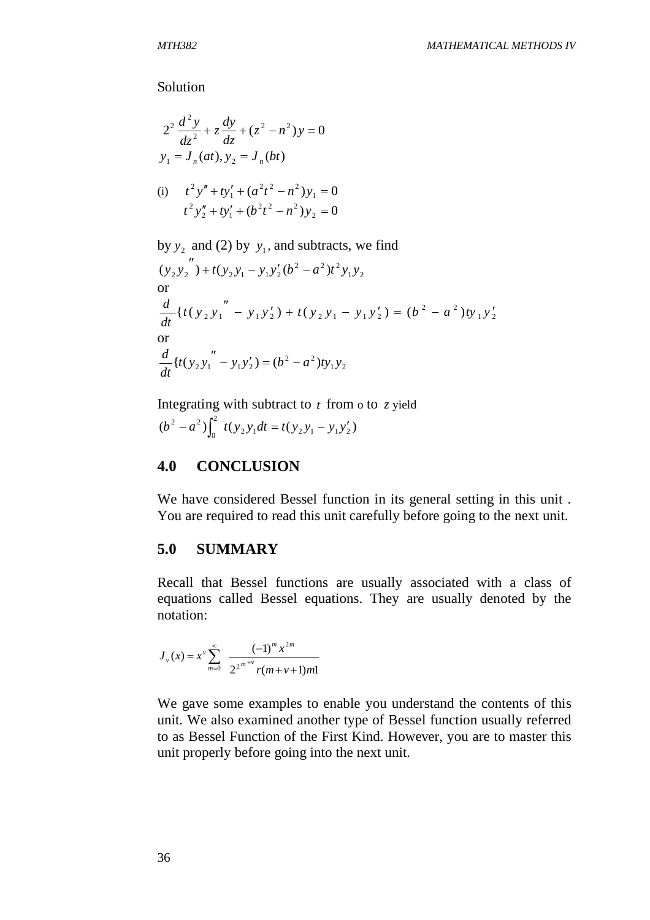Solution

$$
2^{2} \frac{d^{2} y}{dz^{2}} + z \frac{dy}{dz} + (z^{2} - n^{2}) y = 0
$$
  
\n
$$
y_{1} = J_{n}(at), y_{2} = J_{n}(bt)
$$
  
\n(i) 
$$
t^{2} y'' + t y'_{1} + (a^{2} t^{2} - n^{2}) y_{1} = 0
$$
  
\n
$$
t^{2} y''_{2} + t y'_{1} + (b^{2} t^{2} - n^{2}) y_{2} = 0
$$
  
\nby  $y_{2}$  and (2) by  $y_{1}$ , and subtracts, we find

$$
(y_2 y_2'') + t(y_2 y_1 - y_1 y_2' (b^2 - a^2) t^2 y_1 y_2
$$
  
or  

$$
\frac{d}{dt} \{t(y_2 y_1'' - y_1 y_2') + t(y_2 y_1 - y_1 y_2') = (b^2 - a^2) t y_1 y_2'
$$
  
or  

$$
\frac{d}{dt} \{t(y_2 y_1'' - y_1 y_2') = (b^2 - a^2) t y_1 y_2
$$

Integrating with subtract to *t* from o to *z* yield  $(b^2 - a^2) \int_0^2 t(y_2 y_1 dt = t(y_2 y_1 - y_1 y_2')$  $\boldsymbol{0}$  $b^2 - a^2 \int_0^2 t(y_2 y_1 dt) = t(y_2 y_1 - y_1 y_2)$ 

# **4.0 CONCLUSION**

We have considered Bessel function in its general setting in this unit . You are required to read this unit carefully before going to the next unit.

## **5.0 SUMMARY**

Recall that Bessel functions are usually associated with a class of equations called Bessel equations. They are usually denoted by the notation:

$$
J_{\nu}(x) = x^{\nu} \sum_{m=0}^{\infty} \frac{(-1)^{m} x^{2m}}{2^{2^{m+\nu}} r(m+\nu+1)m!}
$$

We gave some examples to enable you understand the contents of this unit. We also examined another type of Bessel function usually referred to as Bessel Function of the First Kind. However, you are to master this unit properly before going into the next unit.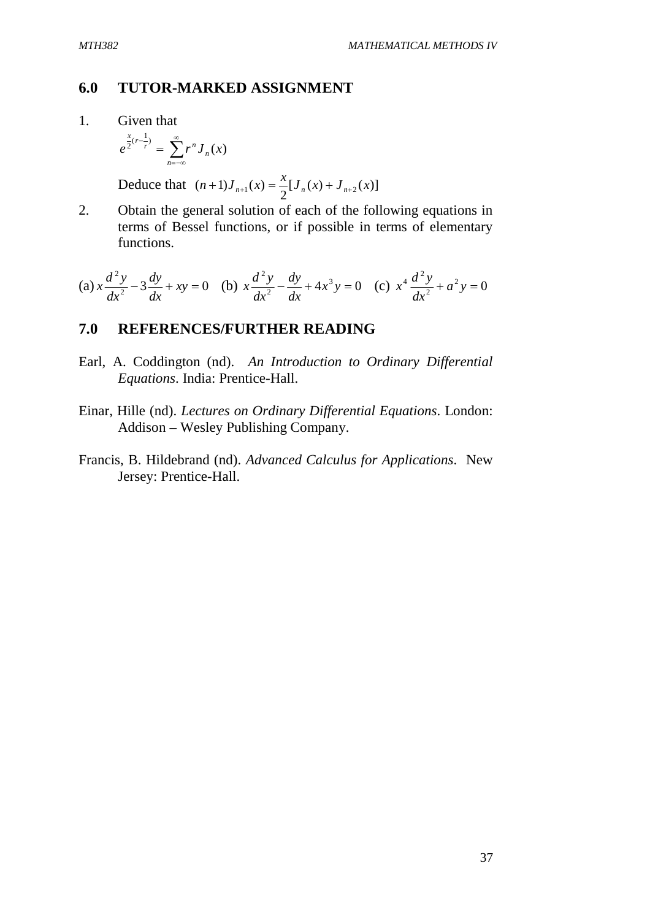### **6.0 TUTOR-MARKED ASSIGNMENT**

1. Given that

$$
e^{\frac{x}{2}(r-\frac{1}{r})} = \sum_{n=-\infty}^{\infty} r^n J_n(x)
$$

Deduce that  $(n+1)J_{n+1}(x) = \frac{\lambda}{2} [ J_n(x) + J_{n+2}(x) ]$ 2  $(n+1)J_{n+1}(x) = \frac{x}{2}[J_n(x) + J_{n+2}(x)]$ 

2. Obtain the general solution of each of the following equations in terms of Bessel functions, or if possible in terms of elementary functions.

(a) 
$$
x \frac{d^2 y}{dx^2} - 3 \frac{dy}{dx} + xy = 0
$$
 (b)  $x \frac{d^2 y}{dx^2} - \frac{dy}{dx} + 4x^3 y = 0$  (c)  $x^4 \frac{d^2 y}{dx^2} + a^2 y = 0$ 

## **7.0 REFERENCES/FURTHER READING**

- Earl, A. Coddington (nd). *An Introduction to Ordinary Differential Equations*. India: Prentice-Hall.
- Einar, Hille (nd). *Lectures on Ordinary Differential Equations*. London: Addison – Wesley Publishing Company.
- Francis, B. Hildebrand (nd). *Advanced Calculus for Applications*. New Jersey: Prentice-Hall.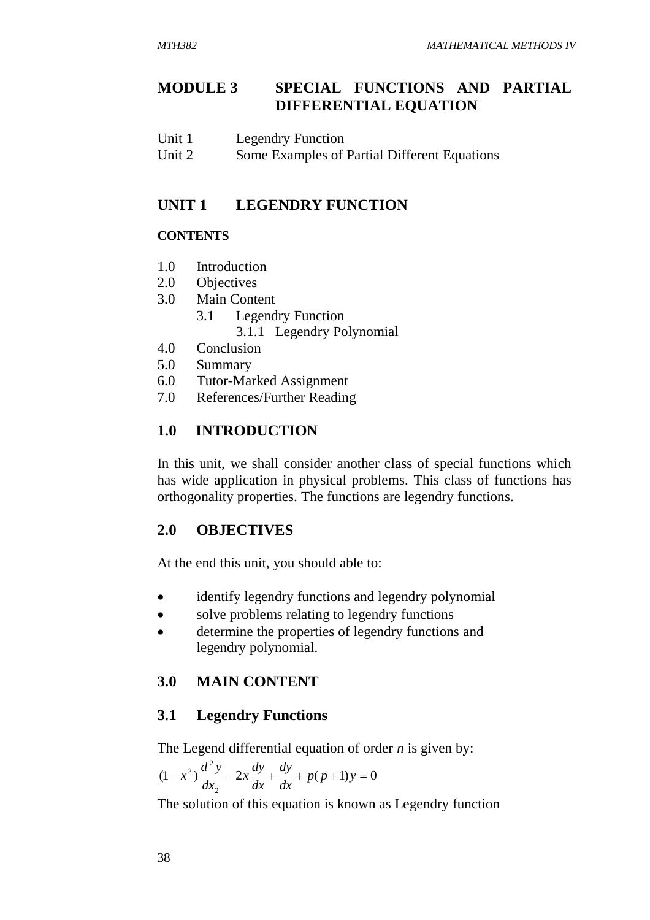# **MODULE 3 SPECIAL FUNCTIONS AND PARTIAL DIFFERENTIAL EQUATION**

| Unit 1 | <b>Legendry Function</b> |
|--------|--------------------------|
|--------|--------------------------|

Unit 2 Some Examples of Partial Different Equations

## **UNIT 1 LEGENDRY FUNCTION**

### **CONTENTS**

- 1.0 Introduction
- 2.0 Objectives
- 3.0 Main Content
	- 3.1 Legendry Function 3.1.1 Legendry Polynomial
- 4.0 Conclusion
- 5.0 Summary
- 6.0 Tutor-Marked Assignment
- 7.0 References/Further Reading

# **1.0 INTRODUCTION**

In this unit, we shall consider another class of special functions which has wide application in physical problems. This class of functions has orthogonality properties. The functions are legendry functions.

## **2.0 OBJECTIVES**

At the end this unit, you should able to:

- identify legendry functions and legendry polynomial
- solve problems relating to legendry functions
- determine the properties of legendry functions and legendry polynomial.

# **3.0 MAIN CONTENT**

## **3.1 Legendry Functions**

The Legend differential equation of order *n* is given by:

$$
(1 - x2) \frac{d2 y}{dx2} - 2x \frac{dy}{dx} + \frac{dy}{dx} + p(p+1)y = 0
$$

The solution of this equation is known as Legendry function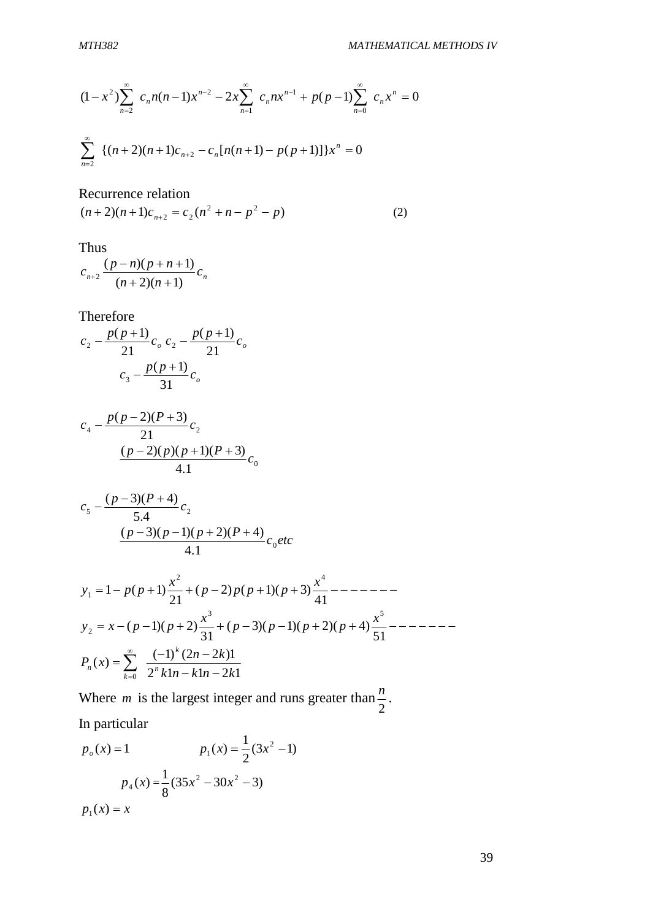$$
(1 - x2)\sum_{n=2}^{\infty} c_n n(n-1)x^{n-2} - 2x \sum_{n=1}^{\infty} c_n nx^{n-1} + p(p-1) \sum_{n=0}^{\infty} c_n x^n = 0
$$
  

$$
\sum_{n=2}^{\infty} \left\{ (n+2)(n+1)c_{n+2} - c_n [n(n+1) - p(p+1)] \right\} x^n = 0
$$

Recurrence relation

$$
(n+2)(n+1)c_{n+2} = c_2(n^2 + n - p^2 - p)
$$
 (2)

Thus

$$
c_{n+2} \frac{(p-n)(p+n+1)}{(n+2)(n+1)} c_n
$$

Therefore

$$
c_2 - \frac{p(p+1)}{21}c_o \cdot c_2 - \frac{p(p+1)}{21}c_o
$$

$$
c_3 - \frac{p(p+1)}{31}c_o
$$

$$
c_4 - \frac{p(p-2)(P+3)}{21}c_2
$$
  
\n
$$
\frac{(p-2)(p)(p+1)(P+3)}{4.1}c_0
$$

$$
c_5 - \frac{(p-3)(P+4)}{5.4}c_2
$$
  
\n(p-3)(p-1)(p+2)(P+4)  
\n4.1  
\n4.1

$$
y_1 = 1 - p(p+1)\frac{x^2}{21} + (p-2)p(p+1)(p+3)\frac{x^4}{41} - \dots - \dots
$$
  
\n
$$
y_2 = x - (p-1)(p+2)\frac{x^3}{31} + (p-3)(p-1)(p+2)(p+4)\frac{x^5}{51} - \dots - \dots
$$
  
\n
$$
P_n(x) = \sum_{k=0}^{\infty} \frac{(-1)^k (2n-2k)1}{2^k k 1n - k 1n - 2k1}
$$

Where *m* is the largest integer and runs greater than 2  $\frac{n}{2}$ . In particular

$$
p_o(x) = 1
$$
  
\n
$$
p_1(x) = \frac{1}{2}(3x^2 - 1)
$$
  
\n
$$
p_4(x) = \frac{1}{8}(35x^2 - 30x^2 - 3)
$$
  
\n
$$
p_1(x) = x
$$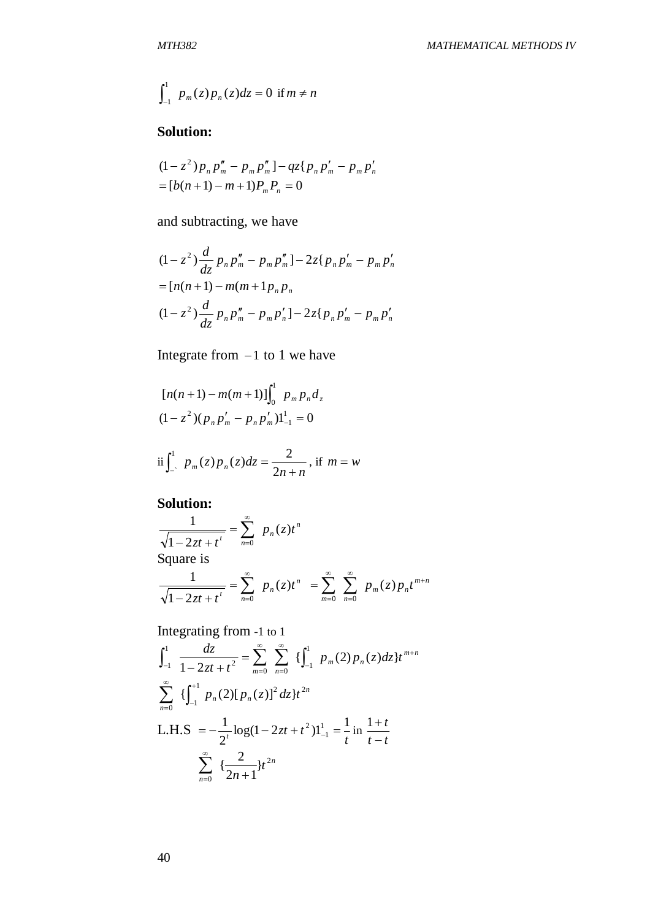$$
\int_{-1}^{1} p_m(z) p_n(z) dz = 0 \text{ if } m \neq n
$$

# **Solution:**

$$
(1 - z2)pnpmn - pmpmn - qz{pnpm' - pmpn'n
$$
  
= [b(n+1) - m + 1)P<sub>m</sub>P<sub>n</sub> = 0

and subtracting, we have

$$
(1 - z2) \frac{d}{dz} p_n p_m'' - p_m p_m'' - 2z \{ p_n p_m' - p_m p_n' \}
$$
  
=  $[n(n + 1) - m(m + 1p_n p_n$   

$$
(1 - z2) \frac{d}{dz} p_n p_m'' - p_m p_n' - 2z \{ p_n p_m' - p_m p_n' \}
$$

Integrate from  $-1$  to 1 we have

$$
[n(n+1) - m(m+1)]\int_0^1 p_m p_n d_z
$$
  
(1-z<sup>2</sup>)(p<sub>n</sub>p'<sub>m</sub> - p<sub>n</sub>p'<sub>m</sub>)1<sup>1</sup><sub>-1</sub> = 0

$$
\text{ii} \int_{-}^{1} p_m(z) p_n(z) dz = \frac{2}{2n+n}, \text{ if } m = w
$$

# **Solution:**

**Solution:**  
\n
$$
\frac{1}{\sqrt{1-2zt+t^t}} = \sum_{n=0}^{\infty} p_n(z)t^n
$$
\nSquare is  
\n
$$
\frac{1}{\sqrt{1-2zt+t^t}} = \sum_{n=0}^{\infty} p_n(z)t^n = \sum_{m=0}^{\infty} \sum_{n=0}^{\infty} p_m(z)p_nt^{m+n}
$$

Integrating from -1 to 1

$$
\int_{-1}^{1} \frac{dz}{1 - 2zt + t^2} = \sum_{m=0}^{\infty} \sum_{n=0}^{\infty} \{ \int_{-1}^{1} p_m(2) p_n(z) dz \} t^{m+n}
$$
  

$$
\sum_{n=0}^{\infty} \{ \int_{-1}^{+1} p_n(2) [p_n(z)]^2 dz \} t^{2n}
$$
  
L.H.S 
$$
= -\frac{1}{2^t} \log(1 - 2zt + t^2) 1 \Big|_{-1}^{1} = -\frac{1}{t} \text{ in } \frac{1+t}{t-t}
$$
  

$$
\sum_{n=0}^{\infty} \{ \frac{2}{2n+1} \} t^{2n}
$$

40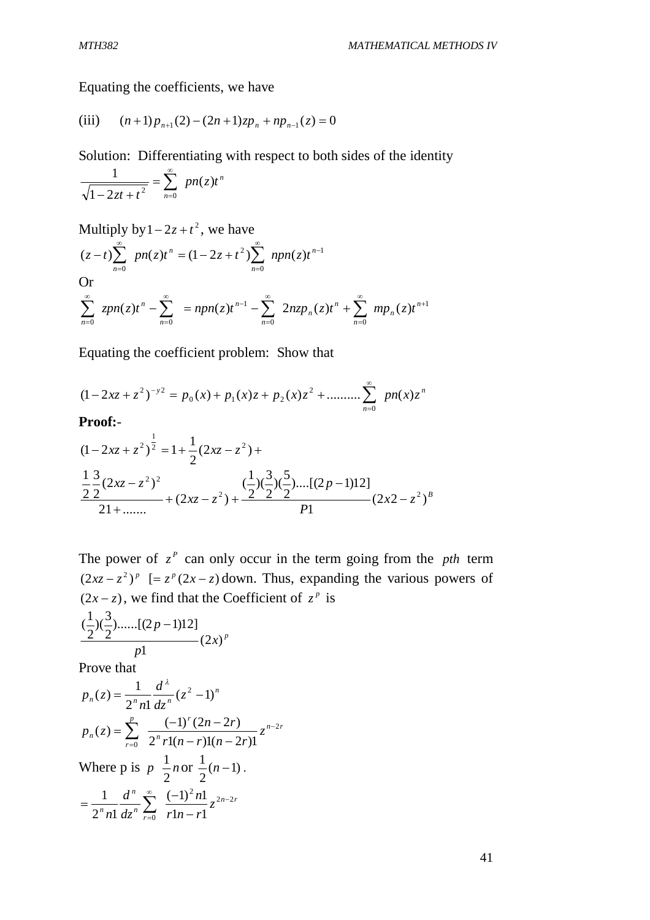Equating the coefficients, we have

(iii) 
$$
(n+1)p_{n+1}(2) - (2n+1)zp_n + np_{n-1}(z) = 0
$$

Solution: Differentiating with respect to both sides of the identity

$$
\frac{1}{\sqrt{1-2zt+t^2}} = \sum_{n=0}^{\infty} pn(z)t^n
$$

Multiply by 
$$
1 - 2z + t^2
$$
, we have  
\n $(z-t)\sum_{n=0}^{\infty} pn(z)t^n = (1 - 2z + t^2)\sum_{n=0}^{\infty} npn(z)t^{n-1}$   
\nOr  
\n $\sum_{n=0}^{\infty} zpn(z)t^n - \sum_{n=0}^{\infty} = npn(z)t^{n-1} - \sum_{n=0}^{\infty} 2nzp_n(z)t^n + \sum_{n=0}^{\infty} mp_n(z)t^{n+1}$ 

Equating the coefficient problem: Show that

$$
(1 - 2xz + z2)-y2 = p0(x) + p1(x)z + p2(x)z2 + ......... \sum_{n=0}^{\infty} pn(x)zn
$$

**Proof:**-

$$
(1-2xz+z^2)^{\frac{1}{2}} = 1 + \frac{1}{2}(2xz-z^2) +
$$
  

$$
\frac{1}{2} \frac{3}{2}(2xz-z^2)^2 + (2xz-z^2) + \frac{(\frac{1}{2})(\frac{3}{2})(\frac{5}{2})....[(2p-1)12]}{p_1}(2x2-z^2)^B
$$

The power of  $z^P$  can only occur in the term going from the *pth* term  $(2xz - z^2)^p$  [=  $z^p(2x - z)$  down. Thus, expanding the various powers of  $(2x - z)$ , we find that the Coefficient of  $z^p$  is

*p x p p* (2 ) 1 )......[(2 1)12] 2 3 )( 2 1 (

Prove that

$$
p_n(z) = \frac{1}{2^n n!} \frac{d^{\lambda}}{dz^n} (z^2 - 1)^n
$$
  
\n
$$
p_n(z) = \sum_{r=0}^p \frac{(-1)^r (2n - 2r)}{2^n r! (n - r)!(n - 2r)!} z^{n-2r}
$$
  
\nWhere p is  $p - \frac{1}{2} n$  or  $\frac{1}{2} (n - 1)$ .  
\n
$$
= \frac{1}{2^n n!} \frac{d^n}{dz^n} \sum_{r=0}^\infty \frac{(-1)^2 n!}{r! n - r!} z^{2n - 2r}
$$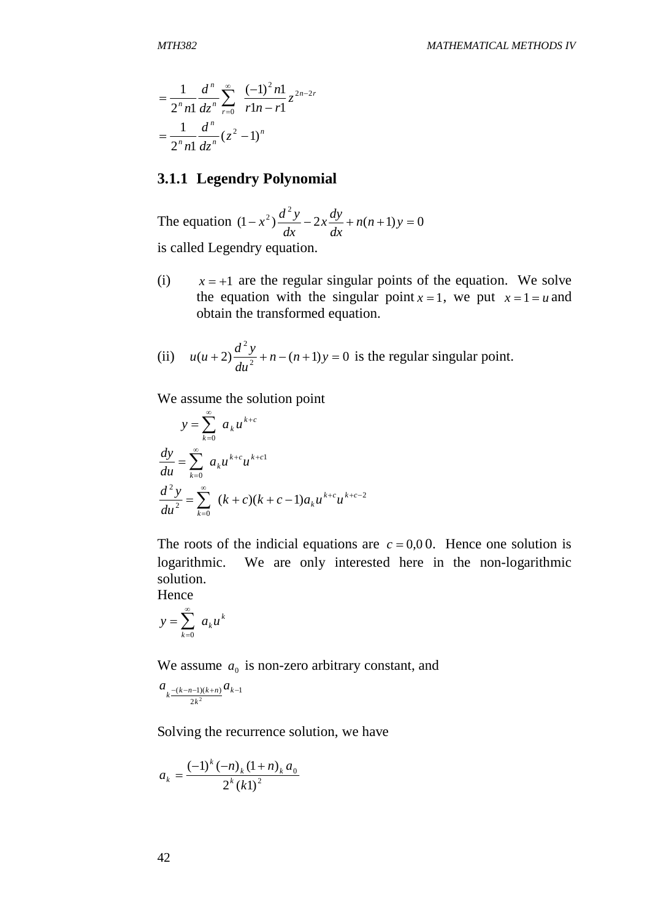$$
= \frac{1}{2^n n!} \frac{d^n}{dz^n} \sum_{r=0}^{\infty} \frac{(-1)^2 n!}{r! n - r!} z^{2n-2r}
$$

$$
= \frac{1}{2^n n!} \frac{d^n}{dz^n} (z^2 - 1)^n
$$

## **3.1.1 Legendry Polynomial**

The equation  $(1 - x^2) \frac{dy}{dx} - 2x \frac{dy}{dx} + n(n+1)y = 0$  $(x-x^2)\frac{d^2y}{dx^2} - 2x\frac{dy}{dx} + n(n+1)y =$ *dx*  $\int \frac{dy}{f}$ *dx*  $(x^2)$  $\frac{d^2y}{dx^2}$ is called Legendry equation.

- (i)  $x = +1$  are the regular singular points of the equation. We solve the equation with the singular point  $x = 1$ , we put  $x = 1 = u$  and obtain the transformed equation.
- (ii)  $u(u+2) \frac{u^2}{du^2} + n (n+1)y = 0$ 2  $(x+2)\frac{u+y}{1^2}+n-(n+1)y=$ *du*  $u(u+2)\frac{d^2y}{dx^2} + n - (n+1)y = 0$  is the regular singular point.

We assume the solution point

$$
y = \sum_{k=0}^{\infty} a_k u^{k+c}
$$
  
\n
$$
\frac{dy}{du} = \sum_{k=0}^{\infty} a_k u^{k+c} u^{k+c}
$$
  
\n
$$
\frac{d^2 y}{du^2} = \sum_{k=0}^{\infty} (k+c)(k+c-1)a_k u^{k+c} u^{k+c-2}
$$

The roots of the indicial equations are  $c = 0.00$ . Hence one solution is logarithmic. We are only interested here in the non-logarithmic solution.

Hence

$$
y = \sum_{k=0}^{\infty} a_k u^k
$$

We assume  $a_0$  is non-zero arbitrary constant, and

$$
a_{k\frac{-(k-n-1)(k+n)}{2k^2}}a_{k-1}
$$

Solving the recurrence solution, we have

$$
a_{k} = \frac{(-1)^{k} (-n)_{k} (1+n)_{k} a_{0}}{2^{k} (k!)^{2}}
$$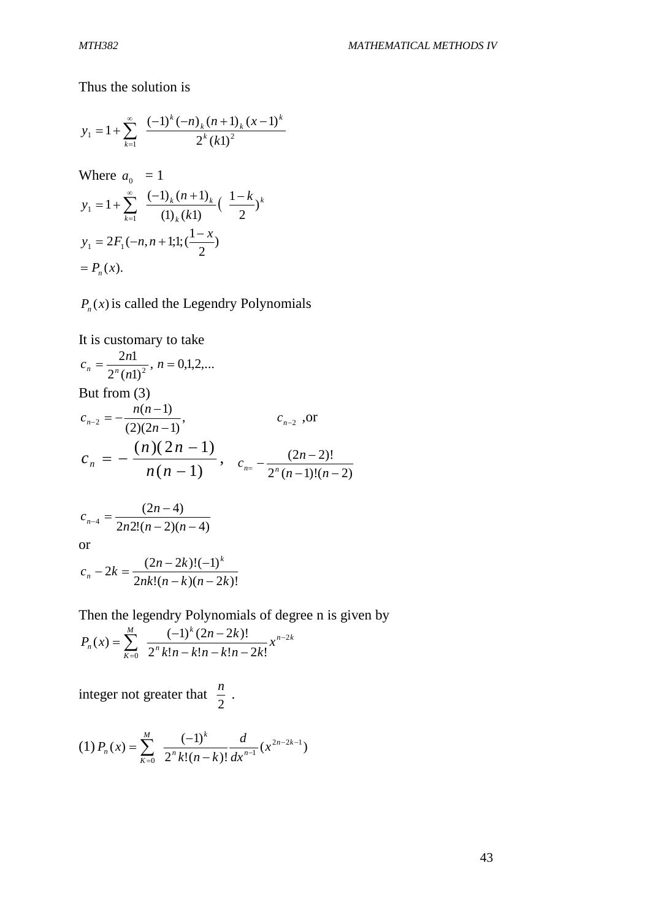Thus the solution is

$$
y_1 = 1 + \sum_{k=1}^{\infty} \frac{(-1)^k (-n)_k (n+1)_k (x-1)^k}{2^k (k!)^2}
$$
  
Where  $a_0 = 1$   

$$
y_1 = 1 + \sum_{k=1}^{\infty} \frac{(-1)_k (n+1)_k}{(1)_k (k!)} (\frac{1-k}{2})^k
$$
  

$$
y_1 = 2F_1(-n, n+1; 1; (\frac{1-x}{2}))
$$

 $= P_n(x)$ .

 $P_n(x)$  is called the Legendry Polynomials

It is customary to take

$$
c_n = \frac{2n!}{2^n (n!)^2}, n = 0,1,2,...
$$
  
But from (3)  

$$
c_{n-2} = -\frac{n(n-1)}{(2)(2n-1)}, \qquad c_{n-2} \text{ , or}
$$

$$
c_n = -\frac{(n)(2n-1)}{n(n-1)}, \qquad c_{n-1} = -\frac{(2n-2)!}{2^n (n-1)!(n-2)}
$$

$$
c_{n-4} = \frac{(2n-4)}{2n2!(n-2)(n-4)}
$$
or

$$
c_n - 2k = \frac{(2n - 2k)!(-1)^k}{2nk!(n - k)(n - 2k)!}
$$

Then the legendry Polynomials of degree n is given by

$$
P_n(x) = \sum_{k=0}^{M} \frac{(-1)^k (2n-2k)!}{2^k k! n-k! n-k! n-2k!} x^{n-2k}
$$

integer not greater that 2  $\frac{n}{2}$ .

$$
(1) P_n(x) = \sum_{k=0}^{M} \frac{(-1)^k}{2^k k! (n-k)!} \frac{d}{dx^{n-1}} (x^{2n-2k-1})
$$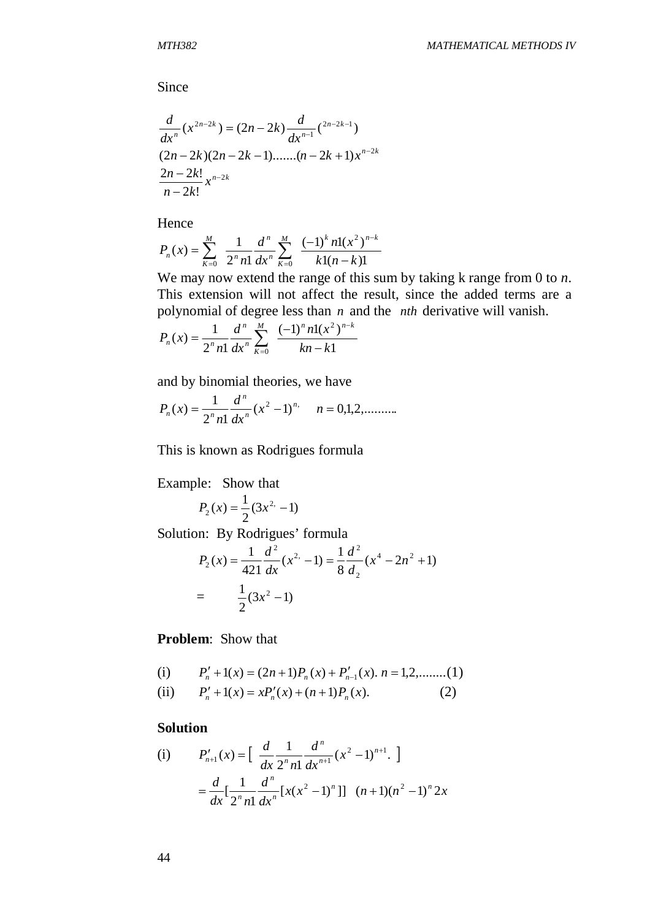Since

$$
\frac{d}{dx^n}(x^{2n-2k}) = (2n-2k)\frac{d}{dx^{n-1}}\binom{2n-2k-1}{2n-2k} (2n-2k-1)\dots(n-2k+1)x^{n-2k}
$$
\n
$$
\frac{2n-2k!}{n-2k!}x^{n-2k}
$$

Hence

$$
P_n(x) = \sum_{k=0}^{M} \frac{1}{2^n n!} \frac{d^n}{dx^n} \sum_{k=0}^{M} \frac{(-1)^k n! (x^2)^{n-k}}{k! (n-k)!}
$$

We may now extend the range of this sum by taking k range from 0 to *n*. This extension will not affect the result, since the added terms are a polynomial of degree less than *n* and the *nth* derivative will vanish.

$$
P_n(x) = \frac{1}{2^n n!} \frac{d^n}{dx^n} \sum_{k=0}^{M} \frac{(-1)^n n! (x^2)^{n-k}}{kn - k!}
$$

and by binomial theories, we have

$$
P_n(x) = \frac{1}{2^n n!} \frac{d^n}{dx^n} (x^2 - 1)^n, \quad n = 0, 1, 2, \dots
$$

This is known as Rodrigues formula

Example: Show that

$$
P_2(x) = \frac{1}{2}(3x^2 - 1)
$$

Solution: By Rodrigues' formula

$$
P_2(x) = \frac{1}{421} \frac{d^2}{dx} (x^2 - 1) = \frac{1}{8} \frac{d^2}{d_2} (x^4 - 2n^2 + 1)
$$
  
= 
$$
\frac{1}{2} (3x^2 - 1)
$$

**Problem**: Show that

(i) 
$$
P'_n + 1(x) = (2n+1)P_n(x) + P'_{n-1}(x)
$$
.  $n = 1, 2, \dots, (1)$ 

(ii) 
$$
P'_n + 1(x) = xP'_n(x) + (n+1)P_n(x).
$$
 (2)

#### **Solution**

(i) 
$$
P'_{n+1}(x) = \left[ \frac{d}{dx} \frac{1}{2^n n!} \frac{d^n}{dx^{n+1}} (x^2 - 1)^{n+1} \right]
$$

$$
= \frac{d}{dx} \left[ \frac{1}{2^n n!} \frac{d^n}{dx^n} [x(x^2 - 1)^n] \right] (n+1)(n^2 - 1)^n 2x
$$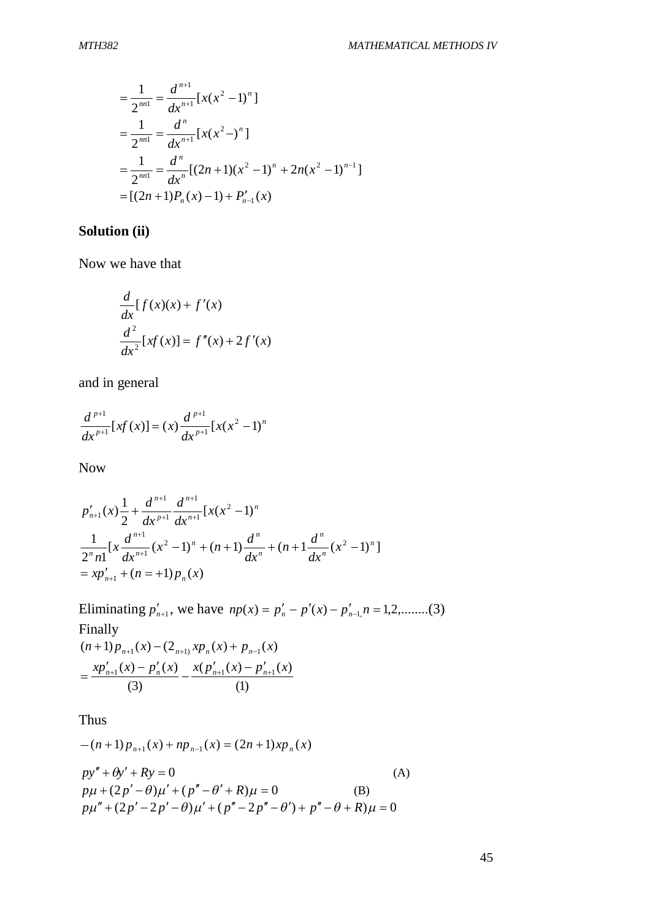$$
= \frac{1}{2^{n}} = \frac{d^{n+1}}{dx^{n+1}} [x(x^2 - 1)^n]
$$
  
= 
$$
\frac{1}{2^{n}} = \frac{d^n}{dx^{n+1}} [x(x^2 -)^n]
$$
  
= 
$$
\frac{1}{2^{n}} = \frac{d^n}{dx^n} [(2n+1)(x^2 - 1)^n + 2n(x^2 - 1)^{n-1}]
$$
  
= 
$$
[(2n+1)P_n(x) - 1) + P'_{n-1}(x)
$$

### **Solution (ii)**

Now we have that

$$
\frac{d}{dx}[f(x)(x) + f'(x)]
$$
  

$$
\frac{d^2}{dx^2}[xf(x)] = f''(x) + 2f'(x)
$$

and in general

$$
\frac{d^{p+1}}{dx^{p+1}}[xf(x)] = (x)\frac{d^{p+1}}{dx^{p+1}}[x(x^2-1)]^n
$$

Now

$$
p'_{n+1}(x)\frac{1}{2} + \frac{d^{n+1}}{dx^{n+1}}\frac{d^{n+1}}{dx^{n+1}}[x(x^2 - 1)^n
$$
  

$$
\frac{1}{2^n n!} [x\frac{d^{n+1}}{dx^{n+1}}(x^2 - 1)^n + (n+1)\frac{d^n}{dx^n} + (n+1\frac{d^n}{dx^n}(x^2 - 1)^n]
$$
  

$$
= xp'_{n+1} + (n = +1)p_n(x)
$$

Eliminating  $p'_{n+1}$ , we have  $np(x) = p'_n - p'(x) - p'_{n-1}$ ,  $n = 1, 2, \dots$ ...(3) Finally  $(n+1)p_{n+1}(x) - (2_{n+1)}xp_n(x) + p_{n-1}(x)$ (1)  $(p'_{n+1}(x) - p'_{n+1}(x))$ (3)  $x p'_{n+1}(x) - p'_{n}(x)$   $x (p'_{n+1}(x) - p'_{n+1}(x))$  $y'_{n+1}(x) - p'_n$  $=$ 

Thus

$$
-(n+1)p_{n+1}(x) + np_{n-1}(x) = (2n+1)xp_n(x)
$$
  
\n
$$
py'' + \theta y' + Ry = 0
$$
  
\n
$$
p\mu + (2p' - \theta)\mu' + (p'' - \theta' + R)\mu = 0
$$
  
\n
$$
p\mu'' + (2p' - 2p' - \theta)\mu' + (p'' - 2p'' - \theta') + p'' - \theta + R)\mu = 0
$$
\n(B)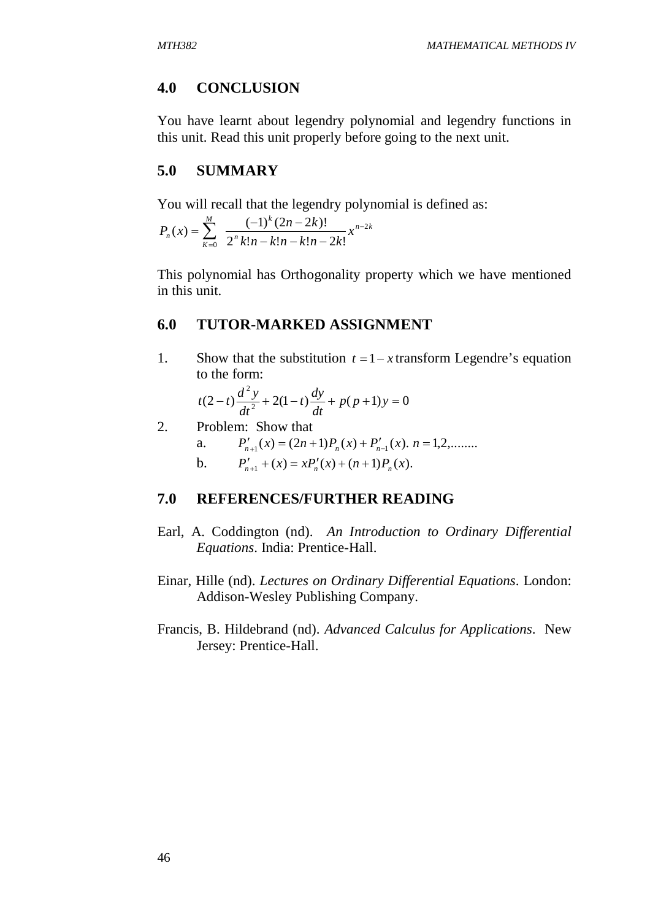## **4.0 CONCLUSION**

You have learnt about legendry polynomial and legendry functions in this unit. Read this unit properly before going to the next unit.

### **5.0 SUMMARY**

You will recall that the legendry polynomial is defined as:

$$
P_n(x) = \sum_{k=0}^{M} \frac{(-1)^k (2n-2k)!}{2^k k! n-k! n-k! n-2k!} x^{n-2k}
$$

This polynomial has Orthogonality property which we have mentioned in this unit.

## **6.0 TUTOR-MARKED ASSIGNMENT**

1. Show that the substitution  $t = 1 - x$  transform Legendre's equation to the form:

$$
t(2-t)\frac{d^2y}{dt^2} + 2(1-t)\frac{dy}{dt} + p(p+1)y = 0
$$

2. Problem: Show that

a. 
$$
P'_{n+1}(x) = (2n+1)P_n(x) + P'_{n-1}(x). \quad n = 1, 2, \dots
$$

b.  $P'_{n+1} + (x) = xP'_n(x) + (n+1)P_n(x)$ .

## **7.0 REFERENCES/FURTHER READING**

- Earl, A. Coddington (nd). *An Introduction to Ordinary Differential Equations*. India: Prentice-Hall.
- Einar, Hille (nd). *Lectures on Ordinary Differential Equations*. London: Addison-Wesley Publishing Company.
- Francis, B. Hildebrand (nd). *Advanced Calculus for Applications*. New Jersey: Prentice-Hall.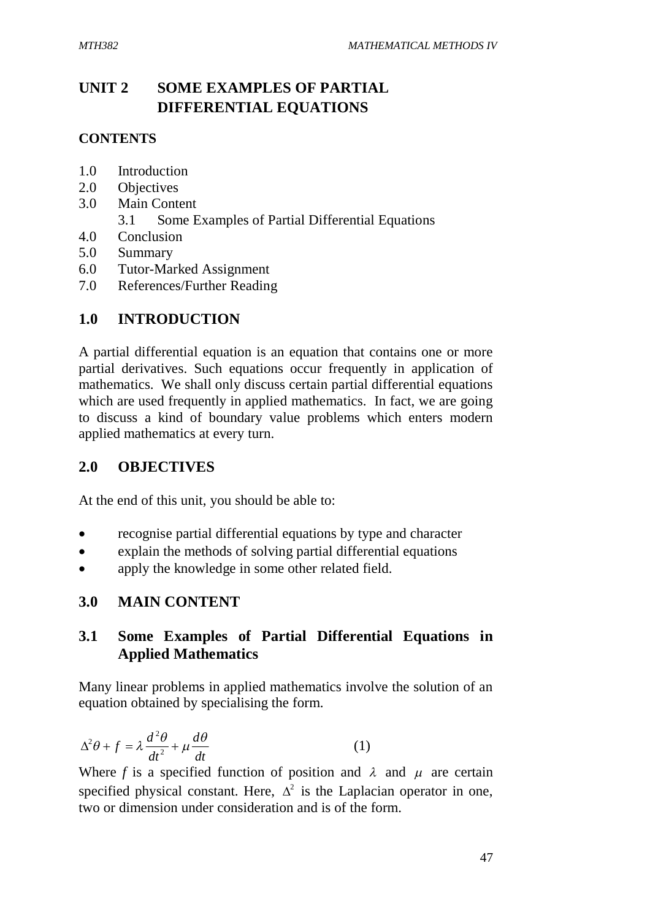# **UNIT 2 SOME EXAMPLES OF PARTIAL DIFFERENTIAL EQUATIONS**

## **CONTENTS**

- 1.0 Introduction
- 2.0 Objectives
- 3.0 Main Content
	- 3.1 Some Examples of Partial Differential Equations
- 4.0 Conclusion
- 5.0 Summary
- 6.0 Tutor-Marked Assignment
- 7.0 References/Further Reading

# **1.0 INTRODUCTION**

A partial differential equation is an equation that contains one or more partial derivatives. Such equations occur frequently in application of mathematics. We shall only discuss certain partial differential equations which are used frequently in applied mathematics. In fact, we are going to discuss a kind of boundary value problems which enters modern applied mathematics at every turn.

# **2.0 OBJECTIVES**

At the end of this unit, you should be able to:

- recognise partial differential equations by type and character
- explain the methods of solving partial differential equations
- apply the knowledge in some other related field.

# **3.0 MAIN CONTENT**

# **3.1 Some Examples of Partial Differential Equations in Applied Mathematics**

Many linear problems in applied mathematics involve the solution of an equation obtained by specialising the form.

$$
\Delta^2 \theta + f = \lambda \frac{d^2 \theta}{dt^2} + \mu \frac{d\theta}{dt}
$$
 (1)

Where f is a specified function of position and  $\lambda$  and  $\mu$  are certain specified physical constant. Here,  $\Delta^2$  is the Laplacian operator in one, two or dimension under consideration and is of the form.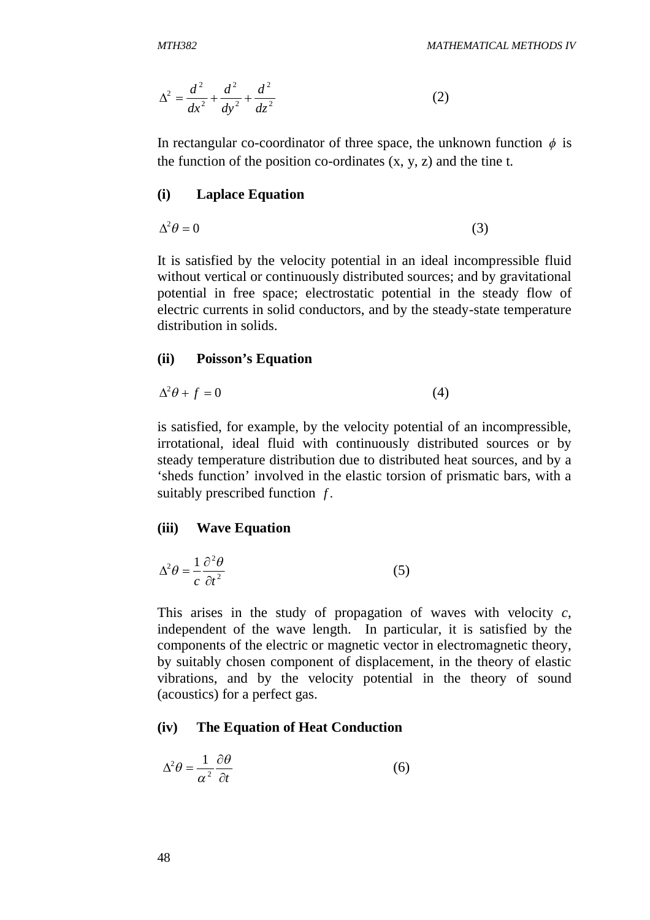$$
\Delta^2 = \frac{d^2}{dx^2} + \frac{d^2}{dy^2} + \frac{d^2}{dz^2}
$$
 (2)

In rectangular co-coordinator of three space, the unknown function  $\phi$  is the function of the position co-ordinates  $(x, y, z)$  and the tine t.

#### **(i) Laplace Equation**

$$
\Delta^2 \theta = 0 \tag{3}
$$

It is satisfied by the velocity potential in an ideal incompressible fluid without vertical or continuously distributed sources; and by gravitational potential in free space; electrostatic potential in the steady flow of electric currents in solid conductors, and by the steady-state temperature distribution in solids.

#### **(ii) Poisson's Equation**

$$
\Delta^2 \theta + f = 0 \tag{4}
$$

is satisfied, for example, by the velocity potential of an incompressible, irrotational, ideal fluid with continuously distributed sources or by steady temperature distribution due to distributed heat sources, and by a 'sheds function' involved in the elastic torsion of prismatic bars, with a suitably prescribed function *f* .

#### **(iii) Wave Equation**

$$
\Delta^2 \theta = \frac{1}{c} \frac{\partial^2 \theta}{\partial t^2}
$$
 (5)

This arises in the study of propagation of waves with velocity *c*, independent of the wave length. In particular, it is satisfied by the components of the electric or magnetic vector in electromagnetic theory, by suitably chosen component of displacement, in the theory of elastic vibrations, and by the velocity potential in the theory of sound (acoustics) for a perfect gas.

#### **(iv) The Equation of Heat Conduction**

$$
\Delta^2 \theta = \frac{1}{\alpha^2} \frac{\partial \theta}{\partial t} \tag{6}
$$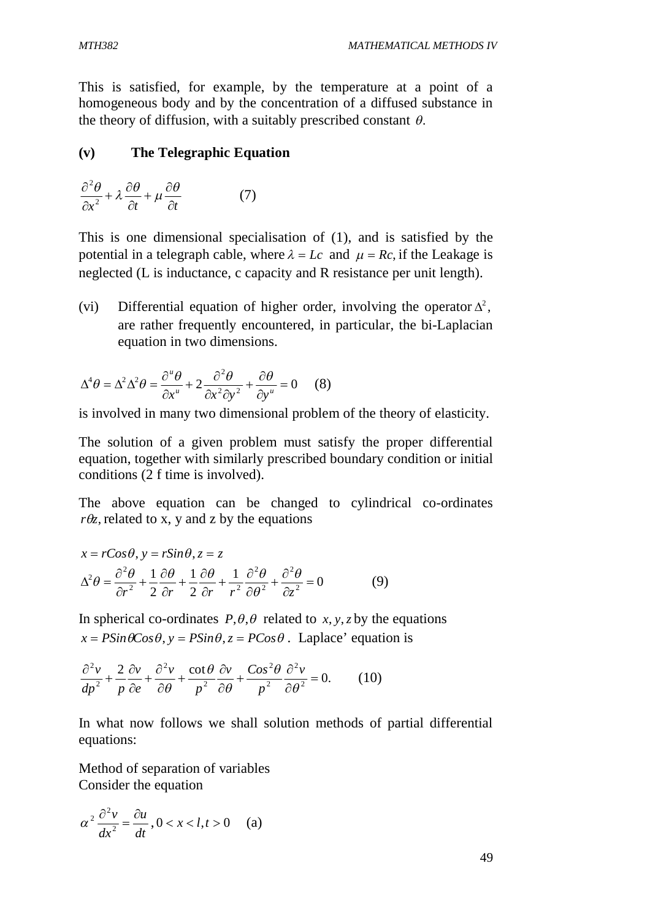This is satisfied, for example, by the temperature at a point of a homogeneous body and by the concentration of a diffused substance in the theory of diffusion, with a suitably prescribed constant  $\theta$ .

#### **(v) The Telegraphic Equation**

$$
\frac{\partial^2 \theta}{\partial x^2} + \lambda \frac{\partial \theta}{\partial t} + \mu \frac{\partial \theta}{\partial t} \tag{7}
$$

This is one dimensional specialisation of (1), and is satisfied by the potential in a telegraph cable, where  $\lambda = Lc$  and  $\mu = Rc$ , if the Leakage is neglected (L is inductance, c capacity and R resistance per unit length).

(vi) Differential equation of higher order, involving the operator  $\Delta^2$ , are rather frequently encountered, in particular, the bi-Laplacian equation in two dimensions.

$$
\Delta^4 \theta = \Delta^2 \Delta^2 \theta = \frac{\partial^u \theta}{\partial x^u} + 2 \frac{\partial^2 \theta}{\partial x^2 \partial y^2} + \frac{\partial \theta}{\partial y^u} = 0 \quad (8)
$$

is involved in many two dimensional problem of the theory of elasticity.

The solution of a given problem must satisfy the proper differential equation, together with similarly prescribed boundary condition or initial conditions (2 f time is involved).

The above equation can be changed to cylindrical co-ordinates  $r\theta z$ , related to x, y and z by the equations

$$
x = rCos\theta, y = rSin\theta, z = z
$$
  
\n
$$
\Delta^2 \theta = \frac{\partial^2 \theta}{\partial r^2} + \frac{1}{2} \frac{\partial \theta}{\partial r} + \frac{1}{2} \frac{\partial \theta}{\partial r} + \frac{1}{r^2} \frac{\partial^2 \theta}{\partial \theta^2} + \frac{\partial^2 \theta}{\partial z^2} = 0
$$
 (9)

In spherical co-ordinates  $P, \theta, \theta$  related to *x*, *y*, *z* by the equations  $x = P\sin\theta\cos\theta$ ,  $y = P\sin\theta$ ,  $z = P\cos\theta$ . Laplace' equation is

$$
\frac{\partial^2 v}{dp^2} + \frac{2}{p} \frac{\partial v}{\partial e} + \frac{\partial^2 v}{\partial \theta} + \frac{\cot \theta}{p^2} \frac{\partial v}{\partial \theta} + \frac{\cos^2 \theta}{p^2} \frac{\partial^2 v}{\partial \theta^2} = 0.
$$
 (10)

In what now follows we shall solution methods of partial differential equations:

Method of separation of variables Consider the equation

$$
\alpha^2 \frac{\partial^2 v}{dx^2} = \frac{\partial u}{\partial t}, 0 < x < l, t > 0 \quad \text{(a)}
$$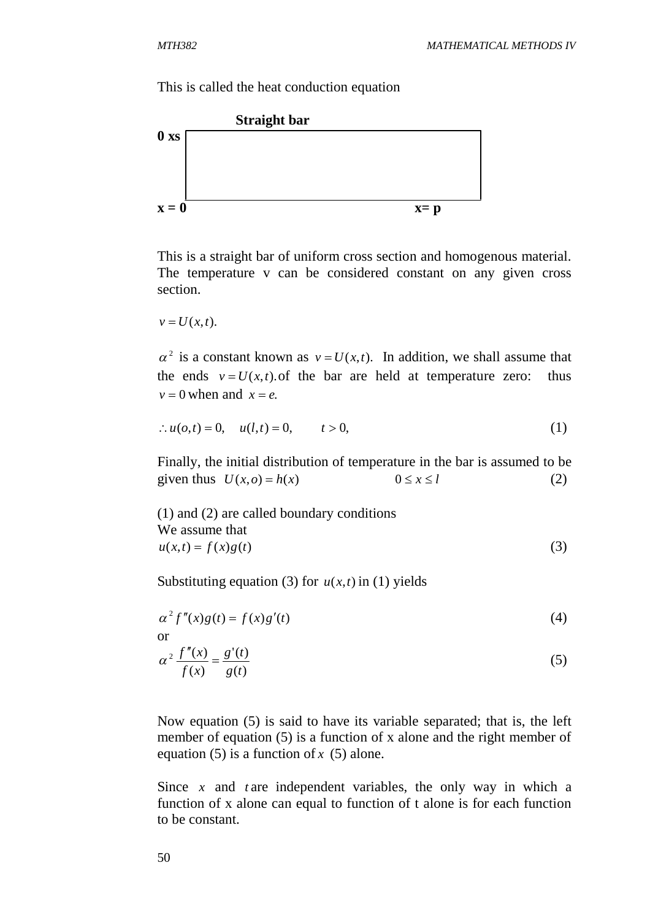This is called the heat conduction equation



This is a straight bar of uniform cross section and homogenous material. The temperature v can be considered constant on any given cross section.

 $v = U(x,t)$ .

 $\alpha^2$  is a constant known as  $v = U(x,t)$ . In addition, we shall assume that the ends  $v = U(x,t)$  of the bar are held at temperature zero: thus  $v = 0$  when and  $x = e$ .

$$
\therefore u(o,t) = 0, \quad u(l,t) = 0, \quad t > 0,
$$
\n(1)

Finally, the initial distribution of temperature in the bar is assumed to be given thus  $U(x, o) = h(x)$   $0 \le x \le l$  (2)

(1) and (2) are called boundary conditions We assume that  $u(x,t) = f(x)g(t)$  (3)

Substituting equation (3) for  $u(x,t)$  in (1) yields

$$
\alpha^2 f''(x)g(t) = f(x)g'(t)
$$
  
or  

$$
\alpha^2 \frac{f''(x)}{f(x)} = \frac{g'(t)}{g(t)}
$$
 (5)

Now equation (5) is said to have its variable separated; that is, the left member of equation (5) is a function of x alone and the right member of equation (5) is a function of *x* (5) alone.

Since *x* and *t* are independent variables, the only way in which a function of x alone can equal to function of t alone is for each function to be constant.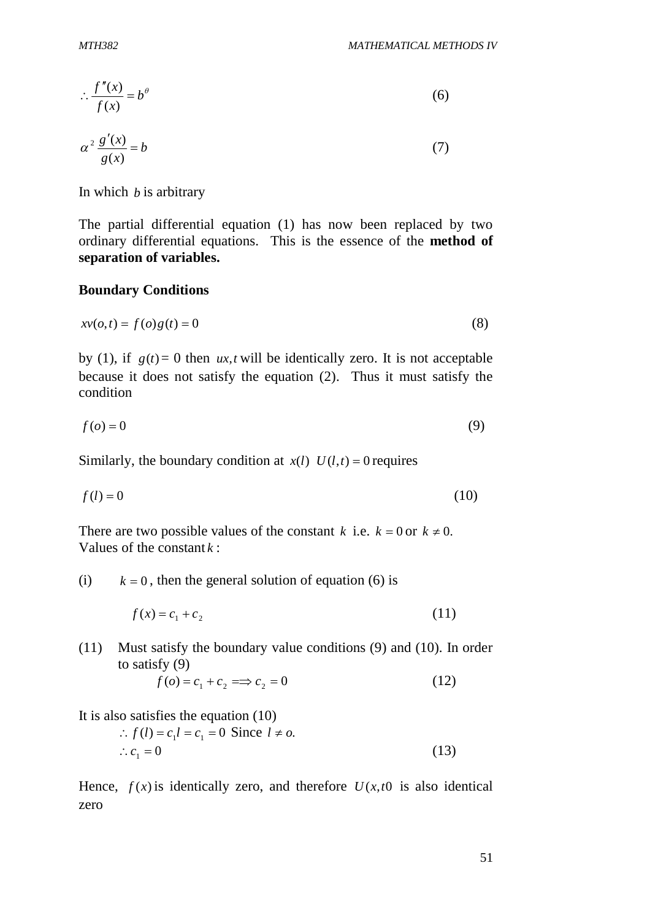$$
\therefore \frac{f''(x)}{f(x)} = b^{\theta} \tag{6}
$$

$$
\alpha^2 \frac{g'(x)}{g(x)} = b \tag{7}
$$

In which *b* is arbitrary

The partial differential equation (1) has now been replaced by two ordinary differential equations. This is the essence of the **method of separation of variables.**

#### **Boundary Conditions**

$$
xv(o,t) = f(o)g(t) = 0
$$
\n<sup>(8)</sup>

by (1), if  $g(t) = 0$  then *ux*,*t* will be identically zero. It is not acceptable because it does not satisfy the equation (2). Thus it must satisfy the condition

$$
f(o) = 0 \tag{9}
$$

Similarly, the boundary condition at  $x(l)$   $U(l,t) = 0$  requires

$$
f(l) = 0 \tag{10}
$$

There are two possible values of the constant *k* i.e.  $k = 0$  or  $k \neq 0$ . Values of the constant *k* :

(i)  $k = 0$ , then the general solution of equation (6) is

$$
f(x) = c_1 + c_2 \tag{11}
$$

(11) Must satisfy the boundary value conditions (9) and (10). In order to satisfy (9)

$$
f(o) = c_1 + c_2 \implies c_2 = 0 \tag{12}
$$

It is also satisfies the equation (10)

$$
\therefore f(l) = c_1 l = c_1 = 0 \text{ Since } l \neq o.
$$
  

$$
\therefore c_1 = 0 \tag{13}
$$

Hence,  $f(x)$  is identically zero, and therefore  $U(x,t0)$  is also identical zero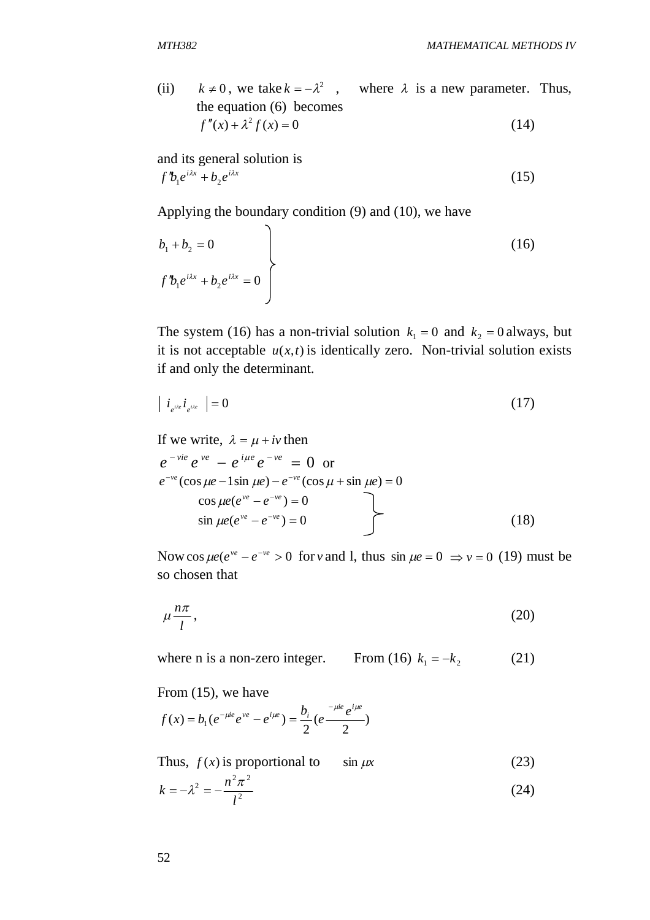(ii)  $k \neq 0$ , we take  $k = -\lambda^2$ , where  $\lambda$  is a new parameter. Thus, the equation (6) becomes  $f''(x) + \lambda^2 f(x) = 0$  (14)

and its general solution is  $f''b_1e^{i\lambda x} + b_2e^{i\lambda x}$  (15)

Applying the boundary condition (9) and (10), we have

$$
b_1 + b_2 = 0
$$
  

$$
f' b_1 e^{i\lambda x} + b_2 e^{i\lambda x} = 0
$$
 (16)

The system (16) has a non-trivial solution  $k_1 = 0$  and  $k_2 = 0$  always, but it is not acceptable  $u(x,t)$  is identically zero. Non-trivial solution exists if and only the determinant.

$$
\left| i_{e^{i\lambda e}} i_{e^{i\lambda e}} \right| = 0 \tag{17}
$$

If we write, 
$$
\lambda = \mu + i\nu
$$
 then  
\n $e^{-\nu i e} e^{\nu e} - e^{i\mu e} e^{-\nu e} = 0$  or  
\n $e^{-\nu e} (\cos \mu e - 1 \sin \mu e) - e^{-\nu e} (\cos \mu + \sin \mu e) = 0$   
\n $\cos \mu e (e^{\nu e} - e^{-\nu e}) = 0$   
\n $\sin \mu e (e^{\nu e} - e^{-\nu e}) = 0$  (18)

Now cos  $\mu e(e^{ve} - e^{-ve} > 0$  for *v* and 1, thus  $\sin \mu e = 0 \Rightarrow v = 0$  (19) must be so chosen that

$$
\mu \frac{n\pi}{l},\tag{20}
$$

where n is a non-zero integer. From (16)  $k_1 = -k_2$  (21)

From (15), we have

$$
f(x) = b_1(e^{-\mu i e}e^{\nu e} - e^{i \mu e}) = \frac{b_i}{2}(e^{\frac{-\mu i e}{2}e^{i \mu e}})
$$

Thus,  $f(x)$  is proportional to  $\sin \mu x$  (23)

$$
k = -\lambda^2 = -\frac{n^2 \pi^2}{l^2}
$$
 (24)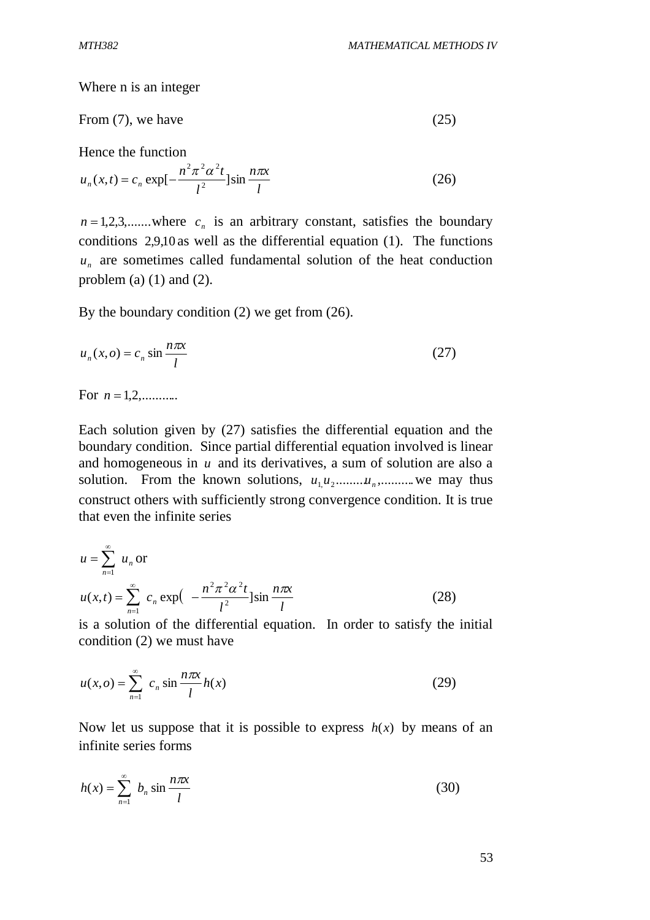Where n is an integer

From (7), we have 
$$
(25)
$$

Hence the function

$$
u_n(x,t) = c_n \exp[-\frac{n^2 \pi^2 \alpha^2 t}{l^2}] \sin \frac{n \pi x}{l}
$$
 (26)

 $n = 1, 2, 3, \dots$  where  $c_n$  is an arbitrary constant, satisfies the boundary conditions 2,9,10 as well as the differential equation (1). The functions *n u* are sometimes called fundamental solution of the heat conduction problem (a)  $(1)$  and  $(2)$ .

By the boundary condition (2) we get from (26).

$$
u_n(x, o) = c_n \sin \frac{n\pi x}{l}
$$
 (27)

For  $n = 1, 2, \ldots, n$ .

Each solution given by (27) satisfies the differential equation and the boundary condition. Since partial differential equation involved is linear and homogeneous in  $u$  and its derivatives, a sum of solution are also a solution. From the known solutions,  $u_1 u_2$  *u*<sub>n</sub>, *u*<sub>n</sub>, *u*<sub>n</sub> we may thus construct others with sufficiently strong convergence condition. It is true that even the infinite series

$$
u = \sum_{n=1}^{\infty} u_n \text{ or}
$$
  

$$
u(x,t) = \sum_{n=1}^{\infty} c_n \exp\left(-\frac{n^2 \pi^2 \alpha^2 t}{l^2}\right) \sin\frac{n\pi x}{l}
$$
 (28)

is a solution of the differential equation. In order to satisfy the initial condition (2) we must have

$$
u(x, o) = \sum_{n=1}^{\infty} c_n \sin \frac{n\pi x}{l} h(x)
$$
 (29)

Now let us suppose that it is possible to express  $h(x)$  by means of an infinite series forms

$$
h(x) = \sum_{n=1}^{\infty} b_n \sin \frac{n\pi x}{l}
$$
 (30)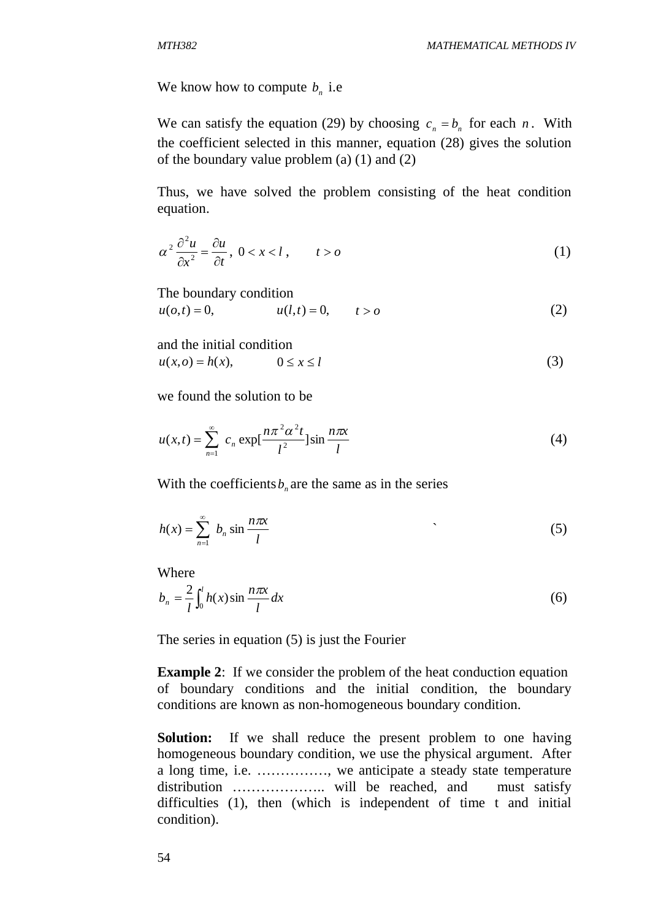We know how to compute  $b_n$  i.e

We can satisfy the equation (29) by choosing  $c_n = b_n$  for each *n*. With the coefficient selected in this manner, equation (28) gives the solution of the boundary value problem (a) (1) and (2)

Thus, we have solved the problem consisting of the heat condition equation.

$$
\alpha^2 \frac{\partial^2 u}{\partial x^2} = \frac{\partial u}{\partial t}, \ 0 < x < l \,, \qquad t > o \tag{1}
$$

The boundary condition

$$
u(o,t) = 0,
$$
  $u(l,t) = 0,$   $t > o$  (2)

and the initial condition

$$
u(x, o) = h(x), \qquad 0 \le x \le l \tag{3}
$$

we found the solution to be

$$
u(x,t) = \sum_{n=1}^{\infty} c_n \exp[\frac{n\pi^2 \alpha^2 t}{l^2}] \sin \frac{n\pi x}{l}
$$
 (4)

With the coefficients  $b_n$  are the same as in the series

$$
h(x) = \sum_{n=1}^{\infty} b_n \sin \frac{n\pi x}{l}
$$
 (5)

Where

$$
b_n = \frac{2}{l} \int_0^l h(x) \sin \frac{n \pi x}{l} dx
$$
 (6)

The series in equation (5) is just the Fourier

**Example 2:** If we consider the problem of the heat conduction equation of boundary conditions and the initial condition, the boundary conditions are known as non-homogeneous boundary condition.

**Solution:** If we shall reduce the present problem to one having homogeneous boundary condition, we use the physical argument. After a long time, i.e. ……………, we anticipate a steady state temperature distribution ……………….. will be reached, and must satisfy difficulties (1), then (which is independent of time t and initial condition).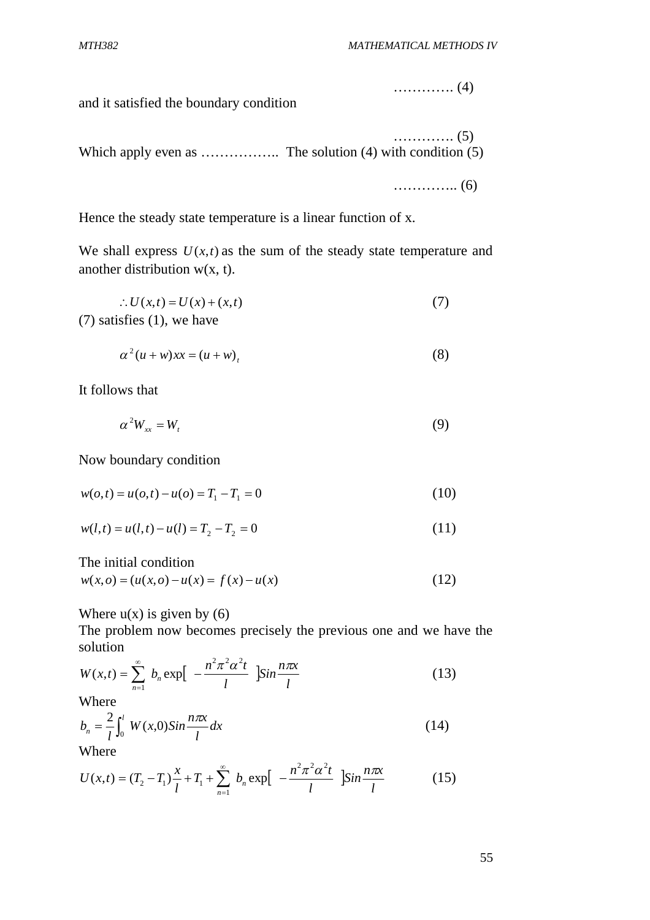…………. (4)

and it satisfied the boundary condition

…………. (5) Which apply even as …………….. The solution (4) with condition (5)

………….. (6)

Hence the steady state temperature is a linear function of x.

We shall express  $U(x,t)$  as the sum of the steady state temperature and another distribution  $w(x, t)$ .

$$
\therefore U(x,t) = U(x) + (x,t)
$$
  
(7) satisfies (1), we have

$$
\alpha^2 (u+w)xx = (u+w)_t \tag{8}
$$

It follows that

$$
\alpha^2 W_{xx} = W_t \tag{9}
$$

Now boundary condition

$$
w(o,t) = u(o,t) - u(o) = T_1 - T_1 = 0
$$
\n(10)

$$
w(l,t) = u(l,t) - u(l) = T_2 - T_2 = 0
$$
\n(11)

The initial condition

$$
w(x, o) = (u(x, o) - u(x)) = f(x) - u(x)
$$
\n(12)

Where  $u(x)$  is given by (6)

The problem now becomes precisely the previous one and we have the solution

$$
W(x,t) = \sum_{n=1}^{\infty} b_n \exp\left[-\frac{n^2 \pi^2 \alpha^2 t}{l} \right] \sin \frac{n \pi x}{l}
$$
 (13)

Where

$$
b_n = \frac{2}{l} \int_0^l W(x,0) \sin \frac{n \pi x}{l} dx
$$
 (14)

Where

$$
U(x,t) = (T_2 - T_1)\frac{x}{l} + T_1 + \sum_{n=1}^{\infty} b_n \exp\left[-\frac{n^2\pi^2\alpha^2t}{l}\right]\sin\frac{n\pi x}{l}
$$
 (15)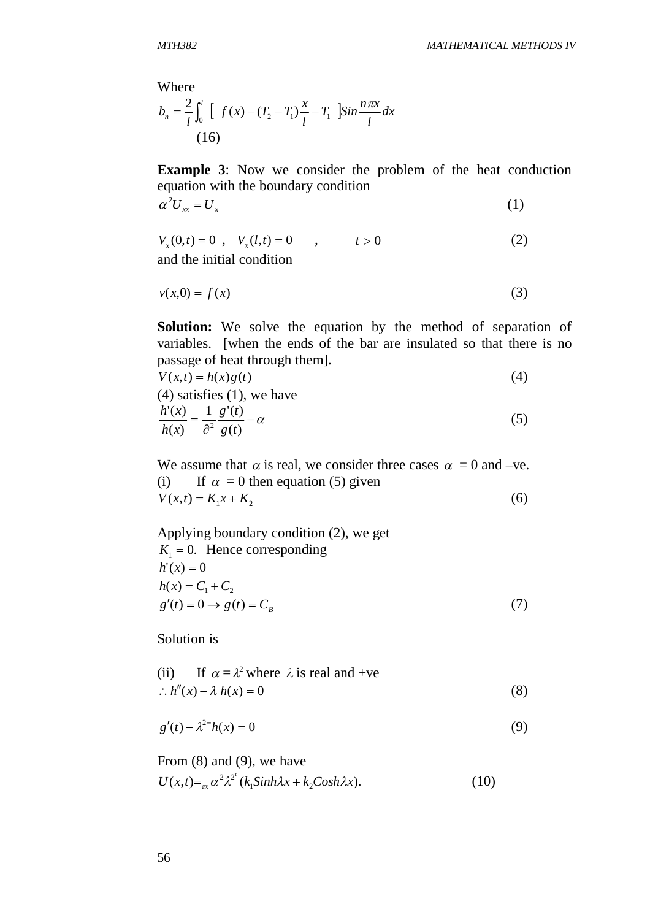Where  

$$
b_n = \frac{2}{l} \int_0^l \left[ f(x) - (T_2 - T_1) \frac{x}{l} - T_1 \right] \sin \frac{n \pi x}{l} dx
$$
  
(16)

**Example 3**: Now we consider the problem of the heat conduction equation with the boundary condition

$$
\alpha^2 U_{xx} = U_x \tag{1}
$$

$$
V_x(0,t) = 0, V_x(l,t) = 0, t > 0
$$
\nand the initial condition\n
$$
V_x(t) = 0, t > 0
$$
\n
$$
V_y(0,t) = 0, V_y(l,t) = 0
$$
\n
$$
V_y(0,t) = 0, t > 0
$$
\n
$$
V_y(0,t) = 0, t > 0
$$
\n
$$
V_y(0,t) = 0, t > 0
$$

$$
v(x,0) = f(x) \tag{3}
$$

**Solution:** We solve the equation by the method of separation of variables. [when the ends of the bar are insulated so that there is no passage of heat through them].

$$
V(x,t) = h(x)g(t)
$$
  
(4) satisfies (1), we have  

$$
\frac{h'(x)}{h(x)} = \frac{1}{\partial^2} \frac{g'(t)}{g(t)} - \alpha
$$
 (5)

We assume that  $\alpha$  is real, we consider three cases  $\alpha = 0$  and –ve. (i) If  $\alpha = 0$  then equation (5) given  $V(x,t) = K_1 x + K_2$  (6)

Applying boundary condition (2), we get  $K_1 = 0$ . Hence corresponding  $h'(x) = 0$  $h(x) = C_1 + C_2$  $g'(t) = 0 \to g(t) = C_B$ (7)

Solution is

(ii) If 
$$
\alpha = \lambda^2
$$
 where  $\lambda$  is real and +ve  
\n $\therefore h''(x) - \lambda h(x) = 0$  (8)

$$
g'(t) - \lambda^{2} h(x) = 0 \tag{9}
$$

From (8) and (9), we have  
\n
$$
U(x,t) =_{ex} \alpha^2 \lambda^{2'} (k_1 \sinh \lambda x + k_2 \cosh \lambda x).
$$
\n(10)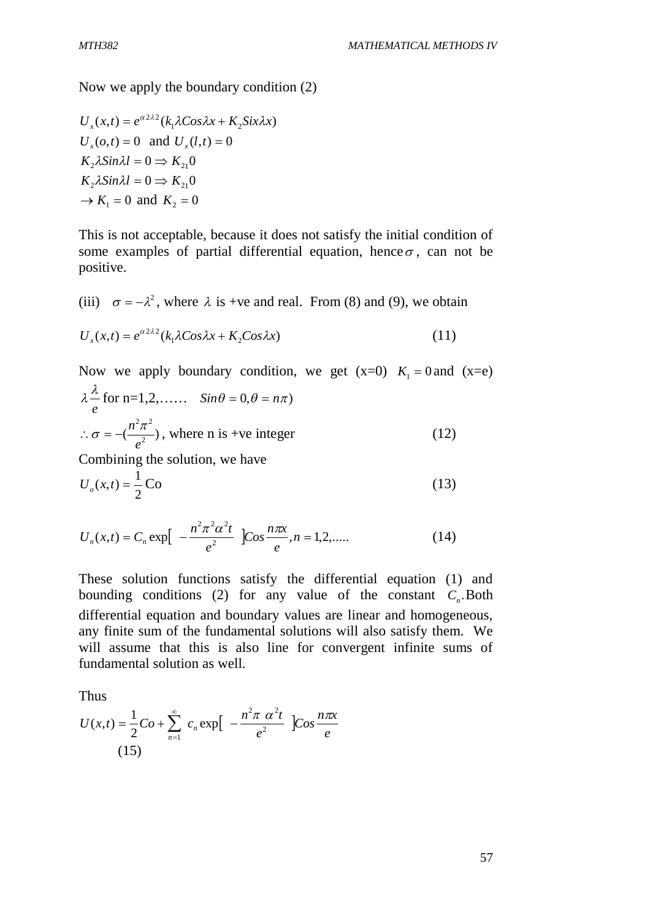Now we apply the boundary condition (2)

$$
U_x(x,t) = e^{\alpha 2\lambda^2} (k_1 \lambda \cos \lambda x + K_2 \sin \lambda x)
$$
  
\n
$$
U_x(o,t) = 0 \text{ and } U_x(l,t) = 0
$$
  
\n
$$
K_2 \lambda \sin \lambda l = 0 \Rightarrow K_{21}0
$$
  
\n
$$
K_2 \lambda \sin \lambda l = 0 \Rightarrow K_{21}0
$$
  
\n
$$
\rightarrow K_1 = 0 \text{ and } K_2 = 0
$$

This is not acceptable, because it does not satisfy the initial condition of some examples of partial differential equation, hence  $\sigma$ , can not be positive.

(iii) 
$$
\sigma = -\lambda^2
$$
, where  $\lambda$  is +ve and real. From (8) and (9), we obtain  
\n
$$
U_x(x,t) = e^{\alpha 2\lambda^2} (k_1 \lambda \cos \lambda x + K_2 \cos \lambda x)
$$
\n(11)

Now we apply boundary condition, we get 
$$
(x=0)
$$
  $K_1 = 0$  and  $(x=e)$   
\n $\lambda \frac{\lambda}{e}$  for n=1,2,...,  $Sin\theta = 0, \theta = n\pi$ )  
\n $\therefore \sigma = -(\frac{n^2 \pi^2}{e^2})$ , where n is +ve integer (12)  
\nCombining the solution, we have  
\n $U_o(x,t) = \frac{1}{2} \text{Co}$  (13)

$$
U_n(x,t) = C_n \exp\left[-\frac{n^2 \pi^2 \alpha^2 t}{e^2}\right] \cos \frac{n \pi x}{e}, n = 1, 2, ....
$$
 (14)

These solution functions satisfy the differential equation (1) and bounding conditions (2) for any value of the constant  $C<sub>n</sub>$ . Both differential equation and boundary values are linear and homogeneous, any finite sum of the fundamental solutions will also satisfy them. We will assume that this is also line for convergent infinite sums of fundamental solution as well.

Thus

$$
U(x,t) = \frac{1}{2}Co + \sum_{n=1}^{\infty} c_n \exp\left[-\frac{n^2\pi \alpha^2 t}{e^2}\right]Cos\frac{n\pi x}{e}
$$
\n(15)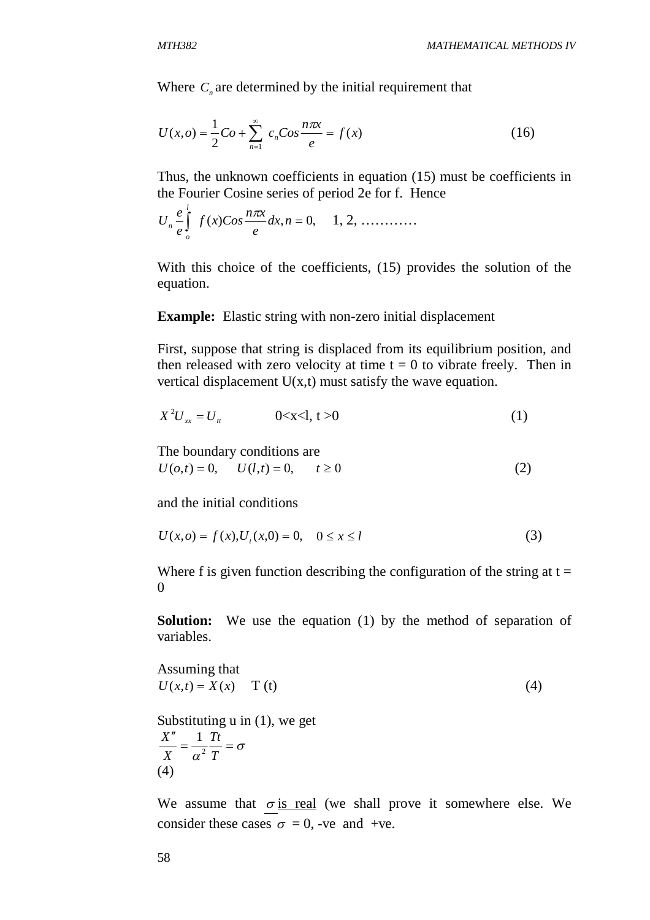Where  $C_n$  are determined by the initial requirement that

$$
U(x, o) = \frac{1}{2}Co + \sum_{n=1}^{\infty} c_n Cos \frac{n\pi x}{e} = f(x)
$$
 (16)

Thus, the unknown coefficients in equation (15) must be coefficients in the Fourier Cosine series of period 2e for f. Hence

$$
U_n \frac{e}{e} \int_{o}^{1} f(x) \cos \frac{n \pi x}{e} dx, n = 0, \quad 1, 2, \dots
$$

With this choice of the coefficients, (15) provides the solution of the equation.

#### **Example:** Elastic string with non-zero initial displacement

First, suppose that string is displaced from its equilibrium position, and then released with zero velocity at time  $t = 0$  to vibrate freely. Then in vertical displacement  $U(x,t)$  must satisfy the wave equation.

$$
X^2 U_{xx} = U_{tt} \t\t 0 < x < 1, t > 0 \t\t(1)
$$

The boundary conditions are

$$
U(o,t) = 0, \qquad U(l,t) = 0, \qquad t \ge 0
$$
 (2)

and the initial conditions

$$
U(x, o) = f(x), Ut(x, 0) = 0, \quad 0 \le x \le l
$$
\n(3)

Where f is given function describing the configuration of the string at  $t =$ 0

**Solution:** We use the equation (1) by the method of separation of variables.

Assuming that  

$$
U(x,t) = X(x)
$$
 T (t) (4)

Substituting u in (1), we get σ  $=\frac{1}{\alpha^2} \frac{R}{T}$  $^{\prime\prime}$ *T Tt X X* 2 1 (4)

We assume that  $\sigma$  is real (we shall prove it somewhere else. We consider these cases  $\sigma = 0$ , -ve and +ve.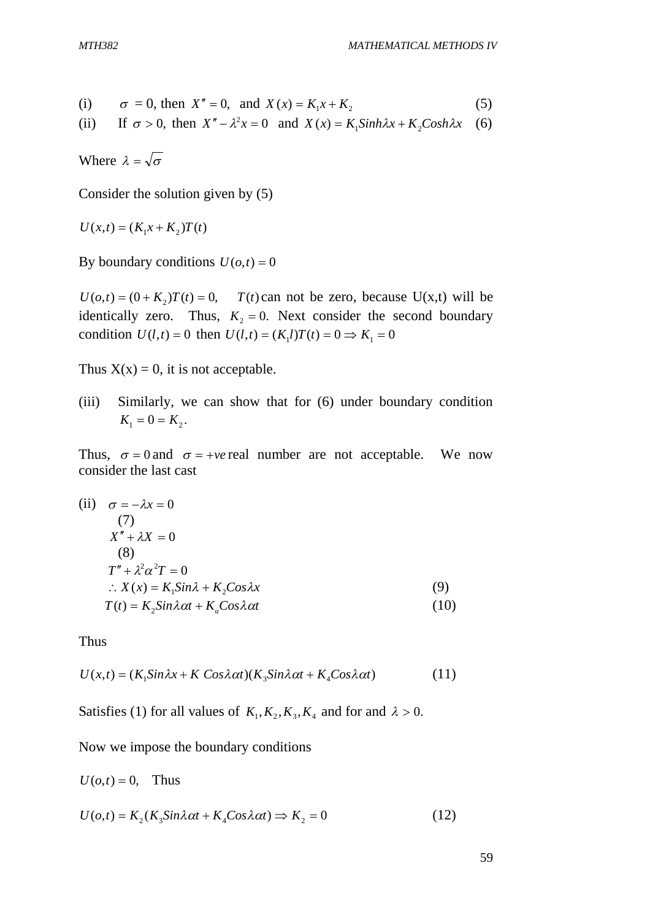(i) 
$$
\sigma = 0
$$
, then  $X'' = 0$ , and  $X(x) = K_1 x + K_2$  (5)

(ii) If  $\sigma > 0$ , then  $X'' - \lambda^2 x = 0$  and  $X(x) = K_1 \sinh \lambda x + K_2 \cosh \lambda x$  (6)

Where  $\lambda = \sqrt{\sigma}$ 

Consider the solution given by (5)

 $U(x,t) = (K_1 x + K_2)T(t)$ 

By boundary conditions  $U(o,t) = 0$ 

 $U(o,t) = (0 + K_2)T(t) = 0$ ,  $T(t)$  can not be zero, because U(x,t) will be identically zero. Thus,  $K<sub>2</sub> = 0$ . Next consider the second boundary condition  $U(l,t) = 0$  then  $U(l,t) = (K_l l)T(t) = 0 \Rightarrow K_l = 0$ 

Thus  $X(x) = 0$ , it is not acceptable.

(iii) Similarly, we can show that for (6) under boundary condition  $K_1 = 0 = K_2.$ 

Thus,  $\sigma = 0$  and  $\sigma = +ve$  real number are not acceptable. We now consider the last cast

(ii) 
$$
\sigma = -\lambda x = 0
$$
  
\n(7)  
\n $X'' + \lambda X = 0$   
\n(8)  
\n $T'' + \lambda^2 \alpha^2 T = 0$   
\n $\therefore X(x) = K_1 Sin\lambda + K_2 Cos\lambda x$   
\n(9)  
\n $T(t) = K_2 Sin\lambda \alpha t + K_u Cos\lambda \alpha t$   
\n(10)

Thus

$$
U(x,t) = (K_1 Sin \lambda x + K \cos \lambda \alpha t)(K_3 Sin \lambda \alpha t + K_4 Cos \lambda \alpha t)
$$
 (11)

Satisfies (1) for all values of  $K_1, K_2, K_3, K_4$  and for and  $\lambda > 0$ .

Now we impose the boundary conditions

$$
U(o,t) = 0, \quad \text{Thus}
$$
  

$$
U(o,t) = K_2(K_3 \sin \lambda \alpha t + K_4 \cos \lambda \alpha t) \Rightarrow K_2 = 0
$$
 (12)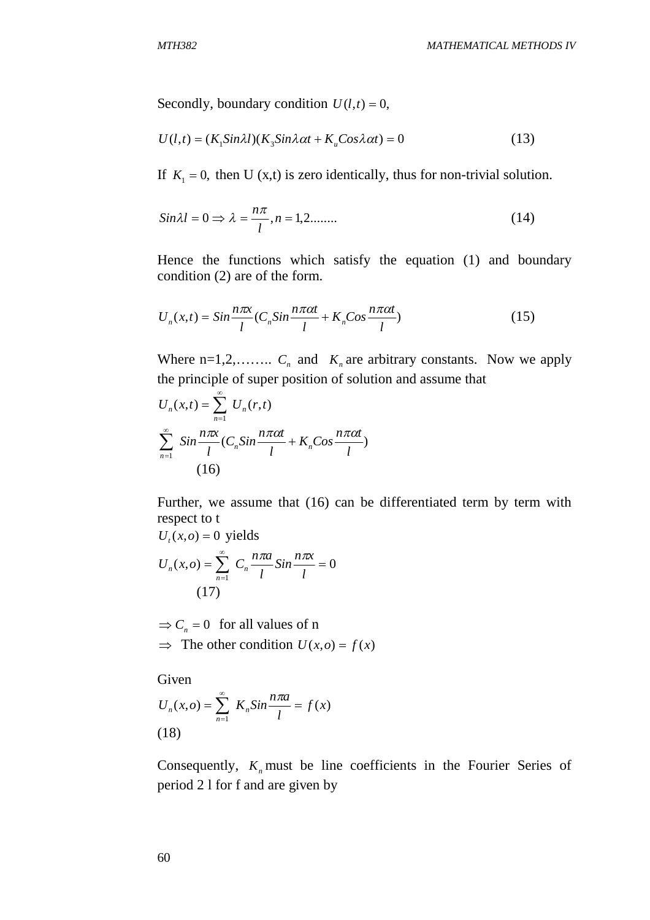Secondly, boundary condition  $U(l,t) = 0$ ,

$$
U(l,t) = (K_1 \sin \lambda l)(K_3 \sin \lambda \alpha t + K_u \cos \lambda \alpha t) = 0
$$
\n(13)

If  $K_1 = 0$ , then U (x,t) is zero identically, thus for non-trivial solution.

$$
Sin\lambda l = 0 \Rightarrow \lambda = \frac{n\pi}{l}, n = 1, 2, \dots
$$
\n(14)

Hence the functions which satisfy the equation (1) and boundary condition (2) are of the form.

$$
U_n(x,t) = \sin\frac{n\pi x}{l} (C_n \sin\frac{n\pi \alpha t}{l} + K_n \cos\frac{n\pi \alpha t}{l})
$$
\n(15)

Where  $n=1,2,......$  *C<sub>n</sub>* and *K<sub>n</sub>* are arbitrary constants. Now we apply the principle of super position of solution and assume that

$$
U_n(x,t) = \sum_{n=1}^{\infty} U_n(r,t)
$$
  

$$
\sum_{n=1}^{\infty} \sin \frac{n\pi x}{l} (C_n \sin \frac{n\pi \alpha t}{l} + K_n \cos \frac{n\pi \alpha t}{l})
$$
  
(16)

Further, we assume that (16) can be differentiated term by term with respect to t

$$
U_{t}(x, o) = 0 \text{ yields}
$$
  

$$
U_{n}(x, o) = \sum_{n=1}^{\infty} C_{n} \frac{n\pi a}{l} \sin \frac{n\pi x}{l} = 0
$$
  
(17)

 $\Rightarrow$   $C_n = 0$  for all values of n  $\Rightarrow$  The other condition  $U(x, o) = f(x)$ 

Given  $f(x, o) = \sum_{n=1}^{\infty} K_n \sin \frac{n \pi x}{n} = f(x)$ 1 *f x l*  $U_n(x, o) = \sum_{n=0}^{\infty} K_n \sin \frac{n \pi a}{l}$  $n(x, o) = \sum_{n=1}^{\infty} K_n \sin \frac{n \pi a}{l} =$  $=$ π (18)

Consequently,  $K_n$  must be line coefficients in the Fourier Series of period 2 l for f and are given by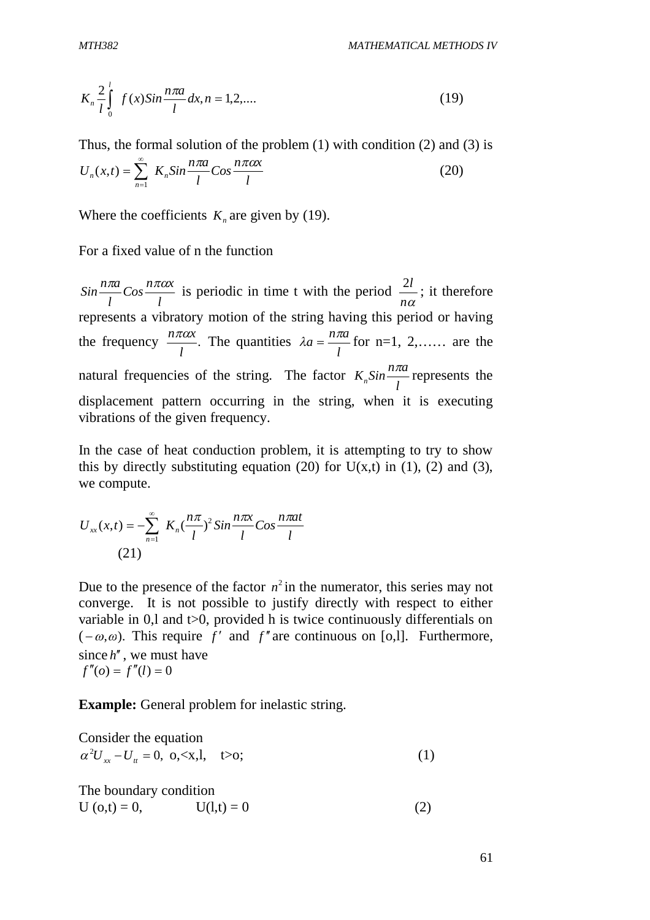$$
K_n \frac{2}{l} \int_0^l f(x) Sin \frac{n \pi a}{l} dx, n = 1, 2, \dots
$$
 (19)

*l*

Thus, the formal solution of the problem (1) with condition (2) and (3) is  $\cos \frac{n\pi\alpha x}{l}$  $U_n(x,t) = \sum_{n=0}^{\infty} K_n \sin \frac{n \pi a}{l}$ *n*  $\sum_{n=1}^{\infty} K_n Sin \frac{n\pi a}{l} Cos \frac{n\pi a}{l}$  $=$  $(x,t) = \sum K_n Sin \frac{n\pi}{l} Cos \frac{n\pi}{l}$  (20)

Where the coefficients 
$$
K_n
$$
 are given by (19).

*l*

For a fixed value of n the function

*n*

 $\overline{a}$ 

1

*l*  $\cos \frac{n\pi\alpha x}{I}$ *l*  $Sin \frac{n\pi a}{l} Cos \frac{n\pi a x}{l}$  is periodic in time t with the period *n*  $\frac{2l}{m}$ ; it therefore represents a vibratory motion of the string having this period or having the frequency  $\frac{n\pi\alpha}{l}$ . *l*  $\frac{n\pi\alpha x}{l}$ . The quantities *l*  $\lambda a = \frac{n\pi a}{l}$  for n=1, 2,...... are the natural frequencies of the string. The factor *l*  $K_n$ Sin $\frac{n\pi a}{l}$  represents the displacement pattern occurring in the string, when it is executing vibrations of the given frequency.

In the case of heat conduction problem, it is attempting to try to show this by directly substituting equation (20) for  $U(x,t)$  in (1), (2) and (3), we compute.

$$
U_{xx}(x,t) = -\sum_{n=1}^{\infty} K_n \left(\frac{n\pi}{l}\right)^2 \sin\frac{n\pi x}{l} \cos\frac{n\pi a t}{l}
$$
\n(21)

Due to the presence of the factor  $n^2$  in the numerator, this series may not converge. It is not possible to justify directly with respect to either variable in 0,1 and  $t>0$ , provided h is twice continuously differentials on  $(-\omega,\omega)$ . This require *f'* and *f'* are continuous on [o,l]. Furthermore, since  $h''$ , we must have  $f''(0) = f''(l) = 0$ 

**Example:** General problem for inelastic string.

Consider the equation  $\alpha^2 U_{xx} - U_{tt} = 0$ , o, <x,l, t > 0; (1)

The boundary condition  $U (0,t) = 0,$   $U(l,t) = 0$  (2)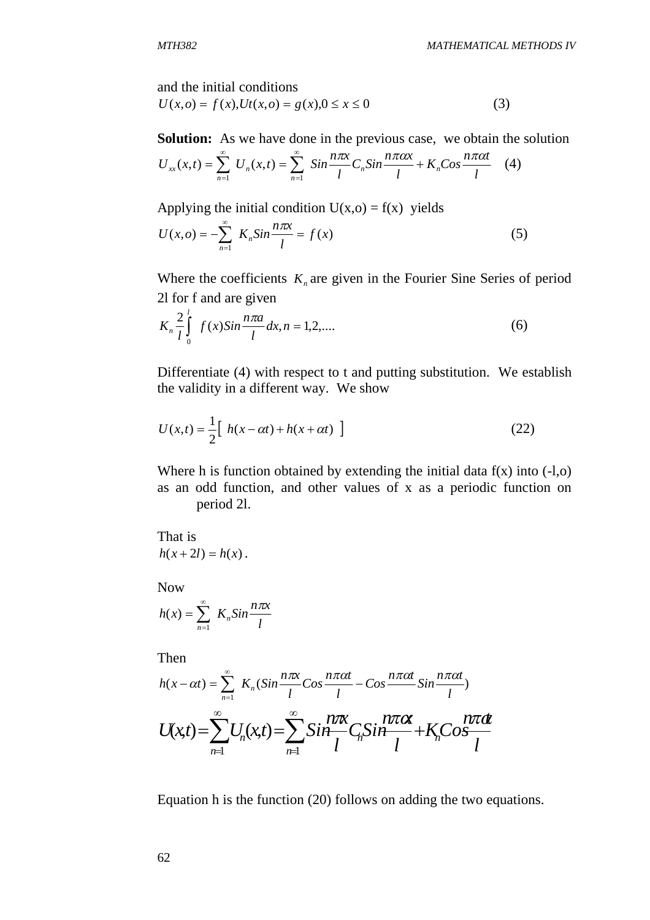and the initial conditions

$$
U(x, o) = f(x), Ut(x, o) = g(x), 0 \le x \le 0
$$
\n(3)

**Solution:** As we have done in the previous case, we obtain the solution

$$
U_{xx}(x,t) = \sum_{n=1}^{\infty} U_n(x,t) = \sum_{n=1}^{\infty} \sin \frac{n\pi x}{l} C_n \sin \frac{n\pi \alpha x}{l} + K_n \cos \frac{n\pi \alpha t}{l} \quad (4)
$$

Applying the initial condition  $U(x, o) = f(x)$  yields

$$
U(x, o) = -\sum_{n=1}^{\infty} K_n \sin \frac{n \pi x}{l} = f(x)
$$
 (5)

Where the coefficients  $K_n$  are given in the Fourier Sine Series of period 2l for f and are given

$$
K_n \frac{2}{l} \int_0^l f(x) \sin \frac{n \pi a}{l} dx, n = 1, 2, \dots
$$
 (6)

Differentiate (4) with respect to t and putting substitution. We establish the validity in a different way. We show

$$
U(x,t) = \frac{1}{2} \left[ h(x - \alpha t) + h(x + \alpha t) \right]
$$
 (22)

Where h is function obtained by extending the initial data  $f(x)$  into  $(-1,0)$ as an odd function, and other values of x as a periodic function on period 2l.

That is  $h(x+2l) = h(x)$ .

Now

$$
h(x) = \sum_{n=1}^{\infty} K_n Sin \frac{n\pi x}{l}
$$

Then

$$
h(x - \alpha t) = \sum_{n=1}^{\infty} K_n (Sin\frac{n\pi x}{l}Cos\frac{n\pi \alpha t}{l} - Cos\frac{n\pi \alpha t}{l}Sin\frac{n\pi \alpha t}{l})
$$

$$
U(x,t) = \sum_{n=1}^{\infty} U_n(x,t) = \sum_{n=1}^{\infty} Sin\frac{n\pi x}{l} C_n Sin\frac{n\pi \alpha t}{l} + K_n Cos\frac{n\pi \alpha t}{l}
$$

Equation h is the function (20) follows on adding the two equations.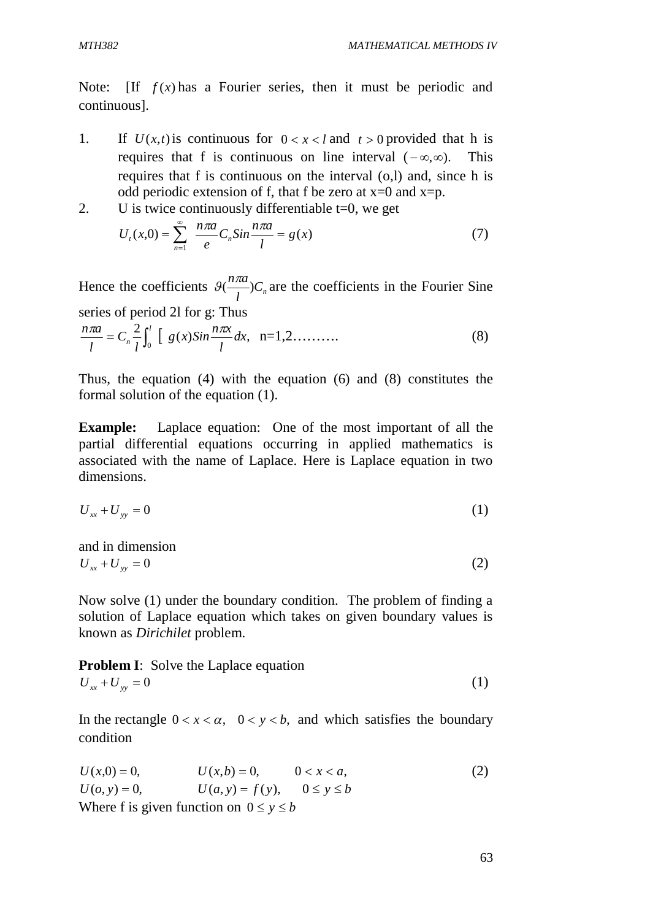Note: If  $f(x)$  has a Fourier series, then it must be periodic and continuous].

- 1. If  $U(x,t)$  is continuous for  $0 < x < l$  and  $t > 0$  provided that h is requires that f is continuous on line interval  $(-\infty, \infty)$ . This requires that f is continuous on the interval (o,l) and, since h is odd periodic extension of f, that f be zero at  $x=0$  and  $x=p$ .
- 2. U is twice continuously differentiable  $t=0$ , we get

$$
U_{t}(x,0) = \sum_{n=1}^{\infty} \frac{n\pi a}{e} C_{n} Sin \frac{n\pi a}{l} = g(x)
$$
 (7)

Hence the coefficients  $\mathcal{G}(\frac{n\pi}{l})C_n$  $\mathcal{A}(\frac{n\pi a}{r})C_n$  are the coefficients in the Fourier Sine series of period 2l for g: Thus

$$
\frac{n\pi a}{l} = C_n \frac{2}{l} \int_0^l \left[ g(x) Sin \frac{n\pi x}{l} dx, \quad n = 1, 2, \dots \dots \dots \right] \tag{8}
$$

Thus, the equation (4) with the equation (6) and (8) constitutes the formal solution of the equation (1).

**Example:** Laplace equation: One of the most important of all the partial differential equations occurring in applied mathematics is associated with the name of Laplace. Here is Laplace equation in two dimensions.

$$
U_{xx} + U_{yy} = 0 \tag{1}
$$

and in dimension  $U_{xx} + U_{yy} = 0$  (2)

Now solve (1) under the boundary condition. The problem of finding a solution of Laplace equation which takes on given boundary values is known as *Dirichilet* problem.

**Problem I:** Solve the Laplace equation  

$$
U_{xx} + U_{yy} = 0
$$
 (1)

In the rectangle  $0 < x < \alpha$ ,  $0 < y < b$ , and which satisfies the boundary condition

$$
U(x,0) = 0, \t U(x,b) = 0, \t 0 < x < a,
$$
  
\n
$$
U(o, y) = 0, \t U(a, y) = f(y), \t 0 \le y \le b
$$
  
\nWhere f is given function on  $0 \le y \le b$ 

63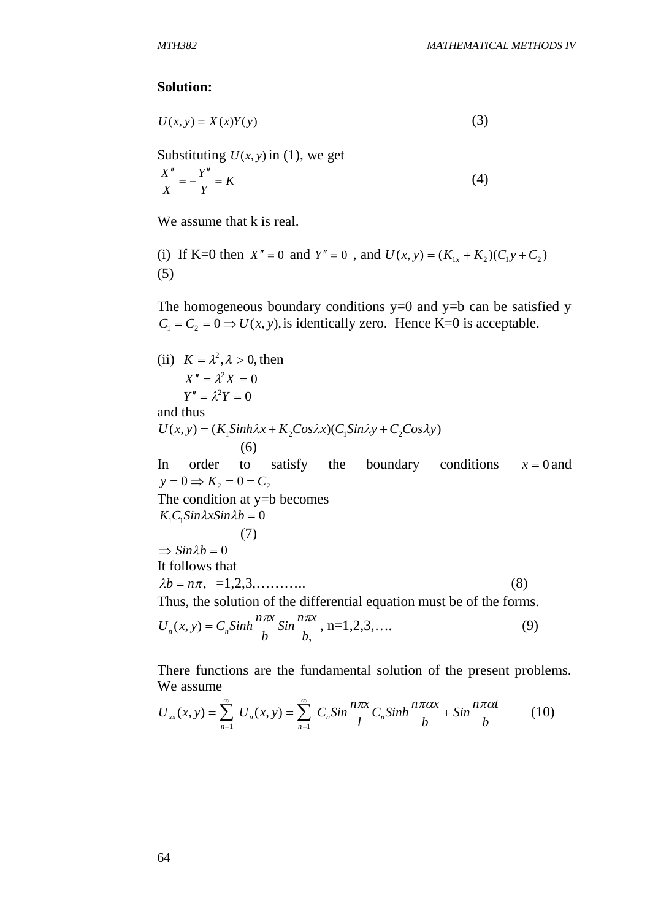#### **Solution:**

$$
U(x, y) = X(x)Y(y)
$$
\n(3)

Substituting  $U(x, y)$  in (1), we get

$$
\frac{X''}{X} = -\frac{Y''}{Y} = K\tag{4}
$$

We assume that k is real.

(i) If K=0 then  $X'' = 0$  and  $Y'' = 0$ , and  $U(x, y) = (K_{1x} + K_2)(C_1y + C_2)$ (5)

The homogeneous boundary conditions  $y=0$  and  $y=b$  can be satisfied y  $C_1 = C_2 = 0 \Rightarrow U(x, y)$ , is identically zero. Hence K=0 is acceptable.

(ii) 
$$
K = \lambda^2, \lambda > 0
$$
, then  
\n $X'' = \lambda^2 X = 0$   
\n $Y'' = \lambda^2 Y = 0$   
\nand thus  
\n $U(x, y) = (K_1Sinh\lambda x + K_2Cos\lambda x)(C_1Sin\lambda y + C_2Cos\lambda y)$   
\n(6)  
\nIn order to satisfy the boundary conditions  $x = 0$  and  
\n $y = 0 \Rightarrow K_2 = 0 = C_2$   
\nThe condition at y=b becomes  
\n $K_1C_1Sin\lambda xSin\lambda b = 0$   
\n(7)  
\n $\Rightarrow Sin\lambda b = 0$   
\nIt follows that  
\n $\lambda b = n\pi, =1,2,3,...$   
\n(8)  
\nThus, the solution of the differential equation must be of the forms.

$$
U_n(x, y) = C_n \sinh \frac{n\pi x}{b} \sin \frac{n\pi x}{b}, \quad n = 1, 2, 3, \dots
$$
 (9)

There functions are the fundamental solution of the present problems. We assume

$$
U_{xx}(x, y) = \sum_{n=1}^{\infty} U_n(x, y) = \sum_{n=1}^{\infty} C_n \sin \frac{n\pi x}{l} C_n \sinh \frac{n\pi \alpha x}{b} + \sin \frac{n\pi \alpha t}{b}
$$
(10)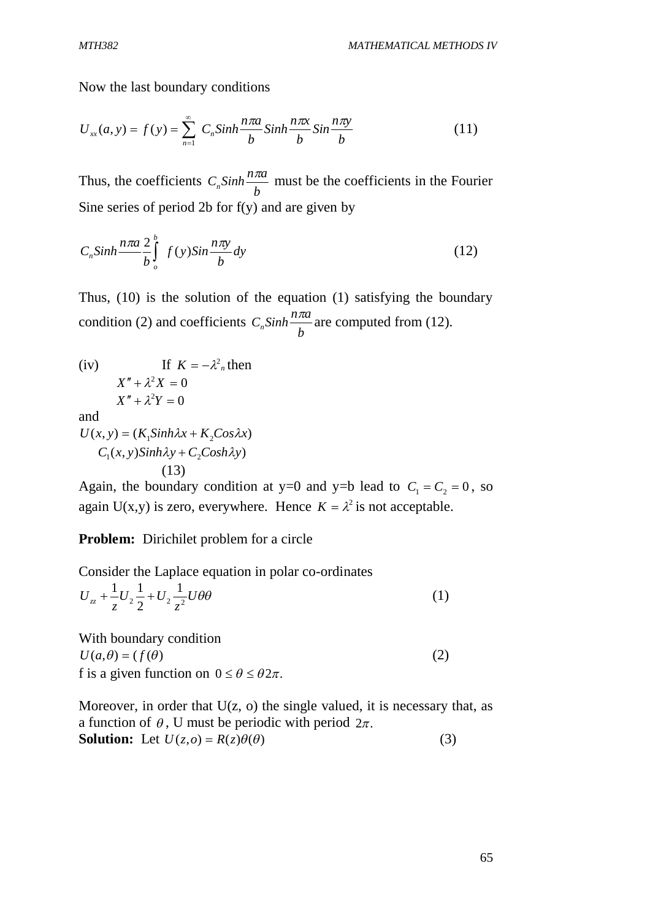Now the last boundary conditions

$$
U_{xx}(a, y) = f(y) = \sum_{n=1}^{\infty} C_n \sinh \frac{n\pi a}{b} \sinh \frac{n\pi x}{b} \sin \frac{n\pi y}{b}
$$
 (11)

Thus, the coefficients *b*  $C_n \sinh \frac{n\pi a}{l}$  must be the coefficients in the Fourier Sine series of period 2b for f(y) and are given by

$$
C_n \sinh \frac{n \pi a}{b} \int_{o}^{b} f(y) \sin \frac{n \pi y}{b} dy
$$
 (12)

Thus, (10) is the solution of the equation (1) satisfying the boundary condition (2) and coefficients *b*  $C_n \sinh \frac{n \pi a}{l}$  are computed from (12).

(iv) If 
$$
K = -\lambda^2
$$
<sub>n</sub> then  
\n $X'' + \lambda^2 X = 0$   
\nand  
\n $U(x, y) = (K_1Sinh\lambda x + K_2Cos\lambda x)$   
\n $C_1(x, y)Sinh\lambda y + C_2Cosh\lambda y$ 

$$
(13)
$$

Again, the boundary condition at y=0 and y=b lead to  $C_1 = C_2 = 0$ , so again U(x,y) is zero, everywhere. Hence  $K = \lambda^2$  is not acceptable.

**Problem:** Dirichilet problem for a circle

Consider the Laplace equation in polar co-ordinates

$$
U_{zz} + \frac{1}{z}U_2\frac{1}{2} + U_2\frac{1}{z^2}U\theta\theta
$$
 (1)

With boundary condition  $U(a, \theta) = (f(\theta))$  (2) f is a given function on  $0 \le \theta \le \theta 2\pi$ .

Moreover, in order that  $U(z, o)$  the single valued, it is necessary that, as a function of  $\theta$ , U must be periodic with period  $2\pi$ . **Solution:** Let  $U(z, o) = R(z)\theta(\theta)$  (3)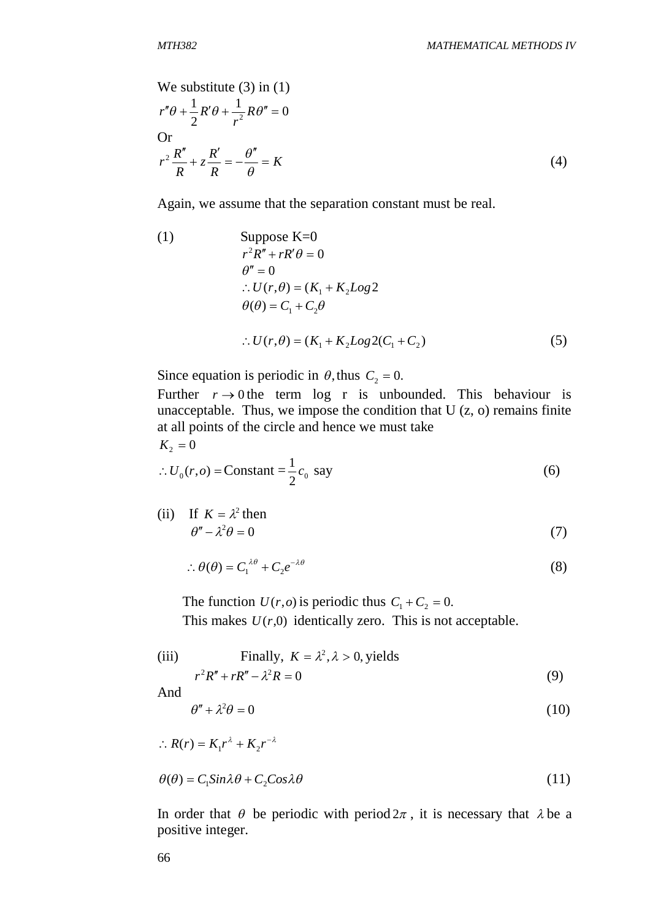We substitute (3) in (1)  
\n
$$
r''\theta + \frac{1}{2}R'\theta + \frac{1}{r^2}R\theta'' = 0
$$
\nOr  
\n
$$
r^2 \frac{R''}{R} + z \frac{R'}{R} = -\frac{\theta''}{\theta} = K
$$
\n(4)

Again, we assume that the separation constant must be real.

(1) Suppose K=0  
\n
$$
r^2 R'' + rR'\theta = 0
$$
\n
$$
\theta'' = 0
$$
\n
$$
\therefore U(r, \theta) = (K_1 + K_2 Log 2)
$$
\n
$$
\theta(\theta) = C_1 + C_2 \theta
$$
\n
$$
\therefore U(r, \theta) = (K_1 + K_2 Log 2(C_1 + C_2))
$$
\n(5)

Since equation is periodic in  $\theta$ , thus  $C_2 = 0$ .

Further  $r \rightarrow 0$  the term log r is unbounded. This behaviour is unacceptable. Thus, we impose the condition that  $U(z, 0)$  remains finite at all points of the circle and hence we must take  $K_2 = 0$ 

$$
\therefore U_0(r, o) = \text{Constant} = \frac{1}{2}c_0 \text{ say} \tag{6}
$$

(ii) If 
$$
K = \lambda^2
$$
 then  
\n $\theta'' - \lambda^2 \theta = 0$  (7)

$$
\therefore \theta(\theta) = C_1^{\lambda \theta} + C_2 e^{-\lambda \theta} \tag{8}
$$

The function  $U(r, o)$  is periodic thus  $C_1 + C_2 = 0$ . This makes  $U(r,0)$  identically zero. This is not acceptable.

(iii) Finally, 
$$
K = \lambda^2, \lambda > 0
$$
, yields  

$$
r^2 R'' + rR'' - \lambda^2 R = 0
$$
(9)

And

$$
\theta'' + \lambda^2 \theta = 0 \tag{10}
$$

$$
\therefore R(r) = K_1 r^{\lambda} + K_2 r^{-\lambda}
$$
  

$$
\theta(\theta) = C_1 Sin\lambda \theta + C_2 Cos\lambda \theta
$$
 (11)

In order that  $\theta$  be periodic with period  $2\pi$ , it is necessary that  $\lambda$  be a positive integer.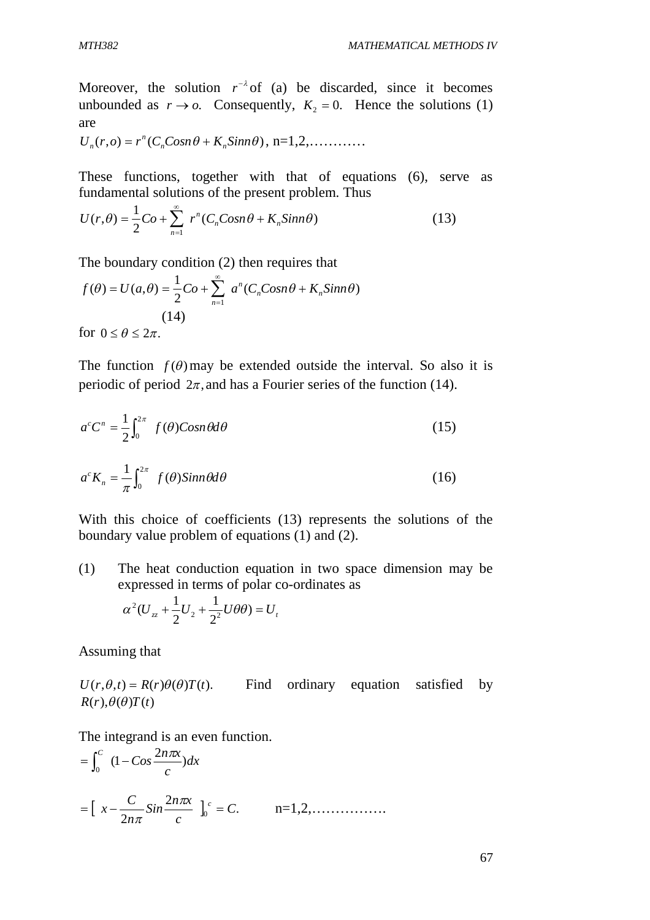Moreover, the solution  $r^{-\lambda}$  of (a) be discarded, since it becomes unbounded as  $r \to o$ . Consequently,  $K<sub>2</sub> = 0$ . Hence the solutions (1) are

 $U_n(r, o) = r^n (C_n Cosn\theta + K_n Sinn\theta)$  $n_n(r, o) = r^n(C_n Cosn\theta + K_n Sinn\theta), n=1,2,...$ 

These functions, together with that of equations (6), serve as fundamental solutions of the present problem. Thus

$$
U(r,\theta) = \frac{1}{2}Co + \sum_{n=1}^{\infty} r^n (C_n Cosn\theta + K_n Sinn\theta)
$$
 (13)

The boundary condition (2) then requires that

$$
f(\theta) = U(a,\theta) = \frac{1}{2}Co + \sum_{n=1}^{\infty} a^n (C_n Cosn\theta + K_n Simn\theta)
$$
  
(14)

for  $0 \le \theta \le 2\pi$ .

The function  $f(\theta)$  may be extended outside the interval. So also it is periodic of period  $2\pi$ , and has a Fourier series of the function (14).

$$
a^{c}C^{n} = \frac{1}{2} \int_{0}^{2\pi} f(\theta) \cos n\theta d\theta
$$
 (15)

$$
a^{c}K_{n} = \frac{1}{\pi} \int_{0}^{2\pi} f(\theta) \sin n\theta d\theta
$$
 (16)

With this choice of coefficients (13) represents the solutions of the boundary value problem of equations (1) and (2).

(1) The heat conduction equation in two space dimension may be expressed in terms of polar co-ordinates as

$$
\alpha^2 (U_{zz} + \frac{1}{2}U_2 + \frac{1}{2^2}U\theta\theta) = U_t
$$

Assuming that

 $U(r, \theta, t) = R(r)\theta(\theta)T(t)$ . Find ordinary equation satisfied by  $R(r), \theta(\theta)T(t)$ 

The integrand is an even function.

$$
= \int_0^C (1 - \cos \frac{2n\pi x}{c}) dx
$$
  
=  $\left[ x - \frac{C}{2n\pi} \sin \frac{2n\pi x}{c} \right]_0^c = C.$   $n = 1, 2, .........$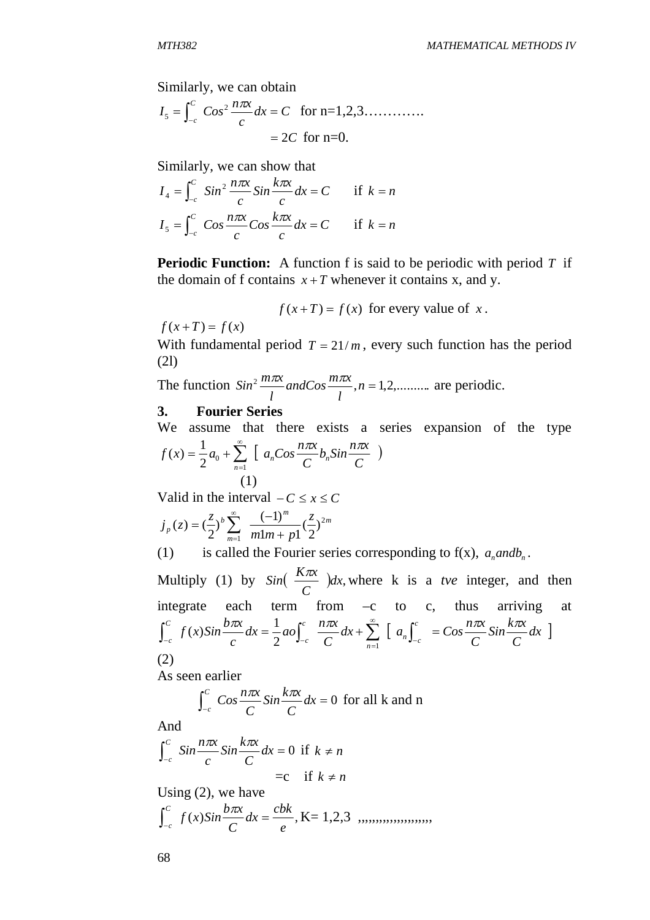Similarly, we can obtain

$$
I_5 = \int_{-c}^{c} \cos^2 \frac{n\pi x}{c} dx = C \text{ for } n = 1, 2, 3, \dots
$$
  
= 2C for n=0.

Similarly, we can show that

$$
I_4 = \int_{-c}^{C} \sin^2 \frac{n\pi x}{c} \sin \frac{k\pi x}{c} dx = C \quad \text{if } k = n
$$
  

$$
I_5 = \int_{-c}^{C} \cos \frac{n\pi x}{c} \cos \frac{k\pi x}{c} dx = C \quad \text{if } k = n
$$

**Periodic Function:** A function f is said to be periodic with period T if the domain of f contains  $x + T$  whenever it contains x, and y.

$$
f(x+T) = f(x)
$$
 for every value of x.

 $f(x+T) = f(x)$ 

With fundamental period  $T = 21/m$ , every such function has the period (2l)

The function  $Sin^2 \frac{m\pi x}{l}$  and  $Cos \frac{m\pi x}{l}$ ,  $n = 1, 2, \dots$ ... *l*  $andCos \frac{m\pi x}{r}$ *l*  $Sin^2 \frac{m\pi x}{r}$  and  $Cos \frac{m\pi x}{r}$ ,  $n = 1, 2, \dots$  are periodic.

#### **3. Fourier Series**

We assume that there exists a series expansion of the type  $\left[a_n \cos \frac{n\pi x}{2} b_n \sin \frac{n\pi x}{2}\right]$ *C*  $b_n$ Sin $\frac{n\pi x}{2}$ *C*  $f(x) = \frac{1}{2}a_0 + \sum_{n=1}^{\infty} \left[ a_n \cos \frac{n\pi x}{C} b_n \right]$ *n*  $\sum_{n=1}^{\infty} \left[ a_n \cos \frac{n \pi x}{C} b_n \sin \frac{n \pi x}{C} \right]$  $\overline{a}$  $=\frac{1}{2}a_0 +$ 1  $2^{\mu_0}$  $f(x) = \frac{1}{2}$ (1)

Valid in the interval  $-C \le x \le C$ 

$$
j_{p}(z) = \left(\frac{z}{2}\right)^{b} \sum_{m=1}^{\infty} \frac{(-1)^{m}}{m! m + p!} \left(\frac{z}{2}\right)^{2m}
$$

(1) is called the Fourier series corresponding to  $f(x)$ ,  $a<sub>n</sub>$  *andb<sub>n</sub>*.

Multiply (1) by  $Sin(\frac{K\lambda x}{g})dx$ , *C*  $\sin\left(\frac{K\pi x}{g}\right)dx$ , where k is a *tve* integer, and then integrate each term from  $-c$  to  $c$ , thus arriving at  $a_n$  =  $Cos \frac{max}{a} Sin \frac{max}{a} dx$  ] *C*  $\sin \frac{k\pi x}{a}$ *C*  $dx + \sum_{n=1}^{\infty} \left[ a_n \right]^{c} = Cos \frac{n \pi x}{a}$ *C*  $dx = \frac{1}{2} a \theta \int_0^c \frac{n \pi x}{a}$ *c*  $f(x)$ Sin  $\frac{bx}{x}dx = \frac{1}{2}ao \int_{0}^{c} \frac{n\pi x}{a}dx + \sum_{n=0}^{\infty} \left[ a_n \int_{0}^{c} dx \right]$  $n \int_{-c}$ *n c c C c*  $\int_{-c}^{c} f(x)Sin \frac{b\pi x}{c} dx = \frac{1}{2}ao \int_{-c}^{c} \frac{n\pi x}{C} dx + \sum_{n=1}^{\infty} \left[ a_n \int_{-c}^{c} = Cos \frac{n\pi x}{C}Sin \frac{k\pi}{C}$  $c$   $2$   $-1$   $-c$   $2$   $-1$  $\int (x) \sin \frac{b\pi x}{a} dx = \frac{1}{2} a o \int_0^c \frac{n\pi x}{a} dx + \sum_{n=1}^{\infty} \left[ a_n \int_0^c = Cos \frac{n\pi x}{a} \sin \frac{k\pi x}{a} dx \right]$ (2)

As seen earlier

 $\int_{-c}^{\infty}$  Cos  $\frac{n\hbar\lambda}{C}$  Sin  $\frac{n\hbar\lambda}{C}$  dx = 0 *C*  $\sin \frac{k\pi x}{2}$ *C*  $\frac{c}{\cos \frac{n\pi x}{2}}$ *c*  $\frac{\pi x}{\sigma} \sin \frac{k \pi x}{\sigma} dx = 0$  for all k and n

And

$$
\int_{-c}^{C} \sin \frac{n\pi x}{c} \sin \frac{k\pi x}{C} dx = 0 \text{ if } k \neq n
$$
  
=c if  $k \neq n$ 

Using (2), we have

$$
\int_{-c}^{c} f(x)Sin\frac{b\pi x}{C}dx = \frac{cbk}{e}, \text{K=1,2,3} \, \dots, \dots, \dots, \dots, \dots
$$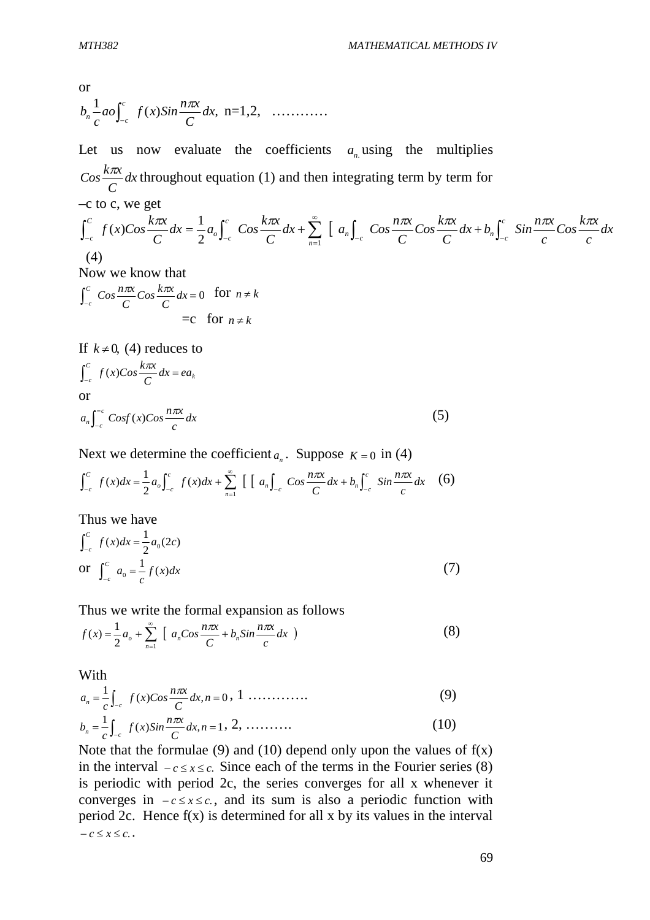or  

$$
b_n \frac{1}{c} a o \int_{-c}^{c} f(x) Sin \frac{n \pi x}{C} dx, \quad n = 1, 2, \quad \ldots \ldots \ldots
$$

Let us now evaluate the coefficients  $a_n$  using the multiplies *dx C*  $\frac{k\pi x}{g}dx$  throughout equation (1) and then integrating term by term for  $-c$  to c, we get  $[a_n]$   $Cos \frac{max}{a} Cos \frac{max}{a} dx + b_n$   $Sin \frac{max}{a} Cos \frac{max}{a} dx$ *c*  $\cos \frac{k\pi x}{2}$ *c*  $dx + b_n \int_0^c$  *Sin*  $\frac{n\pi x}{2}$ *C*  $\cos \frac{k\pi x}{a}$ *C*  $dx + \sum_{n=1}^{\infty} \left[ a_n \int \cos \frac{n \pi x}{a} \right]$ *C*  $dx = \frac{1}{2}a_o \int_0^c$   $Cos \frac{k\pi x}{a}$ *C*  $f(x)$ Cos  $\frac{k\pi x}{a}$   $dx = \frac{1}{2} a_0 \int_0^c$   $\cos \frac{k\pi x}{a} dx + \sum_{n=1}^{\infty} \left[ a_n \int_0^c \cos \frac{n\pi x}{a} \cos \frac{k\pi x}{a} dx + b_n \int_0^c dx$  $\int_{-c}^{n}$   $\int_{-c}^{c}$   $\int_{c}^{c}$   $\int_{c}^{c}$   $\int_{c}^{a}$   $\int_{c}^{a}$   $\int_{c}^{b}$   $\int_{c}^{b}$ *n c*  $\iota$   $\int_{-c}$ *C c*  $\int_{-c}^{c} f(x) \cos \frac{k\pi x}{C} dx = \frac{1}{2} a_o \int_{-c}^{c} \cos \frac{k\pi x}{C} dx + \sum_{n=1}^{\infty} \left[ a_n \int_{-c} \cos \frac{n\pi x}{C} \cos \frac{k\pi x}{C} dx + b_n \int_{-c}^{c} \sin \frac{n\pi x}{C} \cos \frac{k\pi x}{C} dx \right]$  $\int_{-c}^{c} f(x)Cos \frac{\pi}{C} dx = \frac{1}{2} a_o \int_{-c}^{c} Cos \frac{\pi}{C} dx + \sum_{n=1}^{\infty} [a_n]_{-c} Cos \frac{\pi}{C} Cos \frac{\pi}{C} dx +$  $2^{-\sigma} J_{-c}$   $C$   $\frac{1}{n-1}$  $\int (x) \cos \frac{k\pi x}{2} dx = \frac{1}{2}$  (4) Now we know that  $\int_{-c}^{\infty}$  Cos  $\frac{n\hbar\omega}{C}$ Cos  $\frac{n\hbar\omega}{C}$  dx = 0 *C*  $\cos \frac{k\pi x}{a}$ *C*  $\frac{c}{\cos \frac{n\pi x}{2}}$ *c*  $\frac{\pi x}{x}$ Cos  $\frac{k\pi x}{x}$  dx = 0 for  $n \neq k$  $= c$  for  $n \neq k$ 

If  $k \neq 0$ , (4) reduces to *k C*  $\int_{c}^{c} f(x)Cos \frac{max}{C} dx = ea$ *C*  $\int_{-c}^{c} f(x) \cos \frac{k\pi x}{C} dx =$ or *dx c*  $a_n \int_0^{=c} \text{Cosf}(x) \text{Cos}\frac{n\pi x}{n}$  $n \int_{-c}$  $\int_{-c}^{-c} Cost(x)Cos\frac{n\pi}{c}$ -(5)

Next we determine the coefficient  $a_n$ . Suppose  $K = 0$  in (4)

$$
\int_{-c}^{c} f(x)dx = \frac{1}{2} a_o \int_{-c}^{c} f(x)dx + \sum_{n=1}^{\infty} \left[ \left[ a_n \int_{-c} \cos \frac{n\pi x}{C} dx + b_n \int_{-c}^{c} \sin \frac{n\pi x}{C} dx \right] \right]
$$
(6)

Thus we have

$$
\int_{-c}^{c} f(x)dx = \frac{1}{2}a_0(2c)
$$
  
or 
$$
\int_{-c}^{c} a_0 = \frac{1}{c}f(x)dx
$$
 (7)

Thus we write the formal expansion as follows

$$
f(x) = \frac{1}{2}a_o + \sum_{n=1}^{\infty} \left[ a_n \cos \frac{n\pi x}{C} + b_n \sin \frac{n\pi x}{C} dx \right]
$$
 (8)

With

$$
a_n = \frac{1}{c} \int_{-c}^{c} f(x) \cos \frac{n \pi x}{C} dx, n = 0, 1 \dots \dots \dots \dots \dots \tag{9}
$$
  
\n
$$
b_n = \frac{1}{c} \int_{-c}^{c} f(x) \sin \frac{n \pi x}{C} dx, n = 1, 2, \dots \dots \dots \dots \tag{10}
$$

*C c* Note that the formulae (9) and (10) depend only upon the values of  $f(x)$ in the interval  $-c \le x \le c$ . Since each of the terms in the Fourier series (8) is periodic with period 2c, the series converges for all x whenever it converges in  $-c \le x \le c$ , and its sum is also a periodic function with period 2c. Hence  $f(x)$  is determined for all x by its values in the interval  $-c \leq x \leq c$ .